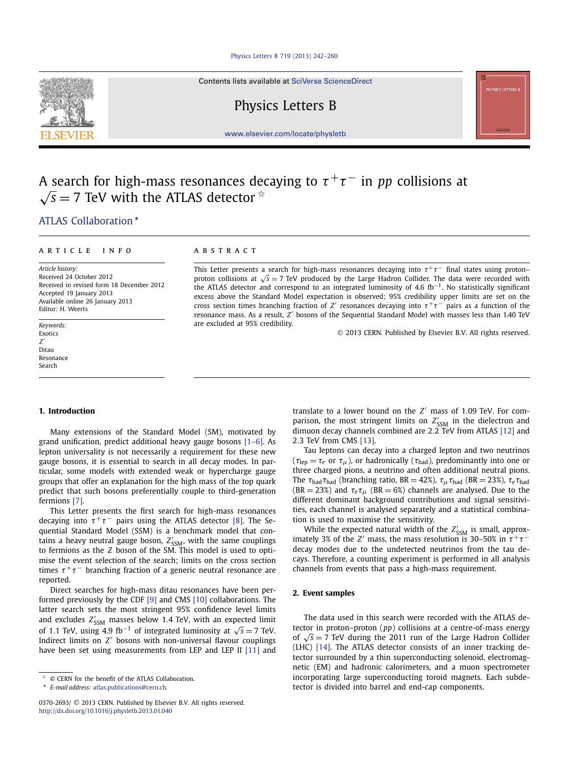#### [Physics Letters B 719 \(2013\) 242–260](http://dx.doi.org/10.1016/j.physletb.2013.01.040)

Contents lists available at [SciVerse ScienceDirect](http://www.ScienceDirect.com/)

# Physics Letters B

[www.elsevier.com/locate/physletb](http://www.elsevier.com/locate/physletb)

# A search for high-mass resonances decaying to *τ* <sup>+</sup>*τ* <sup>−</sup> in *pp* collisions at  $\sqrt{s}$  = 7 TeV with the ATLAS detector  $\dot{\alpha}$

# [.ATLAS Collaboration](#page-7-0)

# article info abstract

*Article history:* Received 24 October 2012 Received in revised form 18 December 2012 Accepted 19 January 2013 Available online 26 January 2013 Editor: H. Weerts

*Keywords:* Exotics *Z* Ditau Resonance Search

This Letter presents a search for high-mass resonances decaying into  $\tau^+\tau^-$  final states using proton– proton collisions at  $\sqrt{s}$  = 7 TeV produced by the Large Hadron Collider. The data were recorded with the ATLAS detector and correspond to an integrated luminosity of 4.6  $fb^{-1}$ . No statistically significant excess above the Standard Model expectation is observed; 95% credibility upper limits are set on the cross section times branching fraction of *Z'* resonances decaying into  $\tau^+\tau^-$  pairs as a function of the resonance mass. As a result, *Z'* bosons of the Sequential Standard Model with masses less than 1.40 TeV are excluded at 95% credibility.

© 2013 CERN. Published by Elsevier B.V. All rights reserved.

# **1. Introduction**

Many extensions of the Standard Model (SM), motivated by grand unification, predict additional heavy gauge bosons [\[1–6\].](#page-6-0) As lepton universality is not necessarily a requirement for these new gauge bosons, it is essential to search in all decay modes. In particular, some models with extended weak or hypercharge gauge groups that offer an explanation for the high mass of the top quark predict that such bosons preferentially couple to third-generation fermions [\[7\].](#page-6-0)

This Letter presents the first search for high-mass resonances decaying into  $\tau^+\tau^-$  pairs using the ATLAS detector [\[8\].](#page-6-0) The Sequential Standard Model (SSM) is a benchmark model that contains a heavy neutral gauge boson, Z'<sub>SSM</sub>, with the same couplings to fermions as the *Z* boson of the SM. This model is used to optimise the event selection of the search; limits on the cross section times  $\tau^+\tau^-$  branching fraction of a generic neutral resonance are reported.

Direct searches for high-mass ditau resonances have been performed previously by the CDF [\[9\]](#page-6-0) and CMS [\[10\]](#page-6-0) collaborations. The latter search sets the most stringent 95% confidence level limits and excludes  $Z'_{\rm SSM}$  masses below 1.4 TeV, with an expected limit of 1.1 TeV, using 4.9 fb<sup>-1</sup> of integrated luminosity at  $\sqrt{s} = 7$  TeV. Indirect limits on *Z'* bosons with non-universal flavour couplings have been set using measurements from LEP and LEP II [\[11\]](#page-6-0) and

translate to a lower bound on the *Z'* mass of 1.09 TeV. For comparison, the most stringent limits on  $Z'_{SSM}$  in the dielectron and dimuon decay channels combined are 2*.*2 TeV from ATLAS [\[12\]](#page-6-0) and 2*.*3 TeV from CMS [\[13\].](#page-6-0)

Tau leptons can decay into a charged lepton and two neutrinos  $(\tau_{\text{lep}} = \tau_e$  or  $\tau_\mu$ ), or hadronically ( $\tau_{\text{had}}$ ), predominantly into one or three charged pions, a neutrino and often additional neutral pions. The *τ*had*τ*had (branching ratio, BR = 42%), *τμτ*had (BR = 23%), *τeτ*had  $(RR = 23%)$  and  $\tau_e \tau_u$  ( $BR = 6%)$  channels are analysed. Due to the different dominant background contributions and signal sensitivities, each channel is analysed separately and a statistical combination is used to maximise the sensitivity.

While the expected natural width of the  $Z'_{\rm SSM}$  is small, approximately 3% of the *Z'* mass, the mass resolution is 30–50% in  $\tau^+\tau^$ decay modes due to the undetected neutrinos from the tau decays. Therefore, a counting experiment is performed in all analysis channels from events that pass a high-mass requirement.

### **2. Event samples**

The data used in this search were recorded with the ATLAS detector in proton–proton (*pp*) collisions at a centre-of-mass energy of <sup>√</sup>*<sup>s</sup>* <sup>=</sup> 7 TeV during the 2011 run of the Large Hadron Collider (LHC) [\[14\].](#page-6-0) The ATLAS detector consists of an inner tracking detector surrounded by a thin superconducting solenoid, electromagnetic (EM) and hadronic calorimeters, and a muon spectrometer incorporating large superconducting toroid magnets. Each subdetector is divided into barrel and end-cap components.



 $\hat{P}$  © CERN for the benefit of the ATLAS Collaboration.

*E-mail address:* [atlas.publications@cern.ch.](mailto:atlas.publications@cern.ch)

<sup>0370-2693/</sup> © 2013 CERN. Published by Elsevier B.V. All rights reserved. <http://dx.doi.org/10.1016/j.physletb.2013.01.040>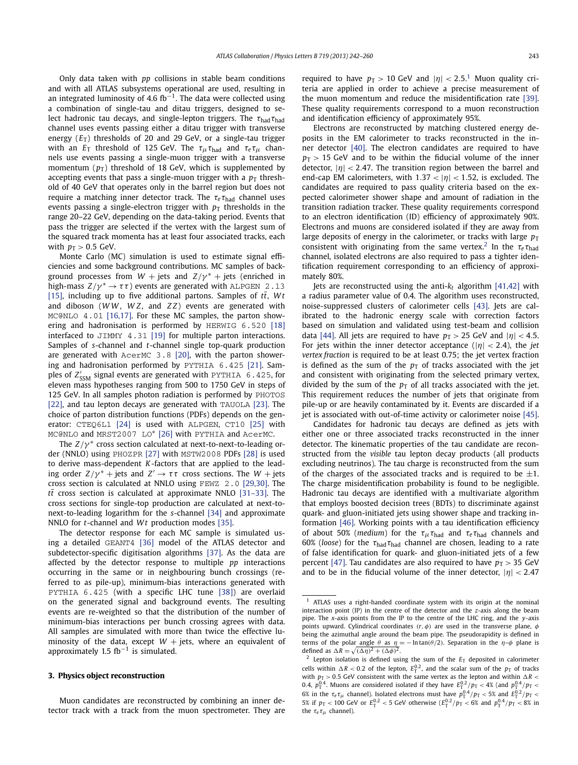Only data taken with *pp* collisions in stable beam conditions and with all ATLAS subsystems operational are used, resulting in an integrated luminosity of 4.6 fb<sup>-1</sup>. The data were collected using a combination of single-tau and ditau triggers, designed to select hadronic tau decays, and single-lepton triggers. The *τ*had*τ*had channel uses events passing either a ditau trigger with transverse energy  $(E_T)$  thresholds of 20 and 29 GeV, or a single-tau trigger with an  $E_T$  threshold of 125 GeV. The  $\tau_\mu \tau_{\text{had}}$  and  $\tau_e \tau_\mu$  channels use events passing a single-muon trigger with a transverse momentum  $(p_T)$  threshold of 18 GeV, which is supplemented by accepting events that pass a single-muon trigger with a  $p<sub>T</sub>$  threshold of 40 GeV that operates only in the barrel region but does not require a matching inner detector track. The *τ<sup>e</sup> τ*had channel uses events passing a single-electron trigger with  $p<sub>T</sub>$  thresholds in the range 20–22 GeV, depending on the data-taking period. Events that pass the trigger are selected if the vertex with the largest sum of the squared track momenta has at least four associated tracks, each with  $p_T > 0.5$  GeV.

Monte Carlo (MC) simulation is used to estimate signal efficiencies and some background contributions. MC samples of background processes from  $W$  + jets and  $Z/\gamma^*$  + jets (enriched in high-mass  $Z/\gamma^* \to \tau \tau$ ) events are generated with ALPGEN 2.13 [\[15\],](#page-6-0) including up to five additional partons. Samples of  $t\bar{t}$ , Wt and diboson (*W W* , *W Z*, and *Z Z*) events are generated with MC@NLO 4.01 [\[16,17\].](#page-6-0) For these MC samples, the parton showering and hadronisation is performed by HERWIG 6.520 [\[18\]](#page-6-0) interfaced to JIMMY 4.31 [\[19\]](#page-6-0) for multiple parton interactions. Samples of *s*-channel and *t*-channel single top-quark production are generated with AcerMC 3.8 [\[20\],](#page-6-0) with the parton showering and hadronisation performed by PYTHIA 6.425 [\[21\].](#page-6-0) Samples of Z'<sub>SSM</sub> signal events are generated with PYTHIA 6.425, for eleven mass hypotheses ranging from 500 to 1750 GeV in steps of 125 GeV. In all samples photon radiation is performed by PHOTOS [\[22\],](#page-6-0) and tau lepton decays are generated with TAUOLA [\[23\].](#page-6-0) The choice of parton distribution functions (PDFs) depends on the generator: CTEQ6L1 [\[24\]](#page-6-0) is used with ALPGEN, CT10 [\[25\]](#page-6-0) with MC@NLO and MRST2007 LO\* [\[26\]](#page-6-0) with PYTHIA and AcerMC.

The *Z*/*γ*<sup>\*</sup> cross section calculated at next-to-next-to-leading order (NNLO) using PHOZPR [\[27\]](#page-6-0) with MSTW2008 PDFs [\[28\]](#page-6-0) is used to derive mass-dependent *K*-factors that are applied to the leading order  $Z/\gamma^*$  + jets and  $Z' \rightarrow \tau \tau$  cross sections. The  $W$  + jets cross section is calculated at NNLO using FEWZ 2.0 [\[29,30\].](#page-6-0) The  $t\bar{t}$  cross section is calculated at approximate NNLO [\[31–33\].](#page-6-0) The cross sections for single-top production are calculated at next-tonext-to-leading logarithm for the *s*-channel [\[34\]](#page-6-0) and approximate NNLO for *t*-channel and *Wt* production modes [\[35\].](#page-6-0)

The detector response for each MC sample is simulated using a detailed GEANT4 [\[36\]](#page-6-0) model of the ATLAS detector and subdetector-specific digitisation algorithms [\[37\].](#page-6-0) As the data are affected by the detector response to multiple *pp* interactions occurring in the same or in neighbouring bunch crossings (referred to as pile-up), minimum-bias interactions generated with PYTHIA 6.425 (with a specific LHC tune [\[38\]\)](#page-6-0) are overlaid on the generated signal and background events. The resulting events are re-weighted so that the distribution of the number of minimum-bias interactions per bunch crossing agrees with data. All samples are simulated with more than twice the effective luminosity of the data, except *W* + jets, where an equivalent of<br>approximately 1.5 fb<sup>−1</sup> is simulated.

# **3. Physics object reconstruction**

Muon candidates are reconstructed by combining an inner detector track with a track from the muon spectrometer. They are required to have  $p_T > 10$  GeV and  $|\eta| < 2.5$ .<sup>1</sup> Muon quality criteria are applied in order to achieve a precise measurement of the muon momentum and reduce the misidentification rate [\[39\].](#page-6-0) These quality requirements correspond to a muon reconstruction and identification efficiency of approximately 95%.

Electrons are reconstructed by matching clustered energy deposits in the EM calorimeter to tracks reconstructed in the inner detector [\[40\].](#page-6-0) The electron candidates are required to have  $p_T > 15$  GeV and to be within the fiducial volume of the inner detector, |*η*| *<* <sup>2</sup>*.*47. The transition region between the barrel and end-cap EM calorimeters, with  $1.37 < |\eta| < 1.52$ , is excluded. The candidates are required to pass quality criteria based on the expected calorimeter shower shape and amount of radiation in the transition radiation tracker. These quality requirements correspond to an electron identification (ID) efficiency of approximately 90%. Electrons and muons are considered isolated if they are away from large deposits of energy in the calorimeter, or tracks with large  $p_T$ consistent with originating from the same vertex.<sup>2</sup> In the  $\tau_e \tau_{\text{had}}$ channel, isolated electrons are also required to pass a tighter identification requirement corresponding to an efficiency of approximately 80%.

Jets are reconstructed using the anti-*kt* algorithm [\[41,42\]](#page-6-0) with a radius parameter value of 0.4. The algorithm uses reconstructed, noise-suppressed clusters of calorimeter cells [\[43\].](#page-7-0) Jets are calibrated to the hadronic energy scale with correction factors based on simulation and validated using test-beam and collision data [\[44\].](#page-7-0) All jets are required to have  $p_T > 25$  GeV and  $|\eta| < 4.5$ . For jets within the inner detector acceptance  $(|\eta| < 2.4)$ , the *jet vertex fraction* is required to be at least 0.75; the jet vertex fraction is defined as the sum of the  $p<sub>T</sub>$  of tracks associated with the jet and consistent with originating from the selected primary vertex, divided by the sum of the  $p<sub>T</sub>$  of all tracks associated with the jet. This requirement reduces the number of jets that originate from pile-up or are heavily contaminated by it. Events are discarded if a jet is associated with out-of-time activity or calorimeter noise [\[45\].](#page-7-0)

Candidates for hadronic tau decays are defined as jets with either one or three associated tracks reconstructed in the inner detector. The kinematic properties of the tau candidate are reconstructed from the *visible* tau lepton decay products (all products excluding neutrinos). The tau charge is reconstructed from the sum of the charges of the associated tracks and is required to be  $\pm 1$ . The charge misidentification probability is found to be negligible. Hadronic tau decays are identified with a multivariate algorithm that employs boosted decision trees (BDTs) to discriminate against quark- and gluon-initiated jets using shower shape and tracking information [\[46\].](#page-7-0) Working points with a tau identification efficiency of about 50% (*medium*) for the  $\tau_{\mu} \tau_{\text{had}}$  and  $\tau_{e} \tau_{\text{had}}$  channels and 60% (*loose*) for the *τ*had*τ*had channel are chosen, leading to a rate of false identification for quark- and gluon-initiated jets of a few percent [\[47\].](#page-7-0) Tau candidates are also required to have  $p_T > 35$  GeV and to be in the fiducial volume of the inner detector,  $|\eta|$  < 2.47

<sup>1</sup> ATLAS uses a right-handed coordinate system with its origin at the nominal interaction point (IP) in the centre of the detector and the *z*-axis along the beam pipe. The *x*-axis points from the IP to the centre of the LHC ring, and the *y*-axis points upward. Cylindrical coordinates *(r,φ)* are used in the transverse plane, *φ* being the azimuthal angle around the beam pipe. The pseudorapidity is defined in terms of the polar angle *θ* as *η* = −ln tan(*θ*/2). Separation in the *η*-*φ* plane is defined as  $\Delta R = \sqrt{(\Delta \eta)^2 + (\Delta \phi)^2}$ .

<sup>&</sup>lt;sup>2</sup> Lepton isolation is defined using the sum of the  $E_T$  deposited in calorimeter cells within  $\Delta R < 0.2$  of the lepton,  $E_{\text{T}}^{0.2}$ , and the scalar sum of the  $p_{\text{T}}$  of tracks with  $p_T > 0.5$  GeV consistent with the same vertex as the lepton and within  $\Delta R$  < 0.4,  $p_{\rm T}^{0.4}$ . Muons are considered isolated if they have  $E_{\rm T}^{0.2}/p_{\rm T} < 4\%$  (and  $p_{\rm T}^{0.4}/p_{\rm T} <$  $6\%$  in the  $\tau_e \tau_\mu$  channel). Isolated electrons must have  $p_T^{0.4}/p_T < 5\%$  and  $E_T^{0.2}/p_T < 0$  $5\%$  if  $p_T < 100$  GeV or  $E_T^{0.2} < 5$  GeV otherwise  $(E_T^{0.2}/p_T < 6\%$  and  $p_T^{0.4}/p_T < 8\%$  in the *τ<sup>e</sup> τμ* channel).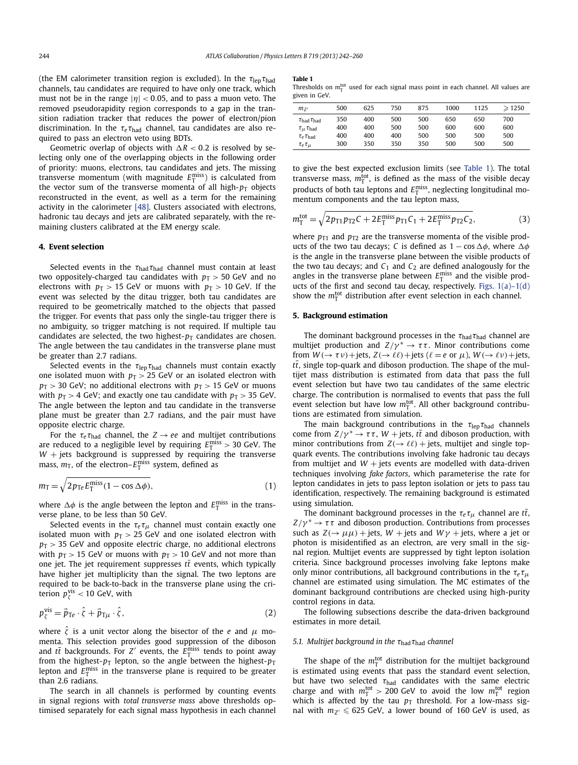<span id="page-2-0"></span>(the EM calorimeter transition region is excluded). In the *τ*lep*τ*had channels, tau candidates are required to have only one track, which must not be in the range  $|\eta|$  < 0.05, and to pass a muon veto. The removed pseudorapidity region corresponds to a gap in the transition radiation tracker that reduces the power of electron/pion discrimination. In the  $τ_e τ_{had}$  channel, tau candidates are also required to pass an electron veto using BDTs.

Geometric overlap of objects with  $\Delta R < 0.2$  is resolved by selecting only one of the overlapping objects in the following order of priority: muons, electrons, tau candidates and jets. The missing transverse momentum (with magnitude  $E_{\text{T}}^{\text{miss}}$ ) is calculated from the vector sum of the transverse momenta of all high- $p<sub>T</sub>$  objects reconstructed in the event, as well as a term for the remaining activity in the calorimeter [\[48\].](#page-7-0) Clusters associated with electrons, hadronic tau decays and jets are calibrated separately, with the remaining clusters calibrated at the EM energy scale.

# **4. Event selection**

Selected events in the *τ*<sub>had</sub> *τ*<sub>had</sub> channel must contain at least two oppositely-charged tau candidates with  $p_T > 50$  GeV and no electrons with  $p_T > 15$  GeV or muons with  $p_T > 10$  GeV. If the event was selected by the ditau trigger, both tau candidates are required to be geometrically matched to the objects that passed the trigger. For events that pass only the single-tau trigger there is no ambiguity, so trigger matching is not required. If multiple tau candidates are selected, the two highest- $p<sub>T</sub>$  candidates are chosen. The angle between the tau candidates in the transverse plane must be greater than 2.7 radians.

Selected events in the  $\tau_{\text{lep}}\tau_{\text{had}}$  channels must contain exactly one isolated muon with  $p_T > 25$  GeV or an isolated electron with  $p_T$  *>* 30 GeV; no additional electrons with  $p_T$  *>* 15 GeV or muons with  $p_T > 4$  GeV; and exactly one tau candidate with  $p_T > 35$  GeV. The angle between the lepton and tau candidate in the transverse plane must be greater than 2.7 radians, and the pair must have opposite electric charge.

For the  $\tau_e \tau_{\text{had}}$  channel, the  $Z \rightarrow ee$  and multijet contributions are reduced to a negligible level by requiring  $E_{\rm T}^{\rm miss} > 30$  GeV. The  $W$  + jets background is suppressed by requiring the transverse mass,  $m_{\overline{1}}$ , of the electron– $E_{\overline{1}}^{\text{miss}}$  system, defined as

$$
m_{\rm T} = \sqrt{2p_{\rm Te}E_{\rm T}^{\rm miss}(1 - \cos \Delta \phi)},\tag{1}
$$

where  $\Delta \phi$  is the angle between the lepton and  $E_{\textrm{T}}^{\textrm{miss}}$  in the transverse plane, to be less than 50 GeV.

Selected events in the  $\tau_e \tau_\mu$  channel must contain exactly one isolated muon with  $p_T > 25$  GeV and one isolated electron with  $p_T$  > 35 GeV and opposite electric charge, no additional electrons with  $p_T > 15$  GeV or muons with  $p_T > 10$  GeV and not more than one jet. The jet requirement suppresses  $t\bar{t}$  events, which typically have higher jet multiplicity than the signal. The two leptons are required to be back-to-back in the transverse plane using the criterion *p*vis *<sup>ζ</sup> <* 10 GeV, with

$$
p_{\zeta}^{\text{vis}} = \vec{p}_{\text{Te}} \cdot \hat{\zeta} + \vec{p}_{\text{T}\mu} \cdot \hat{\zeta},\tag{2}
$$

where  $\hat{\zeta}$  is a unit vector along the bisector of the *e* and  $\mu$  momenta. This selection provides good suppression of the diboson and  $t\bar{t}$  backgrounds. For  $Z'$  events, the  $E_{\textrm{T}}^{\textrm{miss}}$  tends to point away from the highest- $p_T$  lepton, so the angle between the highest- $p_T$ lepton and  $E_{\rm T}^{\rm miss}$  in the transverse plane is required to be greater than 2.6 radians.

The search in all channels is performed by counting events in signal regions with *total transverse mass* above thresholds optimised separately for each signal mass hypothesis in each channel **Table 1**

Thresholds on  $m<sub>T</sub><sup>tot</sup>$  used for each signal mass point in each channel. All values are given in GeV.

| $m_{z'}$                       | 500 | 625 | 750 | 875 | 1000 | 1125 | $\geqslant$ 1250 |
|--------------------------------|-----|-----|-----|-----|------|------|------------------|
| $\tau_{\rm had}\tau_{\rm had}$ | 350 | 400 | 500 | 500 | 650  | 650  | 700              |
| $\tau_{\mu} \tau_{\text{had}}$ | 400 | 400 | 500 | 500 | 600  | 600  | 600              |
| $\tau_e \tau_{\rm had}$        | 400 | 400 | 400 | 500 | 500  | 500  | 500              |
| $\tau_e \tau_\mu$              | 300 | 350 | 350 | 350 | 500  | 500  | 500              |
|                                |     |     |     |     |      |      |                  |

to give the best expected exclusion limits (see Table 1). The total transverse mass,  $m_T^{\text{tot}}$ , is defined as the mass of the visible decay products of both tau leptons and  $E_T^{\text{miss}}$ , neglecting longitudinal momentum components and the tau lepton mass,

$$
m_{\rm T}^{\rm tot} = \sqrt{2p_{\rm T1}p_{\rm T2}C + 2E_{\rm T}^{\rm miss}p_{\rm T1}C_1 + 2E_{\rm T}^{\rm miss}p_{\rm T2}C_2},
$$
(3)

where  $p_{T1}$  and  $p_{T2}$  are the transverse momenta of the visible products of the two tau decays; *C* is defined as  $1 - \cos \Delta \phi$ , where  $\Delta \phi$ is the angle in the transverse plane between the visible products of the two tau decays; and  $C_1$  and  $C_2$  are defined analogously for the angles in the transverse plane between  $E_{\text{T}}^{\text{miss}}$  and the visible products of the first and second tau decay, respectively. Figs.  $1(a)-1(d)$ show the  $m_{\overline{1}}^{\text{tot}}$  distribution after event selection in each channel.

# **5. Background estimation**

The dominant background processes in the *τ*had*τ*had channel are multijet production and  $Z/\gamma^* \to \tau \tau$ . Minor contributions come from  $W(\rightarrow \tau \nu)$  + jets,  $Z(\rightarrow \ell \ell)$  + jets ( $\ell = e$  or  $\mu$ ),  $W(\rightarrow \ell \nu)$  + jets,  $t\bar{t}$ , single top-quark and diboson production. The shape of the multijet mass distribution is estimated from data that pass the full event selection but have two tau candidates of the same electric charge. The contribution is normalised to events that pass the full event selection but have low  $m_T^{\text{tot}}$ . All other background contributions are estimated from simulation.

The main background contributions in the  $\tau_{\text{len}}\tau_{\text{had}}$  channels come from  $Z/\gamma^* \to \tau \tau$ ,  $W$  + jets,  $t\bar{t}$  and diboson production, with minor contributions from  $Z(\rightarrow \ell \ell)$  + jets, multijet and single topquark events. The contributions involving fake hadronic tau decays from multijet and  $W +$  jets events are modelled with data-driven techniques involving *fake factors*, which parameterise the rate for lepton candidates in jets to pass lepton isolation or jets to pass tau identification, respectively. The remaining background is estimated using simulation.

The dominant background processes in the  $\tau_e \tau_\mu$  channel are  $t\bar{t}$ ,  $Z/\gamma^* \to \tau \tau$  and diboson production. Contributions from processes such as  $Z(\rightarrow \mu\mu)$  + jets,  $W$  + jets and  $W\gamma$  + jets, where a jet or photon is misidentified as an electron, are very small in the signal region. Multijet events are suppressed by tight lepton isolation criteria. Since background processes involving fake leptons make only minor contributions, all background contributions in the  $\tau_e \tau_\mu$ channel are estimated using simulation. The MC estimates of the dominant background contributions are checked using high-purity control regions in data.

The following subsections describe the data-driven background estimates in more detail.

# *5.1. Multijet background in the τ*had*τ*had *channel*

The shape of the  $m_{\overline{1}}^{\text{tot}}$  distribution for the multijet background is estimated using events that pass the standard event selection, but have two selected *τ*had candidates with the same electric charge and with  $m_{\overline{T}}^{tot} > 200$  GeV to avoid the low  $m_{\overline{T}}^{tot}$  region which is affected by the tau  $p<sub>T</sub>$  threshold. For a low-mass signal with  $m_{Z'} \le 625$  GeV, a lower bound of 160 GeV is used, as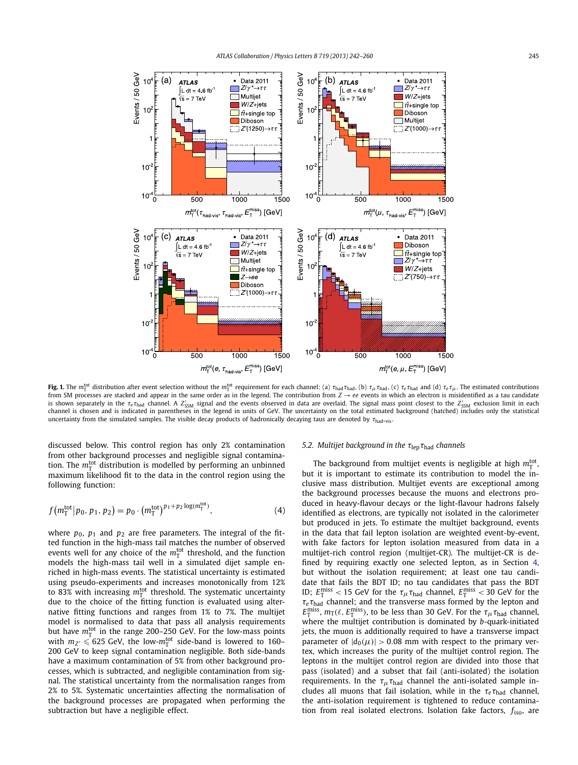<span id="page-3-0"></span>

**Fig. 1.** The  $m_1^{\rm tot}$  distribution after event selection without the  $m_1^{\rm tot}$  requirement for each channel: (a)  $\tau_{\rm had} \tau_{\rm had}$ , (b)  $\tau_{\mu} \tau_{\rm had}$ , (c)  $\tau_e \tau_{\rm had}$  and (d)  $\tau_e \tau_{\mu}$ . The estimated contributions from SM processes are stacked and appear in the same order as in the legend. The contribution from *Z* → *ee* events in which an electron is misidentified as a tau candidate is shown separately in the  $\tau_e\tau_{\rm had}$  channel. A  $Z'_{\rm SSM}$  signal and the events observed in data are overlaid. The signal mass point closest to the  $Z'_{\rm SSM}$  exclusion limit in each channel is chosen and is indicated in parentheses in the legend in units of GeV. The uncertainty on the total estimated background (hatched) includes only the statistical uncertainty from the simulated samples. The visible decay products of hadronically decaying taus are denoted by *τ*had-vis .

discussed below. This control region has only 2% contamination from other background processes and negligible signal contamination. The  $m_{\overline{1}}^{\rm tot}$  distribution is modelled by performing an unbinned maximum likelihood fit to the data in the control region using the following function:

$$
f(m_{\rm T}^{\rm tot}|p_0, p_1, p_2) = p_0 \cdot (m_{\rm T}^{\rm tot})^{p_1 + p_2 \log(m_{\rm T}^{\rm tot})},\tag{4}
$$

where  $p_0$ ,  $p_1$  and  $p_2$  are free parameters. The integral of the fitted function in the high-mass tail matches the number of observed events well for any choice of the  $m_{\overline{1}}^{\text{tot}}$  threshold, and the function models the high-mass tail well in a simulated dijet sample enriched in high-mass events. The statistical uncertainty is estimated using pseudo-experiments and increases monotonically from 12% to 83% with increasing  $m_\text{T}^\text{tot}$  threshold. The systematic uncertainty due to the choice of the fitting function is evaluated using alternative fitting functions and ranges from 1% to 7%. The multijet model is normalised to data that pass all analysis requirements but have  $m_{\overline{1}}^{\rm tot}$  in the range 200–250 GeV. For the low-mass points with  $m_{Z'} \leqslant 625$  GeV, the low- $m_{\overline{1}}^{\rm tot}$  side-band is lowered to 160– 200 GeV to keep signal contamination negligible. Both side-bands have a maximum contamination of 5% from other background processes, which is subtracted, and negligible contamination from signal. The statistical uncertainty from the normalisation ranges from 2% to 5%. Systematic uncertainties affecting the normalisation of the background processes are propagated when performing the subtraction but have a negligible effect.

# *5.2. Multijet background in the τ*lep*τ*had *channels*

The background from multijet events is negligible at high  $m<sub>T</sub><sup>tot</sup>$ , but it is important to estimate its contribution to model the inclusive mass distribution. Multijet events are exceptional among the background processes because the muons and electrons produced in heavy-flavour decays or the light-flavour hadrons falsely identified as electrons, are typically not isolated in the calorimeter but produced in jets. To estimate the multijet background, events in the data that fail lepton isolation are weighted event-by-event, with fake factors for lepton isolation measured from data in a multijet-rich control region (multijet-CR). The multijet-CR is defined by requiring exactly one selected lepton, as in Section [4,](#page-2-0) but without the isolation requirement; at least one tau candidate that fails the BDT ID; no tau candidates that pass the BDT ID;  $E_{\text{T}}^{\text{miss}} < 15$  GeV for the  $\tau_{\mu} \tau_{\text{had}}$  channel,  $E_{\text{T}}^{\text{miss}} < 30$  GeV for the *τeτ*had channel; and the transverse mass formed by the lepton and  $E_{\rm T}^{\rm miss}$ ,  $m_{\rm T}(\ell,E_{\rm T}^{\rm miss})$ , to be less than 30 GeV. For the  $\tau_\mu\tau_{\rm had}$  channel, where the multijet contribution is dominated by *b*-quark-initiated jets, the muon is additionally required to have a transverse impact parameter of  $|d_0(\mu)| > 0.08$  mm with respect to the primary vertex, which increases the purity of the multijet control region. The leptons in the multijet control region are divided into those that pass (isolated) and a subset that fail (anti-isolated) the isolation requirements. In the  $\tau_{\mu} \tau_{\text{had}}$  channel the anti-isolated sample includes all muons that fail isolation, while in the  $\tau_e \tau_{\text{had}}$  channel, the anti-isolation requirement is tightened to reduce contamination from real isolated electrons. Isolation fake factors, *f*iso, are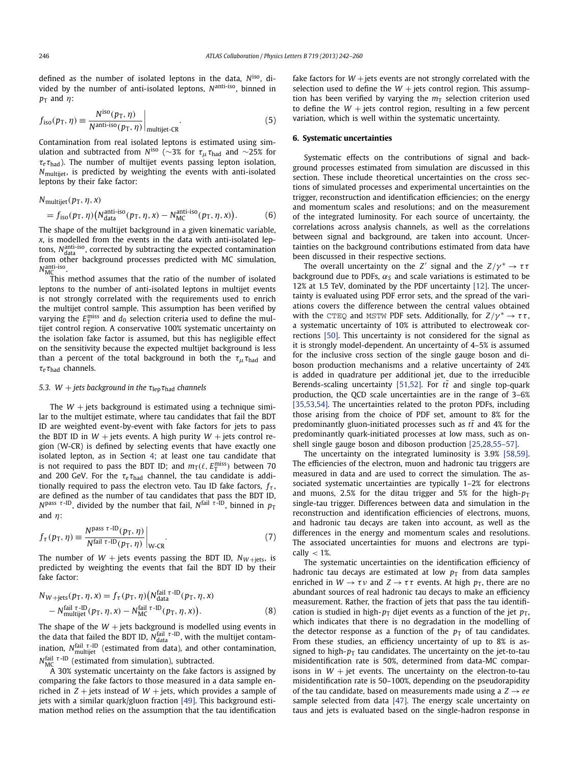defined as the number of isolated leptons in the data, *N*iso, divided by the number of anti-isolated leptons, *N*anti-iso, binned in *p*<sup>T</sup> and *η*:

$$
f_{\rm iso}(p_{\rm T}, \eta) \equiv \frac{N^{\rm iso}(p_{\rm T}, \eta)}{N^{\rm anti-iso}(p_{\rm T}, \eta)} \Big|_{\rm multijet-CR}.
$$
 (5)

Contamination from real isolated leptons is estimated using simulation and subtracted from *N*<sup>iso</sup> (∼3% for  $\tau_{\mu} \tau_{\text{had}}$  and ∼25% for  $\tau_e \tau_{\text{had}}$ ). The number of multijet events passing lepton isolation, *N*multijet, is predicted by weighting the events with anti-isolated leptons by their fake factor:

$$
N_{\text{multijet}}(p_{\text{T}}, \eta, x)
$$
  
=  $f_{\text{iso}}(p_{\text{T}}, \eta) (N_{\text{data}}^{\text{anti-iso}}(p_{\text{T}}, \eta, x) - N_{\text{MC}}^{\text{anti-iso}}(p_{\text{T}}, \eta, x)).$  (6)

The shape of the multijet background in a given kinematic variable, *x*, is modelled from the events in the data with anti-isolated leptons, N<sup>anti-iso</sup>, corrected by subtracting the expected contamination from other background processes predicted with MC simulation, *N*anti-iso MC .

This method assumes that the ratio of the number of isolated leptons to the number of anti-isolated leptons in multijet events is not strongly correlated with the requirements used to enrich the multijet control sample. This assumption has been verified by varying the  $E_{\rm T}^{\rm miss}$  and  $d_0$  selection criteria used to define the multijet control region. A conservative 100% systematic uncertainty on the isolation fake factor is assumed, but this has negligible effect on the sensitivity because the expected multijet background is less than a percent of the total background in both the  $\tau_{\mu} \tau_{\text{had}}$  and *τ<sup>e</sup> τ*had channels.

# *5.3.*  $W$  + *jets background in the*  $\tau_{\text{len}}\tau_{\text{had}}$  *channels*

The  $W +$  jets background is estimated using a technique similar to the multijet estimate, where tau candidates that fail the BDT ID are weighted event-by-event with fake factors for jets to pass the BDT ID in  $W$  + jets events. A high purity  $W$  + jets control region (W-CR) is defined by selecting events that have exactly one isolated lepton, as in Section [4;](#page-2-0) at least one tau candidate that is not required to pass the BDT ID; and  $m_T(\ell, E_T^{\text{miss}})$  between 70 and 200 GeV. For the  $\tau_e \tau_{\text{had}}$  channel, the tau candidate is additionally required to pass the electron veto. Tau ID fake factors, *fτ* , are defined as the number of tau candidates that pass the BDT ID, *N*<sup>pass *τ*-ID</sup>, divided by the number that fail, *N*<sup>fail *τ*-ID</sup>, binned in  $p_T$ and *η*:

$$
f_{\tau}(p_{\rm T}, \eta) \equiv \frac{N^{\rm pass \ \tau \text{-ID}}(p_{\rm T}, \eta)}{N^{\rm fail \ \tau \text{-ID}}(p_{\rm T}, \eta)} \bigg|_{\rm W\text{-}CR}.
$$

The number of  $W$  + jets events passing the BDT ID,  $N_{W + \text{jets}}$ , is predicted by weighting the events that fail the BDT ID by their fake factor:

$$
N_{W+\text{jets}}(p_{\text{T}}, \eta, x) = f_{\tau}(p_{\text{T}}, \eta) \left(N_{\text{data}}^{\text{fail}\ \tau-\text{ID}}(p_{\text{T}}, \eta, x)\right) - N_{\text{multiplet}}^{\text{fail}\ \tau-\text{ID}}(p_{\text{T}}, \eta, x) - N_{\text{MC}}^{\text{fail}\ \tau-\text{ID}}(p_{\text{T}}, \eta, x)\right).
$$
\n(8)

The shape of the  $W +$  jets background is modelled using events in the data that failed the BDT ID,  $N_{data}^{fail\tau-ID}$ , with the multijet contamination, *N*fail *<sup>τ</sup>* -ID multijet (estimated from data), and other contamination, *N*<sup>fail τ-ID (estimated from simulation), subtracted.</sup>

A 30% systematic uncertainty on the fake factors is assigned by comparing the fake factors to those measured in a data sample enriched in  $Z$  + jets instead of  $W$  + jets, which provides a sample of jets with a similar quark/gluon fraction [\[49\].](#page-7-0) This background estimation method relies on the assumption that the tau identification fake factors for  $W +$ jets events are not strongly correlated with the selection used to define the  $W +$  jets control region. This assumption has been verified by varying the  $m<sub>T</sub>$  selection criterion used to define the  $W +$  jets control region, resulting in a few percent variation, which is well within the systematic uncertainty.

# **6. Systematic uncertainties**

Systematic effects on the contributions of signal and background processes estimated from simulation are discussed in this section. These include theoretical uncertainties on the cross sections of simulated processes and experimental uncertainties on the trigger, reconstruction and identification efficiencies; on the energy and momentum scales and resolutions; and on the measurement of the integrated luminosity. For each source of uncertainty, the correlations across analysis channels, as well as the correlations between signal and background, are taken into account. Uncertainties on the background contributions estimated from data have been discussed in their respective sections.

The overall uncertainty on the *Z'* signal and the  $Z/\gamma^* \rightarrow \tau \tau$ background due to PDFs,  $\alpha_s$  and scale variations is estimated to be 12% at 1.5 TeV, dominated by the PDF uncertainty [\[12\].](#page-6-0) The uncertainty is evaluated using PDF error sets, and the spread of the variations covers the difference between the central values obtained with the CTEQ and MSTW PDF sets. Additionally, for  $Z/\gamma^* \to \tau \tau$ , a systematic uncertainty of 10% is attributed to electroweak corrections [\[50\].](#page-7-0) This uncertainty is not considered for the signal as it is strongly model-dependent. An uncertainty of 4–5% is assumed for the inclusive cross section of the single gauge boson and diboson production mechanisms and a relative uncertainty of 24% is added in quadrature per additional jet, due to the irreducible Berends-scaling uncertainty [\[51,52\].](#page-7-0) For  $t\bar{t}$  and single top-quark production, the QCD scale uncertainties are in the range of 3–6% [\[35,53,54\].](#page-6-0) The uncertainties related to the proton PDFs, including those arising from the choice of PDF set, amount to 8% for the predominantly gluon-initiated processes such as  $t\bar{t}$  and 4% for the predominantly quark-initiated processes at low mass, such as onshell single gauge boson and diboson production [\[25,28,55–57\].](#page-6-0)

The uncertainty on the integrated luminosity is 3.9% [\[58,59\].](#page-7-0) The efficiencies of the electron, muon and hadronic tau triggers are measured in data and are used to correct the simulation. The associated systematic uncertainties are typically 1–2% for electrons and muons, 2.5% for the ditau trigger and 5% for the high- $p_T$ single-tau trigger. Differences between data and simulation in the reconstruction and identification efficiencies of electrons, muons, and hadronic tau decays are taken into account, as well as the differences in the energy and momentum scales and resolutions. The associated uncertainties for muons and electrons are typically *<* 1%.

The systematic uncertainties on the identification efficiency of hadronic tau decays are estimated at low  $p<sub>T</sub>$  from data samples enriched in  $W \to \tau \nu$  and  $Z \to \tau \tau$  events. At high  $p_T$ , there are no abundant sources of real hadronic tau decays to make an efficiency measurement. Rather, the fraction of jets that pass the tau identification is studied in high- $p<sub>T</sub>$  dijet events as a function of the jet  $p<sub>T</sub>$ , which indicates that there is no degradation in the modelling of the detector response as a function of the  $p<sub>T</sub>$  of tau candidates. From these studies, an efficiency uncertainty of up to 8% is assigned to high- $p<sub>T</sub>$  tau candidates. The uncertainty on the jet-to-tau misidentification rate is 50%, determined from data-MC comparisons in  $W + jet$  events. The uncertainty on the electron-to-tau misidentification rate is 50–100%, depending on the pseudorapidity of the tau candidate, based on measurements made using a  $Z \rightarrow ee$ sample selected from data [\[47\].](#page-7-0) The energy scale uncertainty on taus and jets is evaluated based on the single-hadron response in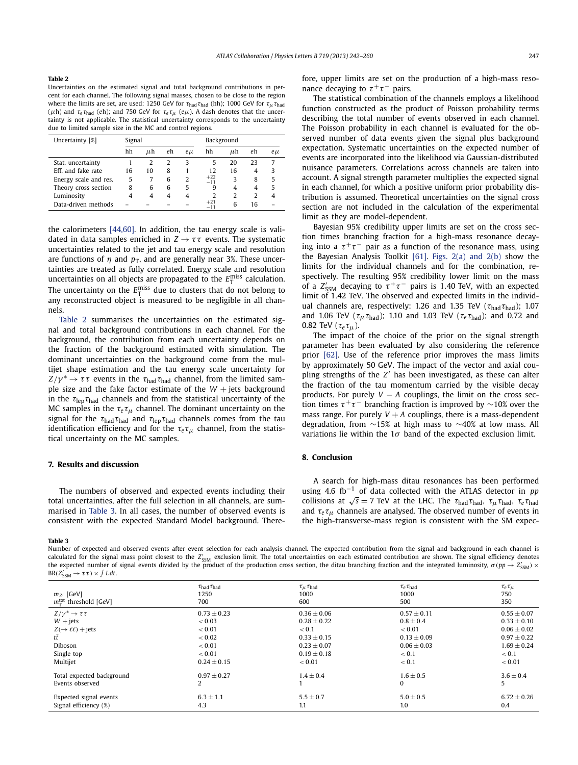#### **Table 2**

Uncertainties on the estimated signal and total background contributions in percent for each channel. The following signal masses, chosen to be close to the region where the limits are set, are used: 1250 GeV for *τ*had*τ*had (hh); 1000 GeV for *τμτ*had (*μ*h) and  $τ_e τ_{had}$  (*eh*); and 750 GeV for  $τ_e τ_{μ}$  (*eμ*). A dash denotes that the uncertainty is not applicable. The statistical uncertainty corresponds to the uncertainty due to limited sample size in the MC and control regions.

| Uncertainty [%]       | Signal |         |    |        | Background     |         |     |        |
|-----------------------|--------|---------|----|--------|----------------|---------|-----|--------|
|                       | hh     | $\mu$ h | eh | $e\mu$ | hh             | $\mu$ h | eh. | $e\mu$ |
| Stat, uncertainty     |        | 2       | 2  | 3      | 5              | 20      | 23  |        |
| Eff. and fake rate    | 16     | 10      | 8  |        | 12             | 16      | 4   | κ      |
| Energy scale and res. | 5      |         | 6  | 2      | $+22$<br>$-11$ | 3       | 8   | 5      |
| Theory cross section  | 8      | 6       | 6  | 5      | 9              | 4       | 4   | 5      |
| Luminosity            | 4      | 4       | 4  | 4      | $\mathcal{P}$  | 2       | 2   |        |
| Data-driven methods   |        |         |    |        | $+21$<br>$-11$ | 6       | 16  |        |

the calorimeters [\[44,60\].](#page-7-0) In addition, the tau energy scale is validated in data samples enriched in  $Z \rightarrow \tau \tau$  events. The systematic uncertainties related to the jet and tau energy scale and resolution are functions of  $\eta$  and  $p<sub>T</sub>$ , and are generally near 3%. These uncertainties are treated as fully correlated. Energy scale and resolution uncertainties on all objects are propagated to the  $E_{\textrm{T}}^{\textrm{miss}}$  calculation. The uncertainty on the  $E_{\rm T}^{\rm miss}$  due to clusters that do not belong to any reconstructed object is measured to be negligible in all channels.

Table 2 summarises the uncertainties on the estimated signal and total background contributions in each channel. For the background, the contribution from each uncertainty depends on the fraction of the background estimated with simulation. The dominant uncertainties on the background come from the multijet shape estimation and the tau energy scale uncertainty for  $Z/\gamma^* \to \tau \tau$  events in the  $\tau_{\text{had}} \tau_{\text{had}}$  channel, from the limited sample size and the fake factor estimate of the  $W +$  jets background in the  $\tau_{\text{lep}}\tau_{\text{had}}$  channels and from the statistical uncertainty of the MC samples in the  $\tau_e \tau_\mu$  channel. The dominant uncertainty on the signal for the *τ*had*τ*had and *τ*lep*τ*had channels comes from the tau identification efficiency and for the  $\tau_e \tau_\mu$  channel, from the statistical uncertainty on the MC samples.

# **7. Results and discussion**

The numbers of observed and expected events including their total uncertainties, after the full selection in all channels, are summarised in Table 3. In all cases, the number of observed events is consistent with the expected Standard Model background. There-

#### **Table 3**

Number of expected and observed events after event selection for each analysis channel. The expected contribution from the signal and background in each channel is calculated for the signal mass point closest to the Z'<sub>SSM</sub> exclusion limit. The total uncertainties on each estimated contribution are shown. The signal efficiency denotes the expected number of signal events divided by the product of the production cross section, the ditau branching fraction and the integrated luminosity,  $\sigma(pp\to Z'_{\rm SSM})\times$  $BR(Z'_{SSM} \to \tau \tau) \times \int L dt$ .

| $m_{Z'}$ [GeV]<br>$m_{\tau}^{\text{tot}}$ threshold [GeV] | $\tau_{\rm had}\tau_{\rm had}$<br>1250<br>700 | $\tau_{\mu}$ $\tau_{\rm had}$<br>1000<br>600 | $\tau_e \tau_{\rm had}$<br>1000<br>500 | $\tau_e \tau_\mu$<br>750<br>350 |
|-----------------------------------------------------------|-----------------------------------------------|----------------------------------------------|----------------------------------------|---------------------------------|
| $Z/\gamma^* \rightarrow \tau \tau$                        | $0.73 \pm 0.23$                               | $0.36 \pm 0.06$                              | $0.57 \pm 0.11$                        | $0.55 \pm 0.07$                 |
| $W + jets$                                                | < 0.03                                        | $0.28 \pm 0.22$                              | $0.8 \pm 0.4$                          | $0.33 \pm 0.10$                 |
| $Z(\rightarrow \ell\ell)$ + jets                          | < 0.01                                        | < 0.1                                        | < 0.01                                 | $0.06 \pm 0.02$                 |
| tt                                                        | < 0.02                                        | $0.33 \pm 0.15$                              | $0.13 \pm 0.09$                        | $0.97 \pm 0.22$                 |
| Diboson                                                   | < 0.01                                        | $0.23 \pm 0.07$                              | $0.06 \pm 0.03$                        | $1.69 \pm 0.24$                 |
| Single top                                                | < 0.01                                        | $0.19 + 0.18$                                | < 0.1                                  | < 0.1                           |
| Multijet                                                  | $0.24 \pm 0.15$                               | < 0.01                                       | < 0.1                                  | < 0.01                          |
| Total expected background                                 | $0.97 \pm 0.27$                               | $1.4 \pm 0.4$                                | $1.6 \pm 0.5$                          | $3.6 \pm 0.4$                   |
| Events observed                                           | 2                                             |                                              | 0                                      | 5                               |
| Expected signal events                                    | $6.3 \pm 1.1$                                 | $5.5 \pm 0.7$                                | $5.0 \pm 0.5$                          | $6.72 \pm 0.26$                 |
| Signal efficiency (%)                                     | 4.3                                           | 1.1                                          | 1.0                                    | 0.4                             |

fore, upper limits are set on the production of a high-mass resonance decaying to  $\tau^+ \tau^-$  pairs.

The statistical combination of the channels employs a likelihood function constructed as the product of Poisson probability terms describing the total number of events observed in each channel. The Poisson probability in each channel is evaluated for the observed number of data events given the signal plus background expectation. Systematic uncertainties on the expected number of events are incorporated into the likelihood via Gaussian-distributed nuisance parameters. Correlations across channels are taken into account. A signal strength parameter multiplies the expected signal in each channel, for which a positive uniform prior probability distribution is assumed. Theoretical uncertainties on the signal cross section are not included in the calculation of the experimental limit as they are model-dependent.

Bayesian 95% credibility upper limits are set on the cross section times branching fraction for a high-mass resonance decaying into a  $\tau^+\tau^-$  pair as a function of the resonance mass, using the Bayesian Analysis Toolkit  $[61]$ . [Figs. 2\(a\) and 2\(b\)](#page-6-0) show the limits for the individual channels and for the combination, respectively. The resulting 95% credibility lower limit on the mass of a  $Z'_{\text{SSM}}$  decaying to  $\tau^+\tau^-$  pairs is 1.40 TeV, with an expected limit of 1*.*42 TeV. The observed and expected limits in the individual channels are, respectively: 1.26 and 1.35 TeV (*τ*had*τ*had); 1.07 and 1.06 TeV (*τμτ*had); 1.10 and 1.03 TeV (*τeτ*had); and 0.72 and 0.82 TeV (*τeτμ*).

The impact of the choice of the prior on the signal strength parameter has been evaluated by also considering the reference prior [\[62\].](#page-7-0) Use of the reference prior improves the mass limits by approximately 50 GeV. The impact of the vector and axial coupling strengths of the *Z'* has been investigated, as these can alter the fraction of the tau momentum carried by the visible decay products. For purely  $V - A$  couplings, the limit on the cross section times  $\tau^+\tau^-$  branching fraction is improved by ~10% over the mass range. For purely  $V + A$  couplings, there is a mass-dependent degradation, from ∼15% at high mass to ∼40% at low mass. All variations lie within the 1*σ* band of the expected exclusion limit.

# **8. Conclusion**

A search for high-mass ditau resonances has been performed using 4.6 fb−<sup>1</sup> of data collected with the ATLAS detector in *pp* collisions at  $\sqrt{s} = 7$  TeV at the LHC. The  $\tau_{\text{had}}\tau_{\text{had}}$ ,  $\tau_{\mu}\tau_{\text{had}}$ ,  $\tau_e\tau_{\text{had}}$ and  $\tau_e \tau_\mu$  channels are analysed. The observed number of events in the high-transverse-mass region is consistent with the SM expec-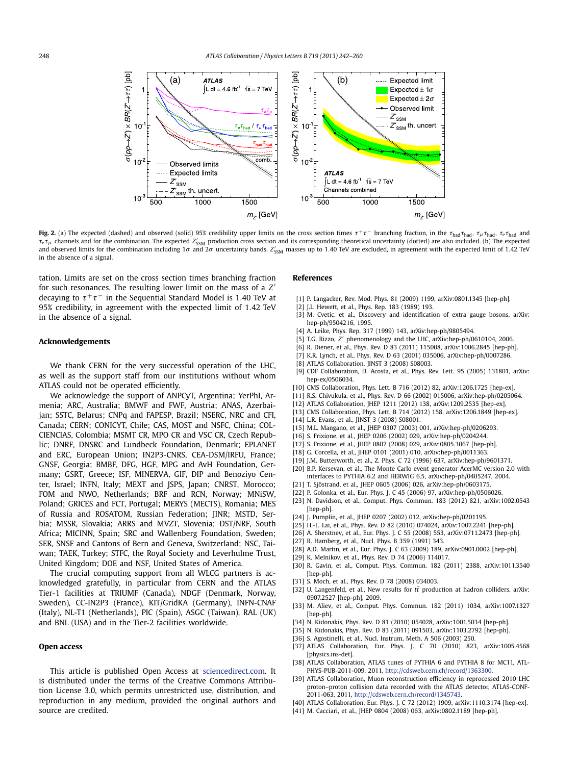<span id="page-6-0"></span>

Fig. 2. (a) The expected (dashed) and observed (solid) 95% credibility upper limits on the cross section times  $\tau^+\tau^-$  branching fraction, in the  $\tau_{had}$ ,  $\tau_{\mu}$   $\tau_{had}$ ,  $\tau_{e}$   $\tau_{had}$  and *τ<sub>e</sub> τ*<sub>μ</sub> channels and for the combination. The expected *Z*<sup>*l*</sup><sub>SSM</sub> production cross section and its corresponding theoretical uncertainty (dotted) are also included. (b) The expected and observed limits for the combination including 1 $\sigma$  and 2 $\sigma$  uncertainty bands.  $Z'_{\rm SSM}$  masses up to 1.40 TeV are excluded, in agreement with the expected limit of 1.42 TeV in the absence of a signal.

tation. Limits are set on the cross section times branching fraction for such resonances. The resulting lower limit on the mass of a *Z* decaying to  $\tau^+\tau^-$  in the Sequential Standard Model is 1.40 TeV at 95% credibility, in agreement with the expected limit of 1*.*42 TeV in the absence of a signal.

### **Acknowledgements**

We thank CERN for the very successful operation of the LHC, as well as the support staff from our institutions without whom ATLAS could not be operated efficiently.

We acknowledge the support of ANPCyT, Argentina; YerPhI, Armenia; ARC, Australia; BMWF and FWF, Austria; ANAS, Azerbaijan; SSTC, Belarus; CNPq and FAPESP, Brazil; NSERC, NRC and CFI, Canada; CERN; CONICYT, Chile; CAS, MOST and NSFC, China; COL-CIENCIAS, Colombia; MSMT CR, MPO CR and VSC CR, Czech Republic; DNRF, DNSRC and Lundbeck Foundation, Denmark; EPLANET and ERC, European Union; IN2P3-CNRS, CEA-DSM/IRFU, France; GNSF, Georgia; BMBF, DFG, HGF, MPG and AvH Foundation, Germany; GSRT, Greece; ISF, MINERVA, GIF, DIP and Benoziyo Center, Israel; INFN, Italy; MEXT and JSPS, Japan; CNRST, Morocco; FOM and NWO, Netherlands; BRF and RCN, Norway; MNiSW, Poland; GRICES and FCT, Portugal; MERYS (MECTS), Romania; MES of Russia and ROSATOM, Russian Federation; JINR; MSTD, Serbia; MSSR, Slovakia; ARRS and MVZT, Slovenia; DST/NRF, South Africa; MICINN, Spain; SRC and Wallenberg Foundation, Sweden; SER, SNSF and Cantons of Bern and Geneva, Switzerland; NSC, Taiwan; TAEK, Turkey; STFC, the Royal Society and Leverhulme Trust, United Kingdom; DOE and NSF, United States of America.

The crucial computing support from all WLCG partners is acknowledged gratefully, in particular from CERN and the ATLAS Tier-1 facilities at TRIUMF (Canada), NDGF (Denmark, Norway, Sweden), CC-IN2P3 (France), KIT/GridKA (Germany), INFN-CNAF (Italy), NL-T1 (Netherlands), PIC (Spain), ASGC (Taiwan), RAL (UK) and BNL (USA) and in the Tier-2 facilities worldwide.

# **Open access**

This article is published Open Access at [sciencedirect.com](http://www.sciencedirect.com). It is distributed under the terms of the Creative Commons Attribution License 3.0, which permits unrestricted use, distribution, and reproduction in any medium, provided the original authors and source are credited.

### **References**

- [1] P. Langacker, Rev. Mod. Phys. 81 (2009) 1199, arXiv:0801.1345 [hep-ph].
- [2] J.L. Hewett, et al., Phys. Rep. 183 (1989) 193.
- [3] M. Cvetic, et al., Discovery and identification of extra gauge bosons, arXiv: hep-ph/9504216, 1995.
- [4] A. Leike, Phys. Rep. 317 (1999) 143, arXiv:hep-ph/9805494.
- [5] T.G. Rizzo, *Z'* phenomenology and the LHC, arXiv:hep-ph/0610104, 2006.
- [6] R. Diener, et al., Phys. Rev. D 83 (2011) 115008, arXiv:1006.2845 [hep-ph].
- [7] K.R. Lynch, et al., Phys. Rev. D 63 (2001) 035006, arXiv:hep-ph/0007286.
- [8] ATLAS Collaboration, JINST 3 (2008) S08003.
- [9] CDF Collaboration, D. Acosta, et al., Phys. Rev. Lett. 95 (2005) 131801, arXiv: hep-ex/0506034.
- [10] CMS Collaboration, Phys. Lett. B 716 (2012) 82, arXiv:1206.1725 [hep-ex].
- [11] R.S. Chivukula, et al., Phys. Rev. D 66 (2002) 015006, arXiv:hep-ph/0205064.
- [12] ATLAS Collaboration, JHEP 1211 (2012) 138, arXiv:1209.2535 [hep-ex].
- [13] CMS Collaboration, Phys. Lett. B 714 (2012) 158, arXiv:1206.1849 [hep-ex].
- [14] L.R. Evans, et al., JINST 3 (2008) S08001.
- [15] M.L. Mangano, et al., JHEP 0307 (2003) 001, arXiv:hep-ph/0206293.
- [16] S. Frixione, et al., JHEP 0206 (2002) 029, arXiv:hep-ph/0204244.
- [17] S. Frixione, et al., JHEP 0807 (2008) 029, arXiv:0805.3067 [hep-ph].
- [18] G. Corcella, et al., JHEP 0101 (2001) 010, arXiv:hep-ph/0011363.
- [19] J.M. Butterworth, et al., Z. Phys. C 72 (1996) 637, arXiv:hep-ph/9601371.
- [20] B.P. Kersevan, et al., The Monte Carlo event generator AcerMC version 2.0 with interfaces to PYTHIA 6.2 and HERWIG 6.5, arXiv:hep-ph/0405247, 2004.
- [21] T. Sjöstrand, et al., JHEP 0605 (2006) 026, arXiv:hep-ph/0603175.
- [22] P. Golonka, et al., Eur. Phys. J. C 45 (2006) 97, arXiv:hep-ph/0506026.
- [23] N. Davidson, et al., Comput. Phys. Commun. 183 (2012) 821, arXiv:1002.0543 [hep-ph].
- [24] J. Pumplin, et al., JHEP 0207 (2002) 012, arXiv:hep-ph/0201195.
- [25] H.-L. Lai, et al., Phys. Rev. D 82 (2010) 074024, arXiv:1007.2241 [hep-ph].
- [26] A. Sherstnev, et al., Eur. Phys. J. C 55 (2008) 553, arXiv:0711.2473 [hep-ph].
- [27] R. Hamberg, et al., Nucl. Phys. B 359 (1991) 343.
- [28] A.D. Martin, et al., Eur. Phys. J. C 63 (2009) 189, arXiv:0901.0002 [hep-ph].
- [29] K. Melnikov, et al., Phys. Rev. D 74 (2006) 114017.
- [30] R. Gavin, et al., Comput. Phys. Commun. 182 (2011) 2388, arXiv:1011.3540 [hep-ph].
- [31] S. Moch, et al., Phys. Rev. D 78 (2008) 034003.
- [32] U. Langenfeld, et al., New results for  $t\bar{t}$  production at hadron colliders, arXiv: 0907.2527 [hep-ph], 2009.
- [33] M. Aliev, et al., Comput. Phys. Commun. 182 (2011) 1034, arXiv:1007.1327 [hep-ph].
- [34] N. Kidonakis, Phys. Rev. D 81 (2010) 054028, arXiv:1001.5034 [hep-ph].
- [35] N. Kidonakis, Phys. Rev. D 83 (2011) 091503, arXiv:1103.2792 [hep-ph].
- [36] S. Agostinelli, et al., Nucl. Instrum. Meth. A 506 (2003) 250.
- [37] ATLAS Collaboration, Eur. Phys. J. C 70 (2010) 823, arXiv:1005.4568 [physics.ins-det].
- [38] ATLAS Collaboration, ATLAS tunes of PYTHIA 6 and PYTHIA 8 for MC11, ATL-PHYS-PUB-2011-009, 2011, <http://cdsweb.cern.ch/record/1363300>.
- [39] ATLAS Collaboration, Muon reconstruction efficiency in reprocessed 2010 LHC proton–proton collision data recorded with the ATLAS detector, ATLAS-CONF-2011-063, 2011, [http://cdsweb.cern.ch/record/1345743.](http://cdsweb.cern.ch/record/1345743)
- [40] ATLAS Collaboration, Eur. Phys. J. C 72 (2012) 1909, arXiv:1110.3174 [hep-ex].
- [41] M. Cacciari, et al., JHEP 0804 (2008) 063, arXiv:0802.1189 [hep-ph].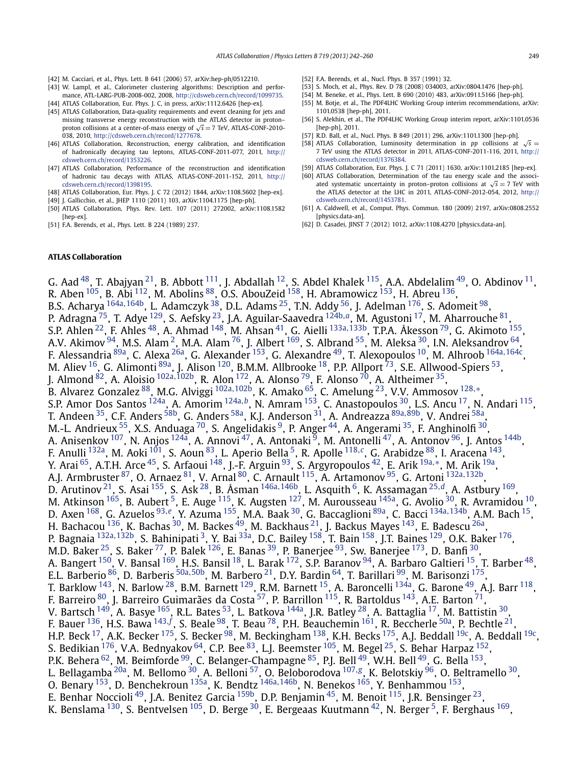- <span id="page-7-0"></span>[42] M. Cacciari, et al., Phys. Lett. B 641 (2006) 57, arXiv:hep-ph/0512210.
- [43] W. Lampl, et al., Calorimeter clustering algorithms: Description and performance, ATL-LARG-PUB-2008-002, 2008, [http://cdsweb.cern.ch/record/1099735.](http://cdsweb.cern.ch/record/1099735)
- [44] ATLAS Collaboration, Eur. Phys. J. C. in press, arXiv:1112.6426 [hep-ex].
- [45] ATLAS Collaboration, Data-quality requirements and event cleaning for jets and missing transverse energy reconstruction with the ATLAS detector in proton– proton collisions at a center-of-mass energy of <sup>√</sup>*<sup>s</sup>* <sup>=</sup> 7 TeV, ATLAS-CONF-2010- 038, 2010, [http://cdsweb.cern.ch/record/1277678.](http://cdsweb.cern.ch/record/1277678)
- [46] ATLAS Collaboration, Reconstruction, energy calibration, and identification of hadronically decaying tau leptons, ATLAS-CONF-2011-077, 2011, [http://](http://cdsweb.cern.ch/record/1353226) [cdsweb.cern.ch/record/1353226.](http://cdsweb.cern.ch/record/1353226)
- [47] ATLAS Collaboration, Performance of the reconstruction and identification of hadronic tau decays with ATLAS, ATLAS-CONF-2011-152, 2011, [http://](http://cdsweb.cern.ch/record/1398195) [cdsweb.cern.ch/record/1398195.](http://cdsweb.cern.ch/record/1398195)
- [48] ATLAS Collaboration, Eur. Phys. J. C 72 (2012) 1844, arXiv:1108.5602 [hep-ex].
- [49] J. Gallicchio, et al., JHEP 1110 (2011) 103, arXiv:1104.1175 [hep-ph].
- [50] ATLAS Collaboration, Phys. Rev. Lett. 107 (2011) 272002, arXiv:1108.1582 [hep-ex].
- [51] F.A. Berends, et al., Phys. Lett. B 224 (1989) 237.
- [52] F.A. Berends, et al., Nucl. Phys. B 357 (1991) 32.
- [53] S. Moch, et al., Phys. Rev. D 78 (2008) 034003, arXiv:0804.1476 [hep-ph].
- [54] M. Beneke, et al., Phys. Lett. B 690 (2010) 483, arXiv:0911.5166 [hep-ph].
- [55] M. Botje, et al., The PDF4LHC Working Group interim recommendations, arXiv: 1101.0538 [hep-ph], 2011.
- S. Alekhin, et al., The PDF4LHC Working Group interim report, arXiv:1101.0536 [hep-ph], 2011.
- [57] R.D. Ball, et al., Nucl. Phys. B 849 (2011) 296, arXiv:1101.1300 [hep-ph].
- [58] ATLAS Collaboration, Luminosity determination in *pp* collisions at  $\sqrt{s}$  = 7 TeV using the ATLAS detector in 2011, ATLAS-CONF-2011-116, 2011, [http://](http://cdsweb.cern.ch/record/1376384) [cdsweb.cern.ch/record/1376384.](http://cdsweb.cern.ch/record/1376384)
- [59] ATLAS Collaboration, Eur. Phys. J. C 71 (2011) 1630, arXiv:1101.2185 [hep-ex].
- [60] ATLAS Collaboration, Determination of the tau energy scale and the associated systematic uncertainty in proton–proton collisions at  $\sqrt{s} = 7$  TeV with the ATLAS detector at the LHC in 2011, ATLAS-CONF-2012-054, 2012, [http://](http://cdsweb.cern.ch/record/1453781) [cdsweb.cern.ch/record/1453781.](http://cdsweb.cern.ch/record/1453781)
- [61] A. Caldwell, et al., Comput. Phys. Commun. 180 (2009) 2197, arXiv:0808.2552 [physics.data-an].
- [62] D. Casadei, JINST 7 (2012) 1012, arXiv:1108.4270 [physics.data-an].

# **ATLAS Collaboration**

G. Aad  $^{48}$ , T. Abajyan  $^{21}$ , B. Abbott  $^{111}$ , J. Abdallah  $^{12}$ , S. Abdel Khalek  $^{115}$ , A.A. Abdelalim  $^{49}$ , O. Abdinov  $^{11}$ , R. Aben  $^{105}$ , B. Abi  $^{112}$ , M. Abolins  $^{88}$ , O.S. AbouZeid  $^{158}$ , H. Abramowicz  $^{153}$  $^{153}$  $^{153}$ , H. Abreu  $^{136}$  $^{136}$  $^{136}$ , B.S. Acharya [164a](#page-18-0)*,*[164b,](#page-18-0) L. Adamczyk [38,](#page-16-0) D.L. Adams [25](#page-16-0), T.N. Addy [56](#page-16-0), J. Adelman [176,](#page-18-0) S. Adomeit [98,](#page-17-0) P. Adragna [75,](#page-17-0) T. Adye [129,](#page-17-0) S. Aefsky [23,](#page-16-0) J.A. Aguilar-Saavedra [124b](#page-17-0)*,[a](#page-18-0)*, M. Agustoni [17,](#page-16-0) M. Aharrouche [81,](#page-17-0) S.P. Ahlen [22,](#page-16-0) F. Ahles [48](#page-16-0), A. Ahmad [148,](#page-18-0) M. Ahsan [41,](#page-16-0) G. Aielli [133a](#page-17-0)*,*[133b,](#page-17-0) T.P.A. Åkesson [79,](#page-17-0) G. Akimoto [155,](#page-18-0) A.V. Akimov  $94$ <sub>, M.S.</sub> Alam <sup>2</sup>, M.A. Alam <sup>76</sup>, J. Albert <sup>169</sup>, S. Albrand <sup>55</sup>, M. Aleksa  $^{30}$  $^{30}$  $^{30}$ , I.N. Aleksandrov  $^{64}$ , F. Alessandria [89a,](#page-17-0) C. Alexa [26a,](#page-16-0) G. Alexander [153,](#page-18-0) G. Alexandre [49,](#page-16-0) T. Alexopoulos [10,](#page-16-0) M. Alhroob [164a](#page-18-0)*,*[164c,](#page-18-0) M. Aliev  $^{16}$ , G. Alimonti  $^{89a}$ , J. Alison  $^{120}$ , B.M.M. Allbrooke  $^{18}$ , P.P. Allport  $^{73}$ , S.E. Allwood-Spiers  $^{53}$  $^{53}$  $^{53}$ , J. Almond [82,](#page-17-0) A. Aloisio [102a](#page-17-0)*,*[102b,](#page-17-0) R. Alon [172,](#page-18-0) A. Alonso [79,](#page-17-0) F. Alonso [70,](#page-16-0) A. Altheimer [35](#page-16-0), B. Alvarez Gonzalez [88,](#page-17-0) M.G. Alviggi [102a](#page-17-0)*,*[102b,](#page-17-0) K. Amako [65,](#page-16-0) C. Amelung [23,](#page-16-0) V.V. Ammosov [128](#page-17-0)*,*[∗](#page-18-0), S.P. Amor Dos Santos [124a,](#page-17-0) A. Amorim [124a](#page-17-0)*,[b](#page-18-0)*, N. Amram [153](#page-18-0), C. Anastopoulos [30,](#page-16-0) L.S. Ancu [17,](#page-16-0) N. Andari [115,](#page-17-0) T. Andeen [35](#page-16-0), C.F. Anders [58b,](#page-16-0) G. Anders [58a](#page-16-0), K.J. Anderson [31,](#page-16-0) A. Andreazza [89a](#page-17-0)*,*[89b,](#page-17-0) V. Andrei [58a,](#page-16-0) M.-L. Andrieux <sup>55</sup>, X.S. Anduaga <sup>70</sup>, S. Angelidakis <sup>9</sup>, P. Anger <sup>44</sup>, A. Angerami <sup>35</sup>, F. Anghinolfi <sup>30</sup>, A. Anisenkov <sup>107</sup>, N. Anjos <sup>124a</sup>, A. Annovi <sup>[47](#page-16-0)</sup>, A. Antonaki <sup>9</sup>, M. Antonelli <sup>47</sup>, A. Antonov <sup>96</sup>, J. Antos <sup>144b</sup>, F. Anulli [132a,](#page-17-0) M. Aoki [101](#page-17-0), S. Aoun [83,](#page-17-0) L. Aperio Bella [5,](#page-16-0) R. Apolle [118](#page-17-0)*,[c](#page-18-0)*, G. Arabidze [88,](#page-17-0) I. Aracena [143,](#page-17-0) Y. Arai [65,](#page-16-0) A.T.H. Arce [45,](#page-16-0) S. Arfaoui [148,](#page-18-0) J.-F. Arguin [93,](#page-17-0) S. Argyropoulos [42,](#page-16-0) E. Arik [19a](#page-16-0)*,*[∗](#page-18-0), M. Arik [19a,](#page-16-0) A.J. Armbruster [87,](#page-17-0) O. Arnaez [81,](#page-17-0) V. Arnal [80,](#page-17-0) C. Arnault [115,](#page-17-0) A. Artamonov [95,](#page-17-0) G. Artoni [132a](#page-17-0)*,*[132b](#page-17-0), D. Arutinov [21,](#page-16-0) S. Asai [155,](#page-18-0) S. Ask [28,](#page-16-0) B. Åsman [146a](#page-18-0)*,*[146b,](#page-18-0) L. Asquith [6,](#page-16-0) K. Assamagan [25](#page-16-0)*,[d](#page-18-0)*, A. Astbury [169,](#page-18-0) M. Atkinson  $^{165}$ , B. Aubert  $^5$ , E. Auge  $^{115}$ , K. Augsten  $^{127}$ , M. Aurousseau  $^{145}$ , G. Avolio  $^{30}$ , R. Avramidou  $^{10}$ , D. Axen [168,](#page-18-0) G. Azuelos [93](#page-17-0)*,[e](#page-18-0)*, Y. Azuma [155,](#page-18-0) M.A. Baak [30,](#page-16-0) G. Baccaglioni [89a,](#page-17-0) C. Bacci [134a](#page-17-0)*,*[134b,](#page-17-0) A.M. Bach [15](#page-16-0), H. Bachacou  $^{136}$ , K. Bachas  $^{30}$ , M. Backes  $^{49}$ , M. Backhaus  $^{21}$ , J. Backus Mayes  $^{143}$ , E. Badescu  $^{26\mathrm{a}}$ , P. Bagnaia [132a](#page-17-0)*,*[132b](#page-17-0), S. Bahinipati [3,](#page-16-0) Y. Bai [33a,](#page-16-0) D.C. Bailey [158,](#page-18-0) T. Bain [158,](#page-18-0) J.T. Baines [129,](#page-17-0) O.K. Baker [176,](#page-18-0) M.D. Baker [25](#page-16-0), S. Baker [77,](#page-17-0) P. Balek [126,](#page-17-0) E. Banas [39,](#page-16-0) P. Banerjee [93,](#page-17-0) Sw. Banerjee [173,](#page-18-0) D. Banfi [30,](#page-16-0) A. Bangert <sup>[150](#page-18-0)</sup>, V. Bansal <sup>169</sup>, H.S. Bansil <sup>18</sup>, L. Barak <sup>172</sup>, S.P. Baranov <sup>94</sup>, A. Barbaro Galtieri <sup>15</sup>, T. Barber <sup>48</sup>, E.L. Barberio [86,](#page-17-0) D. Barberis [50a](#page-16-0)*,*[50b,](#page-16-0) M. Barbero [21,](#page-16-0) D.Y. Bardin [64,](#page-16-0) T. Barillari [99,](#page-17-0) M. Barisonzi [175,](#page-18-0) T. Barklow  $^{143}$ , N. Barlow  $^{28}$ , B.M. Barnett  $^{129}$ , R.M. Barnett  $^{15}$ , A. Baroncelli  $^{134}$ , G. Barone  $^{49}$ , A.J. Barr  $^{118}$ , F. Barreiro  $^{80}$ , J. Barreiro Guimarães da Costa $^{57}$ , P. Barrillon  $^{115}$ , R. Bartoldus  $^{143}$ , A.E. Barton  $^{71}$ , V. Bartsch  $^{149}$ , A. Basye  $^{165}$ , R.L. Bates  $^{53}$ , L. Batkova  $^{144}$ , J.R. Batley  $^{28}$ , A. Battaglia  $^{17}$ , M. Battistin  $^{30}$ , F. Bauer <sup>136</sup>, H.S. Bawa <sup>[143](#page-17-0), [f](#page-18-0)</sup>, S. Beale <sup>98</sup>, T. Beau <sup>78</sup>, P.H. Beauchemin <sup>161</sup>, R. Beccherle <sup>50a</sup>, P. Bechtle <sup>21</sup>, H.P. Beck  $^{17}$ , A.K. Becker  $^{175}$ , S. Becker  $^{98}$ , M. Beckingham  $^{138}$ , K.H. Becks  $^{175}$ , A.J. Beddall  $^{19c}$ , A. Beddall  $^{19c}$ , S. Bedikian  $^{176}$ , V.A. Bednyakov  $^{64}$ , C.P. Bee  $^{83}$ , L.J. Beemster  $^{105}$ , M. Begel  $^{25}$ , S. Behar Harpaz  $^{152}$  $^{152}$  $^{152}$ , P.K. Behera <sup>62</sup>, M. Beimforde <sup>[99](#page-17-0)</sup>, C. Belanger-Champagne <sup>85</sup>, P.J. Bell <sup>[49](#page-16-0)</sup>, W.H. Bell <sup>49</sup>, G. Bella <sup>153</sup>, L. Bellagamba [20a,](#page-16-0) M. Bellomo [30,](#page-16-0) A. Belloni [57,](#page-16-0) O. Beloborodova [107](#page-17-0)*,[g](#page-18-0)*, K. Belotskiy [96,](#page-17-0) O. Beltramello [30,](#page-16-0) O. Benary [153,](#page-18-0) D. Benchekroun [135a,](#page-17-0) K. Bendtz [146a](#page-18-0)*,*[146b,](#page-18-0) N. Benekos [165,](#page-18-0) Y. Benhammou [153](#page-18-0), E. Benhar Noccioli  $^{49}$ , J.A. Benitez Garcia  $^{159b}$ , D.P. Benjamin  $^{45}$ , M. Benoit  $^{115}$ , J.R. Bensinger  $^{23}$ , K. Benslama <sup>[130](#page-17-0)</sup>, S. Bentvelsen <sup>105</sup>, D. Berge <sup>[30](#page-16-0)</sup>, E. Bergeaas Kuutmann <sup>42</sup>, N. Berger <sup>5</sup>, F. Berghaus <sup>[169](#page-18-0)</sup>,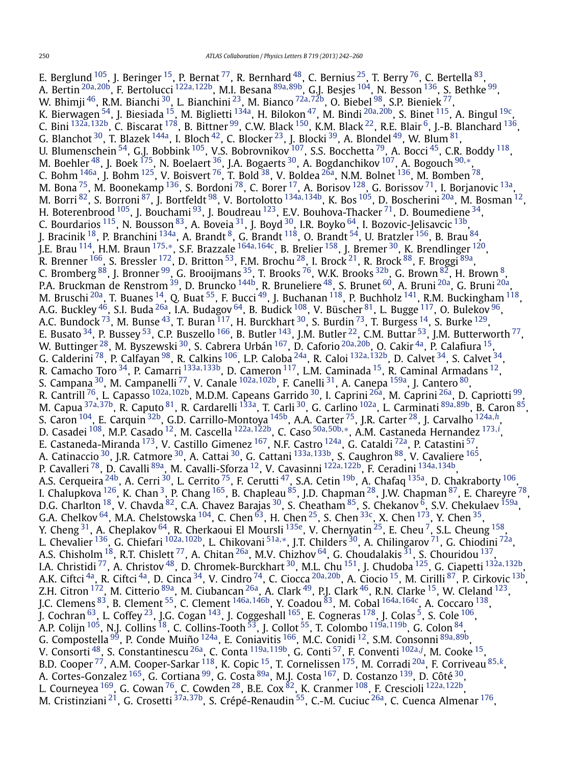E. Berglund  $^{105}$ , J. Beringer  $^{15}$ , P. Bernat  $^{77}$ , R. Bernhard  $^{48}$ , C. Bernius  $^{25}$ , T. Berry  $^{76}$ , C. Bertella  $^{83},$ A. Bertin [20a](#page-16-0)*,*[20b,](#page-16-0) F. Bertolucci [122a](#page-17-0)*,*[122b](#page-17-0), M.I. Besana [89a](#page-17-0)*,*[89b,](#page-17-0) G.J. Besjes [104,](#page-17-0) N. Besson [136](#page-17-0), S. Bethke [99,](#page-17-0) W. Bhimji [46,](#page-16-0) R.M. Bianchi [30,](#page-16-0) L. Bianchini [23,](#page-16-0) M. Bianco [72a](#page-17-0)*,*[72b,](#page-17-0) O. Biebel [98,](#page-17-0) S.P. Bieniek [77,](#page-17-0) K. Bierwagen [54,](#page-16-0) J. Biesiada [15,](#page-16-0) M. Biglietti [134a](#page-17-0), H. Bilokon [47,](#page-16-0) M. Bindi [20a](#page-16-0)*,*[20b,](#page-16-0) S. Binet [115,](#page-17-0) A. Bingul [19c,](#page-16-0) C. Bini [132a](#page-17-0)*,*[132b,](#page-17-0) C. Biscarat [178,](#page-18-0) B. Bittner [99,](#page-17-0) C.W. Black [150,](#page-18-0) K.M. Black [22,](#page-16-0) R.E. Blair [6,](#page-16-0) J.-B. Blanchard [136,](#page-17-0) G. Blanchot  $^{30}$ , T. Blazek  $^{144}$ a, I. Bloch  $^{42}$ , C. Blocker  $^{23}$ , J. Blocki  $^{39}$ , A. Blondel  $^{49}$ , W. Blum  $^{81}$ , U. Blumenschein  $^{54}$ , G.J. Bobbink  $^{105}$  $^{105}$  $^{105}$ , V.S. Bobrovnikov  $^{107}$ , S.S. Bocchetta  $^{79}$ , A. Bocci  $^{45}$ , C.R. Boddy  $^{118}$ , M. Boehler [48](#page-16-0), J. Boek [175,](#page-18-0) N. Boelaert [36,](#page-16-0) J.A. Bogaerts [30,](#page-16-0) A. Bogdanchikov [107,](#page-17-0) A. Bogouch [90](#page-17-0)*,*[∗](#page-18-0), C. Bohm  $^{146}$ , J. Bohm  $^{125}$ , V. Boisvert  $^{76}$ , T. Bold  $^{38}$ , V. Boldea  $^{26\text{a}}$ , N.M. Bolnet  $^{136}$ , M. Bomben  $^{78}$ , M. Bona  $^{75}$ , M. Boonekamp  $^{136}$ , S. Bordoni  $^{78}$ , C. Borer  $^{17}$ , A. Borisov  $^{128}$ , G. Borissov  $^{71}$ , I. Borjanovic  $^{13a}$ , M. Borri [82,](#page-17-0) S. Borroni [87,](#page-17-0) J. Bortfeldt [98](#page-17-0), V. Bortolotto [134a](#page-17-0)*,*[134b](#page-17-0), K. Bos [105,](#page-17-0) D. Boscherini [20a](#page-16-0), M. Bosman [12](#page-16-0), H. Boterenbrood  $^{105}$ , J. Bouchami  $^{93}$ , J. Boudreau  $^{123}$ , E.V. Bouhova-Thacker  $^{71}$ , D. Boumediene  $^{34}$ , C. Bourdarios  $^{115}$ , N. Bousson  $^{83}$ , A. Boveia  $^{31}$ , J. Boyd  $^{30}$ , I.R. Boyko  $^{64}$ , I. Bozovic-Jelisavcic  $^{13\mathrm{b}}$ , J. Bracinik  $^{18}$ , P. Branchini  $^{134}$ a, A. Brandt  $^8$ , G. Brandt  $^{118}$  $^{118}$  $^{118}$ , O. Brandt  $^{54}$ , U. Bratzler  $^{156}$ , B. Brau  $^{84}$ , J.E. Brau [114,](#page-17-0) H.M. Braun [175](#page-18-0)*,*[∗](#page-18-0), S.F. Brazzale [164a](#page-18-0)*,*[164c,](#page-18-0) B. Brelier [158](#page-18-0), J. Bremer [30,](#page-16-0) K. Brendlinger [120,](#page-17-0) R. Brenner  $^{166}$ , S. Bressler  $^{172}$ , D. Britton  $^{53}$ , F.M. Brochu  $^{28}$ , I. Brock  $^{21}$ , R. Brock  $^{88}$ , F. Broggi  $^{89\mathrm{a}}$ , C. Bromberg  $^{88}$ , J. Bronner  $^{99}$ , G. Brooijmans  $^{35}$ , T. Brooks  $^{76}$ , W.K. Brooks  $^{32\mathrm{b}}$ , G. Brown  $^{82}$ , H. Brown  $^{8}$ , P.A. Bruckman de Renstrom <sup>39</sup>, D. Bruncko <sup>144b</sup>, R. Bruneliere <sup>[48](#page-16-0)</sup>, S. Brunet <sup>60</sup>, A. Bruni <sup>20a</sup>, G. Bruni <sup>20a</sup>, M. Bruschi <sup>[20a](#page-16-0)</sup>, T. Buanes <sup>14</sup>, Q. Buat <sup>55</sup>, F. Bucci <sup>49</sup>, J. Buchanan <sup>118</sup>, P. Buchholz <sup>141</sup>, R.M. Buckingham <sup>118</sup>, A.G. Buckley [46,](#page-16-0) S.I. Buda [26a](#page-16-0), I.A. Budagov [64,](#page-16-0) B. Budick [108,](#page-17-0) V. Büscher [81,](#page-17-0) L. Bugge [117,](#page-17-0) O. Bulekov [96](#page-17-0), A.C. Bundock  $^{73}$ , M. Bunse  $^{43}$ , T. Buran  $^{117}$ , H. Burckhart  $^{30}$ , S. Burdin  $^{73}$ , T. Burgess  $^{14}$ , S. Burke  $^{129}$ , E. Busato  $^{34}$ , P. Bussey  $^{53}$ , C.P. Buszello  $^{166}$ , B. Butler  $^{143}$ , J.M. Butler  $^{22}$ , C.M. Buttar  $^{53}$ , J.M. Butterworth  $^{77}$ , W. Buttinger [28,](#page-16-0) M. Byszewski [30](#page-16-0), S. Cabrera Urbán [167,](#page-18-0) D. Caforio [20a](#page-16-0)*,*[20b,](#page-16-0) O. Cakir [4a,](#page-16-0) P. Calafiura [15,](#page-16-0) G. Calderini [78,](#page-17-0) P. Calfayan [98,](#page-17-0) R. Calkins [106,](#page-17-0) L.P. Caloba [24a](#page-16-0), R. Caloi [132a](#page-17-0)*,*[132b,](#page-17-0) D. Calvet [34,](#page-16-0) S. Calvet [34](#page-16-0), R. Camacho Toro [34,](#page-16-0) P. Camarri [133a](#page-17-0)*,*[133b,](#page-17-0) D. Cameron [117,](#page-17-0) L.M. Caminada [15,](#page-16-0) R. Caminal Armadans [12,](#page-16-0) S. Campana [30,](#page-16-0) M. Campanelli [77,](#page-17-0) V. Canale [102a](#page-17-0)*,*[102b,](#page-17-0) F. Canelli [31](#page-16-0), A. Canepa [159a,](#page-18-0) J. Cantero [80,](#page-17-0) R. Cantrill [76,](#page-17-0) L. Capasso [102a](#page-17-0)*,*[102b,](#page-17-0) M.D.M. Capeans Garrido [30](#page-16-0), I. Caprini [26a](#page-16-0), M. Caprini [26a,](#page-16-0) D. Capriotti [99,](#page-17-0) M. Capua [37a](#page-16-0)*,*[37b,](#page-16-0) R. Caputo [81,](#page-17-0) R. Cardarelli [133a,](#page-17-0) T. Carli [30,](#page-16-0) G. Carlino [102a,](#page-17-0) L. Carminati [89a](#page-17-0)*,*[89b,](#page-17-0) B. Caron [85,](#page-17-0) S. Caron [104,](#page-17-0) E. Carquin [32b,](#page-16-0) G.D. Carrillo-Montoya [145b,](#page-18-0) A.A. Carter [75,](#page-17-0) J.R. Carter [28,](#page-16-0) J. Carvalho [124a](#page-17-0)*,[h](#page-18-0)*, D. Casadei [108](#page-17-0), M.P. Casado [12,](#page-16-0) M. Cascella [122a](#page-17-0)*,*[122b,](#page-17-0) C. Caso [50a](#page-16-0)*,*[50b](#page-16-0)*,*[∗](#page-18-0), A.M. Castaneda Hernandez [173](#page-18-0)*,[i](#page-18-0)* , E. Castaneda-Miranda <sup>173</sup>, V. Castillo Gimenez <sup>167</sup>, N.F. Castro <sup>124a</sup>, G. Cataldi <sup>72a</sup>, P. Catastini <sup>57</sup>, A. Catinaccio [30](#page-16-0), J.R. Catmore [30,](#page-16-0) A. Cattai [30,](#page-16-0) G. Cattani [133a](#page-17-0)*,*[133b,](#page-17-0) S. Caughron [88,](#page-17-0) V. Cavaliere [165,](#page-18-0) P. Cavalleri [78,](#page-17-0) D. Cavalli [89a,](#page-17-0) M. Cavalli-Sforza [12,](#page-16-0) V. Cavasinni [122a](#page-17-0)*,*[122b,](#page-17-0) F. Ceradini [134a](#page-17-0)*,*[134b,](#page-17-0) A.S. Cerqueira <sup>24b</sup>, A. Cerri <sup>30</sup>, L. Cerrito <sup>[75](#page-17-0)</sup>, F. Cerutti <sup>47</sup>, S.A. Cetin <sup>19b</sup>, A. Chafaq <sup>135a</sup>, D. Chakraborty <sup>106</sup>, I. Chalupkova  $^{126}$ , K. Chan $^3$ , P. Chang  $^{165}$ , B. Chapleau  $^{85}$ , J.D. Chapman  $^{28}$  $^{28}$  $^{28}$ , J.W. Chapman  $^{87}$ , E. Chareyre  $^{78}$ , D.G. Charlton  $^{18}$  $^{18}$  $^{18}$ , V. Chavda  $^{82}$ , C.A. Chavez Barajas  $^{30}$  $^{30}$  $^{30}$ , S. Cheatham  $^{85}$ , S. Chekanov  $^6$ , S.V. Chekulaev  $^{159\mathrm{a}}$ , G.A. Chelkov  $^{64}$ , M.A. Chelstowska  $^{104}$ , C. Chen  $^{63}$ , H. Chen  $^{25}$ , S. Chen  $^{33c}$ , X. Chen  $^{173}$ , Y. Chen  $^{35}$ , Y. Cheng <sup>31</sup>, A. Cheplakov <sup>64</sup>, R. Cherkaoui El Moursli <sup>135e</sup>, V. Chernyatin <sup>25</sup>, E. Cheu <sup>7</sup>, S.L. Cheung <sup>158</sup>, L. Chevalier [136,](#page-17-0) G. Chiefari [102a](#page-17-0)*,*[102b,](#page-17-0) L. Chikovani [51a](#page-16-0)*,*[∗](#page-18-0), J.T. Childers [30,](#page-16-0) A. Chilingarov [71,](#page-17-0) G. Chiodini [72a,](#page-17-0) A.S. Chisholm  $^{18}$ , R.T. Chislett  $^{77}$ , A. Chitan  $^{26a}$ , M.V. Chizhov  $^{64}$  $^{64}$  $^{64}$ , G. Choudalakis  $^{31}$  $^{31}$  $^{31}$ , S. Chouridou  $^{137}$ , I.A. Christidi [77,](#page-17-0) A. Christov [48,](#page-16-0) D. Chromek-Burckhart [30,](#page-16-0) M.L. Chu [151,](#page-18-0) J. Chudoba [125,](#page-17-0) G. Ciapetti [132a](#page-17-0)*,*[132b,](#page-17-0) A.K. Ciftci [4a,](#page-16-0) R. Ciftci [4a,](#page-16-0) D. Cinca [34,](#page-16-0) V. Cindro [74](#page-17-0), C. Ciocca [20a](#page-16-0)*,*[20b,](#page-16-0) A. Ciocio [15,](#page-16-0) M. Cirilli [87,](#page-17-0) P. Cirkovic [13b,](#page-16-0) Z.H. Citron <sup>172</sup>, M. Citterio <sup>89a</sup>, M. Ciubancan <sup>26a</sup>, A. Clark <sup>49</sup>, P.J. Clark <sup>46</sup>, R.N. Clarke <sup>15</sup>, W. Cleland <sup>123</sup>, J.C. Clemens [83,](#page-17-0) B. Clement [55,](#page-16-0) C. Clement [146a](#page-18-0)*,*[146b,](#page-18-0) Y. Coadou [83,](#page-17-0) M. Cobal [164a](#page-18-0)*,*[164c,](#page-18-0) A. Coccaro [138,](#page-17-0) J. Cochran  $^{63}$ , L. Coffey  $^{23}$ , J.G. Cogan  $^{143}$ , J. Coggeshall  $^{165}$ , E. Cogneras  $^{178}$ , J. Colas  $^5$ , S. Cole  $^{106}$ , A.P. Colijn [105,](#page-17-0) N.J. Collins [18,](#page-16-0) C. Collins-Tooth [53,](#page-16-0) J. Collot [55,](#page-16-0) T. Colombo [119a](#page-17-0)*,*[119b](#page-17-0), G. Colon [84,](#page-17-0) G. Compostella [99,](#page-17-0) P. Conde Muiño [124a,](#page-17-0) E. Coniavitis [166,](#page-18-0) M.C. Conidi [12](#page-16-0), S.M. Consonni [89a](#page-17-0)*,*[89b,](#page-17-0) V. Consorti [48,](#page-16-0) S. Constantinescu [26a,](#page-16-0) C. Conta [119a](#page-17-0)*,*[119b,](#page-17-0) G. Conti [57,](#page-16-0) F. Conventi [102a](#page-17-0)*,[j](#page-18-0)* , M. Cooke [15,](#page-16-0) B.D. Cooper [77,](#page-17-0) A.M. Cooper-Sarkar [118,](#page-17-0) K. Copic [15,](#page-16-0) T. Cornelissen [175,](#page-18-0) M. Corradi [20a,](#page-16-0) F. Corriveau [85](#page-17-0)*,[k](#page-18-0)*, A. Cortes-Gonzalez <sup>165</sup>, G. Cortiana <sup>99</sup>, G. Costa <sup>89a</sup>, M.J. Costa <sup>167</sup>, D. Costanzo <sup>139</sup>, D. Côté <sup>30</sup>, L. Courneyea [169,](#page-18-0) G. Cowan [76,](#page-17-0) C. Cowden [28,](#page-16-0) B.E. Cox [82](#page-17-0), K. Cranmer [108,](#page-17-0) F. Crescioli [122a](#page-17-0)*,*[122b,](#page-17-0) M. Cristinziani [21,](#page-16-0) G. Crosetti [37a](#page-16-0)*,*[37b,](#page-16-0) S. Crépé-Renaudin [55,](#page-16-0) C.-M. Cuciuc [26a,](#page-16-0) C. Cuenca Almenar [176,](#page-18-0)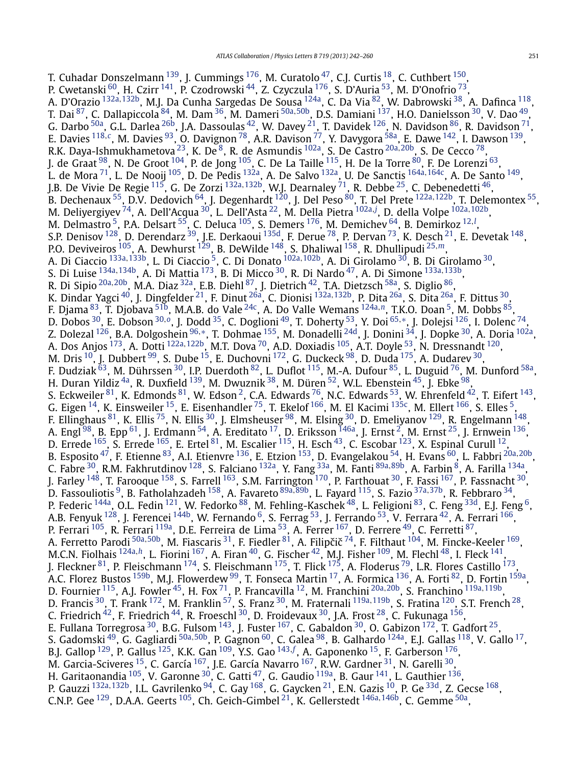T. Cuhadar Donszelmann <sup>139</sup>, J. Cummings <sup>176</sup>, M. Curatolo <sup>47</sup>, C.J. Curtis <sup>18</sup>, C. Cuthbert <sup>150</sup>, P. Cwetanski <sup>60</sup>, H. Czirr <sup>141</sup>, P. Czodrowski <sup>[44](#page-16-0)</sup>, Z. Czyczula <sup>176</sup>, S. D'Auria <sup>53</sup>, M. D'Onofrio <sup>73</sup>, A. D'Orazio [132a](#page-17-0)*,*[132b,](#page-17-0) M.J. Da Cunha Sargedas De Sousa [124a,](#page-17-0) C. Da Via [82,](#page-17-0) W. Dabrowski [38,](#page-16-0) A. Dafinca [118,](#page-17-0) T. Dai [87](#page-17-0), C. Dallapiccola [84,](#page-17-0) M. Dam [36,](#page-16-0) M. Dameri [50a](#page-16-0)*,*[50b](#page-16-0), D.S. Damiani [137,](#page-17-0) H.O. Danielsson [30,](#page-16-0) V. Dao [49,](#page-16-0) G. Darbo  $^{50\text{a}}$ , G.L. Darlea  $^{26\text{b}}$ , J.A. Dassoulas  $^{42}$ , W. Davey  $^{21}$  $^{21}$  $^{21}$ , T. Davidek  $^{126}$ , N. Davidson  $^{86}$ , R. Davidson  $^{71}$ , E. Davies [118](#page-17-0)*,[c](#page-18-0)*, M. Davies [93,](#page-17-0) O. Davignon [78](#page-17-0), A.R. Davison [77,](#page-17-0) Y. Davygora [58a,](#page-16-0) E. Dawe [142](#page-17-0), I. Dawson [139](#page-17-0), R.K. Daya-Ishmukhametova<sup>23</sup>, K. De<sup>8</sup>, R. de Asmundis <sup>102a</sup>, S. De Castro <sup>[20a](#page-16-0), 20b</sup>, S. De Cecco <sup>78</sup>, J. de Graat  $^{98}$  $^{98}$  $^{98}$ , N. De Groot  $^{104}$ , P. de Jong  $^{105}$ , C. De La Taille  $^{115}$ , H. De la Torre  $^{80}$ , F. De Lorenzi  $^{63}$ , L. de Mora [71](#page-17-0), L. De Nooij [105,](#page-17-0) D. De Pedis [132a,](#page-17-0) A. De Salvo [132a,](#page-17-0) U. De Sanctis [164a](#page-18-0)*,*[164c,](#page-18-0) A. De Santo [149,](#page-18-0) J.B. De Vivie De Regie [115,](#page-17-0) G. De Zorzi [132a](#page-17-0)*,*[132b,](#page-17-0) W.J. Dearnaley [71,](#page-17-0) R. Debbe [25,](#page-16-0) C. Debenedetti [46,](#page-16-0) B. Dechenaux [55,](#page-16-0) D.V. Dedovich [64,](#page-16-0) J. Degenhardt [120](#page-17-0), J. Del Peso [80,](#page-17-0) T. Del Prete [122a](#page-17-0)*,*[122b,](#page-17-0) T. Delemontex [55,](#page-16-0) M. Deliyergiyev [74,](#page-17-0) A. Dell'Acqua [30,](#page-16-0) L. Dell'Asta [22,](#page-16-0) M. Della Pietra [102a](#page-17-0)*,[j](#page-18-0)* , D. della Volpe [102a](#page-17-0)*,*[102b,](#page-17-0) M. Delmastro <sup>5</sup>, P.A. Delsart <sup>55</sup>, C. Deluca <sup>105</sup>, S. Demers <sup>176</sup>, M. Demichev <sup>64</sup>, B. Demirkoz <sup>[12](#page-16-0),*[l](#page-18-0)*</sup>, S.P. Denisov <sup>128</sup>, D. Derendarz <sup>39</sup>, J.E. Derkaoui <sup>135d</sup>, F. Derue <sup>78</sup>, P. Dervan <sup>73</sup>, K. Desch <sup>21</sup>, E. Devetak <sup>148</sup>, P.O. Deviveiros <sup>105</sup>, A. Dewhurst <sup>[129](#page-17-0)</sup>, B. DeWilde <sup>148</sup>, S. Dhaliwal <sup>158</sup>, R. Dhullipudi <sup>[25](#page-16-0)*,[m](#page-18-0)*</sup>, A. Di Ciaccio [133a](#page-17-0)*,*[133b,](#page-17-0) L. Di Ciaccio [5,](#page-16-0) C. Di Donato [102a](#page-17-0)*,*[102b,](#page-17-0) A. Di Girolamo [30,](#page-16-0) B. Di Girolamo [30,](#page-16-0) S. Di Luise [134a](#page-17-0)*,*[134b,](#page-17-0) A. Di Mattia [173,](#page-18-0) B. Di Micco [30,](#page-16-0) R. Di Nardo [47,](#page-16-0) A. Di Simone [133a](#page-17-0)*,*[133b,](#page-17-0) R. Di Sipio [20a](#page-16-0)*,*[20b,](#page-16-0) M.A. Diaz [32a,](#page-16-0) E.B. Diehl [87,](#page-17-0) J. Dietrich [42,](#page-16-0) T.A. Dietzsch [58a](#page-16-0), S. Diglio [86,](#page-17-0) K. Dindar Yagci [40,](#page-16-0) J. Dingfelder [21,](#page-16-0) F. Dinut [26a,](#page-16-0) C. Dionisi [132a](#page-17-0)*,*[132b,](#page-17-0) P. Dita [26a](#page-16-0), S. Dita [26a,](#page-16-0) F. Dittus [30](#page-16-0), F. Djama [83,](#page-17-0) T. Djobava [51b,](#page-16-0) M.A.B. do Vale [24c](#page-16-0), A. Do Valle Wemans [124a](#page-17-0)*,[n](#page-18-0)*, T.K.O. Doan [5,](#page-16-0) M. Dobbs [85,](#page-17-0) D. Dobos [30,](#page-16-0) E. Dobson [30](#page-16-0)*,[o](#page-18-0)*, J. Dodd [35,](#page-16-0) C. Doglioni [49,](#page-16-0) T. Doherty [53,](#page-16-0) Y. Doi [65](#page-16-0)*,*[∗](#page-18-0), J. Dolejsi [126,](#page-17-0) I. Dolenc [74,](#page-17-0) Z. Dolezal [126,](#page-17-0) B.A. Dolgoshein [96](#page-17-0)*,*[∗](#page-18-0), T. Dohmae [155,](#page-18-0) M. Donadelli [24d,](#page-16-0) J. Donini [34](#page-16-0), J. Dopke [30,](#page-16-0) A. Doria [102a,](#page-17-0) A. Dos Anjos [173,](#page-18-0) A. Dotti [122a](#page-17-0)*,*[122b,](#page-17-0) M.T. Dova [70,](#page-16-0) A.D. Doxiadis [105,](#page-17-0) A.T. Doyle [53,](#page-16-0) N. Dressnandt [120,](#page-17-0) M. Dris  $^{10}$ , J. Dubbert  $^{99}$  $^{99}$  $^{99}$ , S. Dube  $^{15}$ , E. Duchovni  $^{172}$  $^{172}$  $^{172}$ , G. Duckeck  $^{98}$ , D. Duda  $^{175}$ , A. Dudarev  $^{30}$ , F. Dudziak <sup>63</sup>, M. Dührssen <sup>30</sup>, I.P. Duerdoth <sup>82</sup>, L. Duflot <sup>115</sup>, M.-A. Dufour <sup>85</sup>, L. Duguid <sup>76</sup>, M. Dunford <sup>58a</sup>, H. Duran Yildiz <sup>4a</sup>, R. Duxfield <sup>139</sup>, M. Dwuznik <sup>38</sup>, M. Düren <sup>52</sup>, W.L. Ebenstein <sup>45</sup>, J. Ebke <sup>98</sup>, S. Eckweiler  $^{81}$ , K. Edmonds  $^{81}$ , W. Edson  $^2$ , C.A. Edwards  $^{76}$ , N.C. Edwards  $^{53}$ , W. Ehrenfeld  $^{42}$  $^{42}$  $^{42}$ , T. Eifert  $^{143}$ , G. Eigen  $^{14}$ , K. Einsweiler  $^{15}$ , E. Eisenhandler  $^{75}$ , T. Ekelof  $^{166}$ , M. El Kacimi  $^{135c}$ , M. Ellert  $^{166}$ , S. Elles  $^5$ , F. Ellinghaus <sup>81</sup>, K. Ellis <sup>[75](#page-17-0)</sup>, N. Ellis <sup>30</sup>, J. Elmsheuser <sup>98</sup>, M. Elsing <sup>30</sup>, D. Emeliyanov <sup>[129](#page-17-0)</sup>, R. Engelmann <sup>148</sup>, A. Engl <sup>[98](#page-17-0)</sup>, B. Epp <sup>61</sup>, J. Erdmann <sup>54</sup>, A. Ereditato <sup>17</sup>, D. Eriksson <sup>146a</sup>, J. Ernst <sup>2</sup>, M. Ernst <sup>25</sup>, J. Ernwein <sup>136</sup>, D. Errede  $^{165}$ , S. Errede  $^{165}$ , E. Ertel  $^{81}$ , M. Escalier  $^{115}$ , H. Esch  $^{43}$ , C. Escobar  $^{123}$ , X. Espinal Curull  $^{12}$ , B. Esposito [47,](#page-16-0) F. Etienne [83,](#page-17-0) A.I. Etienvre [136,](#page-17-0) E. Etzion [153,](#page-18-0) D. Evangelakou [54,](#page-16-0) H. Evans [60](#page-16-0), L. Fabbri [20a](#page-16-0)*,*[20b,](#page-16-0) C. Fabre [30,](#page-16-0) R.M. Fakhrutdinov [128,](#page-17-0) S. Falciano [132a,](#page-17-0) Y. Fang [33a,](#page-16-0) M. Fanti [89a](#page-17-0)*,*[89b,](#page-17-0) A. Farbin [8,](#page-16-0) A. Farilla [134a](#page-17-0), J. Farley <sup>148</sup>, T. Farooque <sup>158</sup>, S. Farrell <sup>163</sup>, S.M. Farrington <sup>170</sup>, P. Farthouat <sup>30</sup>, F. Fassi <sup>167</sup>, P. Fassnacht <sup>30</sup>, D. Fassouliotis [9,](#page-16-0) B. Fatholahzadeh [158,](#page-18-0) A. Favareto [89a](#page-17-0)*,*[89b,](#page-17-0) L. Fayard [115,](#page-17-0) S. Fazio [37a](#page-16-0)*,*[37b,](#page-16-0) R. Febbraro [34,](#page-16-0) P. Federic <sup>144a</sup>, O.L. Fedin <sup>121</sup>, W. Fedorko <sup>88</sup>, M. Fehling-Kaschek <sup>48</sup>, L. Feligioni <sup>83</sup>, C. Feng <sup>33d</sup>, E.J. Feng <sup>6</sup>, A.B. Fenyuk <sup>128</sup>, J. Ferencei <sup>144b</sup>, W. Fernando <sup>6</sup>, S. Ferrag <sup>[53](#page-16-0)</sup>, J. Ferrando <sup>53</sup>, V. Ferrara <sup>42</sup>, A. Ferrari <sup>166</sup>, P. Ferrari <sup>105</sup>, R. Ferrari <sup>119a</sup>, D.E. Ferreira de Lima <sup>53</sup>, A. Ferrer <sup>167</sup>, D. Ferrere <sup>49</sup>, C. Ferretti <sup>87</sup>, A. Ferretto Parodi <sup>[50a](#page-16-0), 50b</sup>, M. Fiascaris <sup>31</sup>, F. Fiedler <sup>81</sup>, A. Filipčič<sup>74</sup>, F. Filthaut <sup>104</sup>, M. Fincke-Keeler <sup>169</sup>, M.C.N. Fiolhais <sup>[124a](#page-17-0),[h](#page-18-0)</sup>, L. Fiorini <sup>[167](#page-18-0)</sup>, A. Firan <sup>[40](#page-16-0)</sup>, G. Fischer <sup>42</sup>, M.J. Fisher <sup>109</sup>, M. Flechl <sup>48</sup>, I. Fleck <sup>141</sup>, J. Fleckner <sup>[81](#page-17-0)</sup>, P. Fleischmann <sup>174</sup>, S. Fleischmann <sup>175</sup>, T. Flick <sup>175</sup>, A. Floderus <sup>79</sup>, L.R. Flores Castillo <sup>173</sup>, A.C. Florez Bustos <sup>159b</sup>, M.J. Flowerdew <sup>99</sup>, T. Fonseca Martin <sup>17</sup>, A. Formica <sup>136</sup>, A. Forti <sup>82</sup>, D. Fortin <sup>159a</sup>, D. Fournier [115,](#page-17-0) A.J. Fowler [45,](#page-16-0) H. Fox [71,](#page-17-0) P. Francavilla [12](#page-16-0), M. Franchini [20a](#page-16-0)*,*[20b,](#page-16-0) S. Franchino [119a](#page-17-0)*,*[119b,](#page-17-0) D. Francis [30,](#page-16-0) T. Frank [172,](#page-18-0) M. Franklin [57,](#page-16-0) S. Franz [30,](#page-16-0) M. Fraternali [119a](#page-17-0)*,*[119b,](#page-17-0) S. Fratina [120,](#page-17-0) S.T. French [28,](#page-16-0) C. Friedrich  $^{42}$ , F. Friedrich  $^{44}$ , R. Froeschl  $^{30}$ , D. Froidevaux  $^{30}$ , J.A. Frost  $^{28}$ , C. Fukunaga  $^{156}$ , E. Fullana Torregrosa  $^{30}$ , B.G. Fulsom  $^{143}$ , J. Fuster  $^{167}$ , C. Gabaldon  $^{30}$ , O. Gabizon  $^{172}$ , T. Gadfort  $^{25}$ , S. Gadomski [49,](#page-16-0) G. Gagliardi [50a](#page-16-0)*,*[50b,](#page-16-0) P. Gagnon [60,](#page-16-0) C. Galea [98,](#page-17-0) B. Galhardo [124a,](#page-17-0) E.J. Gallas [118,](#page-17-0) V. Gallo [17,](#page-16-0) B.J. Gallop [129,](#page-17-0) P. Gallus [125,](#page-17-0) K.K. Gan [109,](#page-17-0) Y.S. Gao [143](#page-17-0)*,[f](#page-18-0)* , A. Gaponenko [15,](#page-16-0) F. Garberson [176,](#page-18-0) M. Garcia-Sciveres <sup>15</sup>, C. García <sup>167</sup>, J.E. García Navarro <sup>167</sup>, R.W. Gardner <sup>[31](#page-16-0)</sup>, N. Garelli <sup>30</sup>, H. Garitaonandia <sup>[105](#page-17-0)</sup>, V. Garonne <sup>30</sup>, C. Gatti <sup>47</sup>, G. Gaudio <sup>119a</sup>, B. Gaur <sup>141</sup>, L. Gauthier <sup>136</sup>, P. Gauzzi [132a](#page-17-0)*,*[132b,](#page-17-0) I.L. Gavrilenko [94,](#page-17-0) C. Gay [168,](#page-18-0) G. Gaycken [21,](#page-16-0) E.N. Gazis [10,](#page-16-0) P. Ge [33d,](#page-16-0) Z. Gecse [168,](#page-18-0) C.N.P. Gee [129,](#page-17-0) D.A.A. Geerts [105,](#page-17-0) Ch. Geich-Gimbel [21,](#page-16-0) K. Gellerstedt [146a](#page-18-0)*,*[146b,](#page-18-0) C. Gemme [50a,](#page-16-0)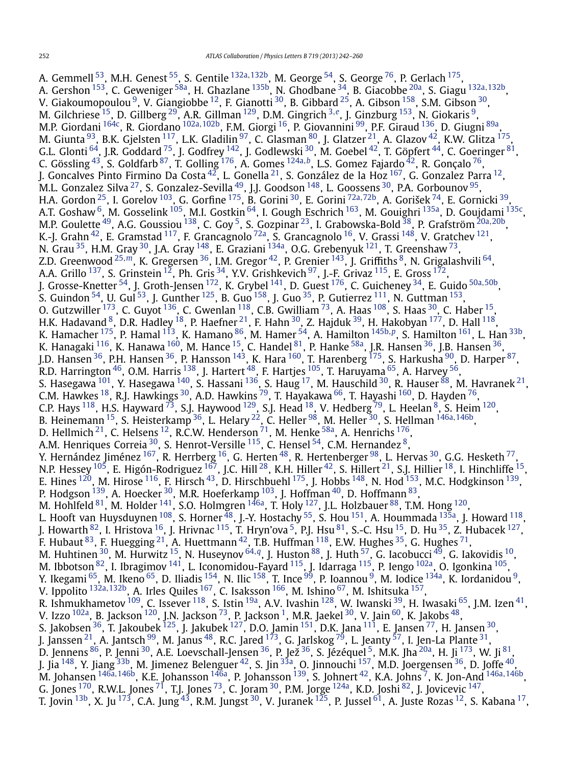A. Gemmell [53,](#page-16-0) M.H. Genest [55,](#page-16-0) S. Gentile [132a](#page-17-0)*,*[132b](#page-17-0), M. George [54,](#page-16-0) S. George [76,](#page-17-0) P. Gerlach [175,](#page-18-0) A. Gershon [153,](#page-18-0) C. Geweniger [58a,](#page-16-0) H. Ghazlane [135b,](#page-17-0) N. Ghodbane [34,](#page-16-0) B. Giacobbe [20a](#page-16-0), S. Giagu [132a](#page-17-0)*,*[132b,](#page-17-0) V. Giakoumopoulou  $^9$ , V. Giangiobbe  $^{12}$ , F. Gianotti  $^{30}$ , B. Gibbard  $^{25}$ , A. Gibson  $^{158}$ , S.M. Gibson  $^{30}$ , M. Gilchriese [15](#page-16-0), D. Gillberg [29,](#page-16-0) A.R. Gillman [129,](#page-17-0) D.M. Gingrich [3](#page-16-0)*,[e](#page-18-0)*, J. Ginzburg [153,](#page-18-0) N. Giokaris [9,](#page-16-0) M.P. Giordani [164c,](#page-18-0) R. Giordano [102a](#page-17-0)*,*[102b,](#page-17-0) F.M. Giorgi [16](#page-16-0), P. Giovannini [99,](#page-17-0) P.F. Giraud [136,](#page-17-0) D. Giugni [89a,](#page-17-0) M. Giunta  $^{93}$ , B.K. Gjelsten  $^{117}$ , L.K. Gladilin  $^{97}$  $^{97}$  $^{97}$ , C. Glasman  $^{80}$ , J. Glatzer  $^{21}$  $^{21}$  $^{21}$ , A. Glazov  $^{42}$ , K.W. Glitza  $^{175},$ G.L. Glonti  $^{64}$  $^{64}$  $^{64}$ , J.R. Goddard  $^{75}$ , J. Godfrey  $^{142}$ , J. Godlewski  $^{30}$ , M. Goebel  $^{42}$ , T. Göpfert  $^{44}$  $^{44}$  $^{44}$ , C. Goeringer  $^{81}$ , C. Gössling [43,](#page-16-0) S. Goldfarb [87,](#page-17-0) T. Golling [176,](#page-18-0) A. Gomes [124a](#page-17-0)*,[b](#page-18-0)*, L.S. Gomez Fajardo [42,](#page-16-0) R. Gonçalo [76,](#page-17-0) J. Goncalves Pinto Firmino Da Costa  $42$ , L. Gonella  $21$ , S. González de la Hoz  $167$ , G. Gonzalez Parra  $12$ , M.L. Gonzalez Silva $^{27}$ , S. Gonzalez-Sevilla $^{49}$  $^{49}$  $^{49}$ , J.J. Goodson  $^{148}$ , L. Goossens  $^{30}$  $^{30}$  $^{30}$ , P.A. Gorbounov  $^{95}$ , H.A. Gordon [25,](#page-16-0) I. Gorelov [103,](#page-17-0) G. Gorfine [175,](#page-18-0) B. Gorini [30,](#page-16-0) E. Gorini [72a](#page-17-0)*,*[72b,](#page-17-0) A. Gorišek [74,](#page-17-0) E. Gornicki [39,](#page-16-0) A.T. Goshaw <sup>6</sup>, M. Gosselink <sup>105</sup>, M.I. Gostkin <sup>[64](#page-16-0)</sup>, I. Gough Eschrich <sup>163</sup>, M. Gouighri <sup>135a</sup>, D. Goujdami <sup>135c</sup>, M.P. Goulette <sup>49</sup>, A.G. Goussiou <sup>138</sup>, C. Goy<sup>5</sup>, S. Gozpinar <sup>[23](#page-16-0)</sup>, I. Grabowska-Bold <sup>38</sup>, P. Grafström <sup>[20a](#page-16-0), 20b</sup>, K.-J. Grahn $^{42}$ , E. Gramstad  $^{117}$ , F. Grancagnolo  $^{72}$ a, S. Grancagnolo  $^{16}$ , V. Grassi  $^{148}$ , V. Gratchev  $^{121}$ , N. Grau  $^{35}$ , H.M. Gray  $^{30}$ , J.A. Gray  $^{148}$ , E. Graziani  $^{134}$ a, O.G. Grebenyuk  $^{121}$  $^{121}$  $^{121}$ , T. Greenshaw  $^{73},$ Z.D. Greenwood [25](#page-16-0)*,[m](#page-18-0)*, K. Gregersen [36,](#page-16-0) I.M. Gregor [42,](#page-16-0) P. Grenier [143,](#page-17-0) J. Griffiths [8,](#page-16-0) N. Grigalashvili [64,](#page-16-0) A.A. Grillo  $^{137}$ , S. Grinstein  $^{12}$ , Ph. Gris  $^{34}$ , Y.V. Grishkevich  $^{97}$ , J.-F. Grivaz  $^{115}$ , E. Gross  $^{172}$ , J. Grosse-Knetter [54,](#page-16-0) J. Groth-Jensen [172,](#page-18-0) K. Grybel [141,](#page-17-0) D. Guest [176,](#page-18-0) C. Guicheney [34,](#page-16-0) E. Guido [50a](#page-16-0)*,*[50b,](#page-16-0) S. Guindon  $^{54}$ , U. Gul  $^{53}$ , J. Gunther  $^{125}$ , B. Guo  $^{158}$ , J. Guo  $^{35}$ , P. Gutierrez  $^{111}$ , N. Guttman  $^{153}$  $^{153}$  $^{153}$ , O. Gutzwiller  $^{173}$ , C. Guyot  $^{136}$ , C. Gwenlan  $^{118}$ , C.B. Gwilliam  $^{73}$ , A. Haas  $^{108}$ , S. Haas  $^{30}$ , C. Haber  $^{15}$ , H.K. Hadavand  $^8$ , D.R. Hadley  $^{18}$ , P. Haefner  $^{21}$ , F. Hahn  $^{30}$  $^{30}$  $^{30}$ , Z. Hajduk  $^{39}$ , H. Hakobyan  $^{177}$ , D. Hall  $^{118}$ , K. Hamacher <sup>175</sup>, P. Hamal <sup>113</sup>, K. Hamano <sup>86</sup>, M. Hamer <sup>54</sup>, A. Hamilton <sup>[145b](#page-18-0),[p](#page-18-0)</sup>, S. Hamilton <sup>161</sup>, L. Han <sup>33b</sup>, K. Hanagaki  $^{116}$ , K. Hanawa  $^{160}$ , M. Hance  $^{15}$ , C. Handel  $^{81}$ , P. Hanke  $^{58\mathrm{a}}$ , J.R. Hansen  $^{36}$ , J.B. Hansen  $^{36}$ , J.D. Hansen <sup>36</sup>, P.H. Hansen <sup>36</sup>, P. Hansson <sup>143</sup>, K. Hara <sup>[160](#page-18-0)</sup>, T. Harenberg <sup>175</sup>, S. Harkusha <sup>90</sup>, D. Harper <sup>87</sup>, R.D. Harrington  $^{46}$ , O.M. Harris  $^{138}$ , J. Hartert  $^{48}$ , F. Hartjes  $^{105}$ , T. Haruyama  $^{65}$ , A. Harvey  $^{56}$ , S. Hasegawa  $^{101}$ , Y. Hasegawa  $^{140}$  $^{140}$  $^{140}$ , S. Hassani  $^{136}$ , S. Haug  $^{17}$ , M. Hauschild  $^{30}$ , R. Hauser  $^{88}$ , M. Havranek  $^{21}$ , C.M. Hawkes  $^{18}$ , R.J. Hawkings  $^{30}$ , A.D. Hawkins  $^{79}$ , T. Hayakawa  $^{66}$ , T. Hayashi  $^{160}$ , D. Hayden  $^{76}$  $^{76}$  $^{76}$ , C.P. Hays  $^{118}$ , H.S. Hayward  $^{73}$ , S.J. Haywood  $^{129}$ , S.J. Head  $^{18}$ , V. Hedberg  $^{79}$ , L. Heelan  $^{8}$ , S. Heim  $^{120}$ , B. Heinemann [15,](#page-16-0) S. Heisterkamp [36,](#page-16-0) L. Helary [22,](#page-16-0) C. Heller [98,](#page-17-0) M. Heller [30](#page-16-0), S. Hellman [146a](#page-18-0)*,*[146b,](#page-18-0) D. Hellmich  $^{21}$ , C. Helsens  $^{12}$ , R.C.W. Henderson  $^{71}$ , M. Henke  $^{58a}$ , A. Henrichs  $^{176}$ , A.M. Henriques Correia  $30$ , S. Henrot-Versille  $115$ , C. Hensel  $54$ , C.M. Hernandez  $8$ , Y. Hernández Jiménez  $^{167}$  $^{167}$  $^{167}$ , R. Herrberg  $^{16}$ , G. Herten  $^{48}$ , R. Hertenberger  $^{98}$ , L. Hervas  $^{30}$ , G.G. Hesketh  $^{77}$ , N.P. Hessey  $^{105}$ , E. Higón-Rodriguez  $^{167}$ , J.C. Hill  $^{28}$  $^{28}$  $^{28}$ , K.H. Hiller  $^{42}$ , S. Hillert  $^{21}$  $^{21}$  $^{21}$ , S.J. Hillier  $^{18}$ , I. Hinchliffe  $^{15}$ , E. Hines  $^{120}$  $^{120}$  $^{120}$ , M. Hirose  $^{116}$ , F. Hirsch $^{43}$ , D. Hirschbuehl  $^{175}$ , J. Hobbs  $^{148}$ , N. Hod  $^{153}$ , M.C. Hodgkinson  $^{139}$ , P. Hodgson  $^{139}$ , A. Hoecker  $^{30}$ , M.R. Hoeferkamp  $^{103}$ , J. Hoffman  $^{40}$ , D. Hoffmann  $^{83},$ M. Hohlfeld  $^{81}$ , M. Holder  $^{141}$ , S.O. Holmgren  $^{146a}$  $^{146a}$  $^{146a}$ , T. Holy  $^{127}$  $^{127}$  $^{127}$ , J.L. Holzbauer  $^{88}$ , T.M. Hong  $^{120}$  $^{120}$  $^{120}$ , L. Hooft van Huysduynen  $^{108}$ , S. Horner  $^{48}$ , J.-Y. Hostachy <sup>[55](#page-16-0)</sup>, S. Hou <sup>151</sup>, A. Hoummada  $^{135a}$ , J. Howard  $^{118}$ , J. Howarth <sup>82</sup>, I. Hristova <sup>16</sup>, J. Hrivnac <sup>[115](#page-17-0)</sup>, T. Hryn'ova <sup>5</sup>, P.J. Hsu <sup>81</sup>, S.-C. Hsu <sup>15</sup>, D. Hu <sup>[35](#page-16-0)</sup>, Z. Hubacek <sup>127</sup>, F. Hubaut  $^{83}$ , F. Huegging  $^{21}$ , A. Huettmann  $^{42}$ , T.B. Huffman  $^{118}$ , E.W. Hughes  $^{35}$ , G. Hughes  $^{71}$ , M. Huhtinen [30,](#page-16-0) M. Hurwitz [15](#page-16-0), N. Huseynov [64](#page-16-0)*,[q](#page-18-0)*, J. Huston [88,](#page-17-0) J. Huth [57,](#page-16-0) G. Iacobucci [49,](#page-16-0) G. Iakovidis [10,](#page-16-0) M. Ibbotson  $^{82}$ , I. Ibragimov  $^{141}$ , L. Iconomidou-Fayard  $^{115}$ , J. Idarraga  $^{115}$ , P. Iengo  $^{102}$ , O. Igonkina  $^{105},$ Y. Ikegami  $^{65}$ , M. Ikeno  $^{65}$ , D. Iliadis  $^{154}$ , N. Ilic  $^{158}$ , T. Ince  $^{99}$ , P. Ioannou  $^9$ , M. Iodice  $^{134}$ , K. Iordanidou  $^9$ , V. Ippolito [132a](#page-17-0)*,*[132b,](#page-17-0) A. Irles Quiles [167,](#page-18-0) C. Isaksson [166,](#page-18-0) M. Ishino [67,](#page-16-0) M. Ishitsuka [157,](#page-18-0) R. Ishmukhametov <sup>109</sup>, C. Issever <sup>118</sup>, S. Istin <sup>19a</sup>, A.V. Ivashin <sup>128</sup>, W. Iwanski <sup>39</sup>, H. Iwasaki <sup>65</sup>, J.M. Izen <sup>41</sup>, V. Izzo  $^{102}$ , B. Jackson  $^{120}$ , J.N. Jackson  $^{73}$ , P. Jackson  $^1$ , M.R. Jaekel  $^{30}$ , V. Jain  $^{60}$ , K. Jakobs  $^{48},$  $^{48},$  $^{48},$ S. Jakobsen  $^{36}$ , T. Jakoubek  $^{125}$ , J. Jakubek  $^{127}$ , D.O. Jamin  $^{151}$ , D.K. Jana  $^{111}$ , E. Jansen  $^{77}$ , H. Jansen  $^{30}$  $^{30}$  $^{30}$ , J. Janssen $^{21}$ , A. Jantsch $^{99}$ , M. Janus $^{48}$ , R.C. Jared  $^{173}$  $^{173}$  $^{173}$ , G. Jarlskog  $^{79}$ , L. Jeanty  $^{57}$ , I. Jen-La Plante  $^{31}$ , D. Jennens <sup>86</sup>, P. Jenni <sup>30</sup>, A.E. Loevschall-Jensen <sup>36</sup>, P. Jež <sup>36</sup>, S. Jézéquel <sup>5</sup>, M.K. Jha <sup>20a</sup>, H. Ji <sup>173</sup>, W. Ji <sup>[81](#page-17-0)</sup>, J. Jia <sup>148</sup>, Y. Jiang <sup>33b</sup>, M. Jimenez Belenguer <sup>42</sup>, S. Jin <sup>33a</sup>, O. Jinnouchi <sup>157</sup>, M.D. Joergensen <sup>36</sup>, D. Joffe <sup>40</sup>, M. Johansen [146a](#page-18-0)*,*[146b,](#page-18-0) K.E. Johansson [146a](#page-18-0), P. Johansson [139,](#page-17-0) S. Johnert [42,](#page-16-0) K.A. Johns [7,](#page-16-0) K. Jon-And [146a](#page-18-0)*,*[146b,](#page-18-0) G. Jones <sup>170</sup>, R.W.L. Jones <sup>71</sup>, T.J. Jones <sup>73</sup>, C. Joram <sup>[30](#page-16-0)</sup>, P.M. Jorge <sup>124a</sup>, K.D. Joshi <sup>[82](#page-17-0)</sup>, J. Jovicevic <sup>147</sup>, T. Jovin <sup>[13b](#page-16-0)</sup>, X. Ju <sup>173</sup>, C.A. Jung <sup>43</sup>, R.M. Jungst <sup>30</sup>, V. Juranek <sup>125</sup>, P. Jussel <sup>61</sup>, A. Juste Rozas <sup>12</sup>, S. Kabana <sup>17</sup>,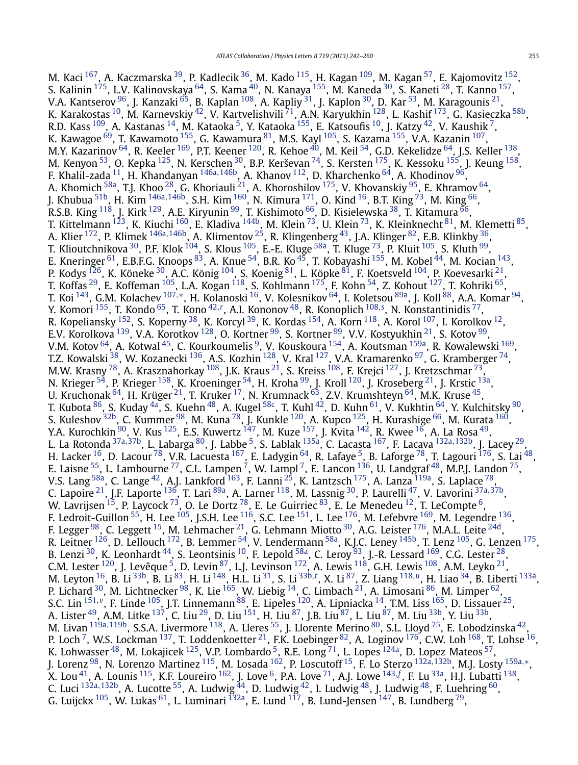M. Kaci <sup>167</sup>, A. Kaczmarska <sup>39</sup>, P. Kadlecik <sup>36</sup>, M. Kado <sup>115</sup>, H. Kagan <sup>109</sup>, M. Kagan <sup>57</sup>, E. Kajomovitz <sup>152</sup>, S. Kalinin <sup>175</sup>, L.V. Kalinovskaya <sup>64</sup>, S. Kama <sup>40</sup>, N. Kanaya <sup>155</sup>, M. Kaneda <sup>30</sup>, S. Kaneti <sup>28</sup>, T. Kanno <sup>157</sup>, V.A. Kantserov  $^{96}$ , J. Kanzaki  $^{65}$  $^{65}$  $^{65}$ , B. Kaplan  $^{108}$  $^{108}$  $^{108}$ , A. Kapliy  $^{31}$ , J. Kaplon  $^{30}$ , D. Kar  $^{53}$ , M. Karagounis  $^{21}$ , K. Karakostas <sup>10</sup>, M. Karnevskiy <sup>42</sup>, V. Kartvelishvili <sup>71</sup>, A.N. Karyukhin <sup>128</sup>, L. Kashif <sup>[173](#page-18-0)</sup>, G. Kasieczka <sup>58b</sup>, R.D. Kass  $^{109}$ , A. Kastanas  $^{14}$  $^{14}$  $^{14}$ , M. Kataoka  $^5$ , Y. Kataoka  $^{155}$ , E. Katsoufis  $^{10}$ , J. Katzy  $^{42}$ , V. Kaushik  $^7$ , K. Kawagoe  $^{69}$ , T. Kawamoto  $^{155}$ , G. Kawamura  $^{81}$ , M.S. Kayl  $^{105}$ , S. Kazama  $^{155}$ , V.A. Kazanin  $^{107},$  $^{107},$  $^{107},$ M.Y. Kazarinov  $^{64}$ , R. Keeler  $^{169}$ , P.T. Keener  $^{120}$  $^{120}$  $^{120}$ , R. Kehoe  $^{40}$  $^{40}$  $^{40}$ , M. Keil  $^{54}$ , G.D. Kekelidze  $^{64}$ , J.S. Keller  $^{138},$  $^{138},$  $^{138},$ M. Kenyon $^{53}$ , O. Kepka $^{125}$ , N. Kerschen $^{30}$ , B.P. Kerševan $^{74}$ , S. Kersten $^{175}$ , K. Kessoku $^{155}$ , J. Keung $^{158}$ , F. Khalil-zada [11,](#page-16-0) H. Khandanyan [146a](#page-18-0)*,*[146b,](#page-18-0) A. Khanov [112,](#page-17-0) D. Kharchenko [64](#page-16-0), A. Khodinov [96,](#page-17-0) A. Khomich <sup>58a</sup>, T.J. Khoo <sup>28</sup>, G. Khoriauli <sup>21</sup>, A. Khoroshilov <sup>175</sup>, V. Khovanskiy <sup>95</sup>, E. Khramov <sup>64</sup>, J. Khubua [51b](#page-16-0), H. Kim [146a](#page-18-0)*,*[146b,](#page-18-0) S.H. Kim [160,](#page-18-0) N. Kimura [171,](#page-18-0) O. Kind [16,](#page-16-0) B.T. King [73](#page-17-0), M. King [66,](#page-16-0) R.S.B. King  $^{118}$ , J. Kirk  $^{129}$ , A.E. Kiryunin  $^{99}$ , T. Kishimoto  $^{66}$  $^{66}$  $^{66}$ , D. Kisielewska  $^{38}$ , T. Kitamura  $^{66}$ , T. Kittelmann <sup>[123](#page-17-0)</sup>, K. Kiuchi <sup>160</sup>, E. Kladiva <sup>[144b](#page-17-0)</sup>, M. Klein <sup>[73](#page-17-0)</sup>, U. Klein <sup>73</sup>, K. Kleinknecht <sup>81</sup>, M. Klemetti <sup>85</sup>, A. Klier [172,](#page-18-0) P. Klimek [146a](#page-18-0)*,*[146b,](#page-18-0) A. Klimentov [25,](#page-16-0) R. Klingenberg [43,](#page-16-0) J.A. Klinger [82,](#page-17-0) E.B. Klinkby [36,](#page-16-0) T. Klioutchnikova <sup>30</sup>, P.F. Klok <sup>104</sup>, S. Klous <sup>105</sup>, E.-E. Kluge <sup>58a</sup>, T. Kluge <sup>73</sup>, P. Kluit <sup>105</sup>, S. Kluth <sup>99</sup>, E. Kneringer <sup>61</sup>, E.B.F.G. Knoops <sup>83</sup>, A. Knue <sup>54</sup>, B.R. Ko <sup>45</sup>, T. Kobayashi <sup>155</sup>, M. Kobel <sup>44</sup>, M. Kocian <sup>143</sup>, P. Kodys  $^{126}$ , K. Köneke  $^{30}$ , A.C. König  $^{104}$ , S. Koenig  $^{81}$ , L. Köpke  $^{81}$ , F. Koetsveld  $^{104}$ , P. Koevesarki  $^{21}$  $^{21}$  $^{21}$ , T. Koffas  $^{29}$ , E. Koffeman  $^{105}$ , L.A. Kogan  $^{118}$ , S. Kohlmann  $^{175}$  $^{175}$  $^{175}$ , F. Kohn  $^{54}$ , Z. Kohout  $^{127}$ , T. Kohriki  $^{65}$ , T. Koi [143,](#page-17-0) G.M. Kolachev [107](#page-17-0)*,*[∗](#page-18-0), H. Kolanoski [16,](#page-16-0) V. Kolesnikov [64,](#page-16-0) I. Koletsou [89a,](#page-17-0) J. Koll [88,](#page-17-0) A.A. Komar [94,](#page-17-0) Y. Komori [155,](#page-18-0) T. Kondo [65,](#page-16-0) T. Kono [42](#page-16-0)*,[r](#page-18-0)* , A.I. Kononov [48,](#page-16-0) R. Konoplich [108](#page-17-0)*,[s](#page-18-0)* , N. Konstantinidis [77,](#page-17-0) R. Kopeliansky  $^{152}$ , S. Koperny  $^{38}$ , K. Korcyl  $^{39}$  $^{39}$  $^{39}$ , K. Kordas  $^{154}$  $^{154}$  $^{154}$ , A. Korn  $^{118}$ , A. Korol  $^{107}$ , I. Korolkov  $^{12}$ , E.V. Korolkova <sup>[139](#page-17-0)</sup>, V.A. Korotkov <sup>128</sup>, O. Kortner <sup>99</sup>, S. Kortner <sup>99</sup>, V.V. Kostyukhin <sup>21</sup>, S. Kotov <sup>99</sup>, V.M. Kotov  $^{64}$ , A. Kotwal  $^{45}$ , C. Kourkoumelis  $^9$ , V. Kouskoura  $^{154}$ , A. Koutsman  $^{159a}$ , R. Kowalewski  $^{169}$ , T.Z. Kowalski  $^{38}$ , W. Kozanecki  $^{136}$ , A.S. Kozhin  $^{128}$ , V. Kral  $^{127}$  $^{127}$  $^{127}$ , V.A. Kramarenko  $^{97}$ , G. Kramberger  $^{74}$ , M.W. Krasny  $^{78}$ , A. Krasznahorkay  $^{108}$ , J.K. Kraus  $^{21}$ , S. Kreiss  $^{108}$ , F. Krejci  $^{127}$ , J. Kretzschmar  $^{73}$ , N. Krieger <sup>54</sup>, P. Krieger <sup>[158](#page-18-0)</sup>, K. Kroeninger <sup>54</sup>, H. Kroha <sup>99</sup>, J. Kroll <sup>[120](#page-17-0)</sup>, J. Kroseberg <sup>21</sup>, J. Krstic <sup>13a</sup>, U. Kruchonak  $^{64}$ , H. Krüger  $^{21}$ , T. Kruker  $^{17}$ , N. Krumnack  $^{63}$ , Z.V. Krumshteyn  $^{64}$ , M.K. Kruse  $^{45}$ , T. Kubota <sup>[86](#page-17-0)</sup>, S. Kuday <sup>4a</sup>, S. Kuehn <sup>48</sup>, A. Kugel <sup>58c</sup>, T. Kuhl <sup>42</sup>, D. Kuhn <sup>61</sup>, V. Kukhtin <sup>64</sup>, Y. Kulchitsky <sup>[90](#page-17-0)</sup>, S. Kuleshov <sup>[32b](#page-16-0)</sup>, C. Kummer <sup>98</sup>, M. Kuna <sup>[78](#page-17-0)</sup>, J. Kunkle <sup>120</sup>, A. Kupco <sup>125</sup>, H. Kurashige <sup>66</sup>, M. Kurata <sup>160</sup>, Y.A. Kurochkin <sup>90</sup>, V. Kus <sup>125</sup>, E.S. Kuwertz <sup>147</sup>, M. Kuze <sup>157</sup>, J. Kvita <sup>142</sup>, R. Kwee <sup>[16](#page-16-0)</sup>, A. La Rosa <sup>49</sup>, L. La Rotonda [37a](#page-16-0)*,*[37b,](#page-16-0) L. Labarga [80,](#page-17-0) J. Labbe [5,](#page-16-0) S. Lablak [135a,](#page-17-0) C. Lacasta [167,](#page-18-0) F. Lacava [132a](#page-17-0)*,*[132b,](#page-17-0) J. Lacey [29,](#page-16-0) H. Lacker <sup>16</sup>, D. Lacour <sup>78</sup>, V.R. Lacuesta <sup>167</sup>, E. Ladygin <sup>64</sup>, R. Lafaye <sup>5</sup>, B. Laforge <sup>78</sup>, T. Lagouri <sup>176</sup>, S. Lai <sup>48</sup>, E. Laisne  $^{55}$ , L. Lambourne  $^{77}$  $^{77}$  $^{77}$ , C.L. Lampen  $^7$ , W. Lampl  $^7$ , E. Lancon  $^{136}$ , U. Landgraf  $^{48}$  $^{48}$  $^{48}$ , M.P.J. Landon  $^{75}$ , V.S. Lang  $^{58a}$ , C. Lange  $^{42}$ , A.J. Lankford  $^{163}$ , F. Lanni  $^{25}$ , K. Lantzsch  $^{175}$ , A. Lanza  $^{119a}$ , S. Laplace  $^{78}$ , C. Lapoire [21,](#page-16-0) J.F. Laporte [136,](#page-17-0) T. Lari [89a,](#page-17-0) A. Larner [118,](#page-17-0) M. Lassnig [30,](#page-16-0) P. Laurelli [47](#page-16-0), V. Lavorini [37a](#page-16-0)*,*[37b,](#page-16-0) W. Lavrijsen  $^{15}$ , P. Laycock  $^{73}$ , O. Le Dortz  $^{78}$ , E. Le Guirriec  $^{83}$ , E. Le Menedeu  $^{12}$ , T. LeCompte  $^6$ , F. Ledroit-Guillon  $^{55}$ , H. Lee  $^{105}$  $^{105}$  $^{105}$ , J.S.H. Lee  $^{116}$ , S.C. Lee  $^{151}$ , L. Lee  $^{176}$ , M. Lefebvre  $^{169}$ , M. Legendre  $^{136}$ , F. Legger <sup>98</sup>, C. Leggett <sup>15</sup>, M. Lehmacher <sup>21</sup>, G. Lehmann Miotto <sup>[30](#page-16-0)</sup>, A.G. Leister <sup>176</sup>, M.A.L. Leite <sup>24d</sup>, R. Leitner  $^{126}$ , D. Lellouch  $^{172}$ , B. Lemmer  $^{54}$ , V. Lendermann  $^{58a}$  $^{58a}$  $^{58a}$ , K.J.C. Leney  $^{145b}$ , T. Lenz  $^{105}$ , G. Lenzen  $^{175}$ , B. Lenzi  $^{30}$ , K. Leonhardt  $^{44}$ , S. Leontsinis  $^{10}$ , F. Lepold  $^{58a}$ , C. Leroy  $^{93}$ , J.-R. Lessard  $^{169}$ , C.G. Lester  $^{28},$ C.M. Lester  $^{120}$  $^{120}$  $^{120}$ , J. Levêque <sup>[5](#page-16-0)</sup>, D. Levin  $^{87}$  $^{87}$  $^{87}$ , L.J. Levinson  $^{172}$ , A. Lewis  $^{118}$  $^{118}$  $^{118}$ , G.H. Lewis  $^{108}$ , A.M. Leyko  $^{21}$ , M. Leyton <sup>16</sup>, B. Li <sup>33b</sup>, B. Li <sup>83</sup>, H. Li <sup>148</sup>, H.L. Li <sup>31</sup>, S. Li <sup>[33b,](#page-16-0)[t](#page-18-0)</sup>, X. Li <sup>87</sup>, Z. Liang <sup>[118](#page-17-0),*[u](#page-18-0)*</sup>, H. Liao <sup>34</sup>, B. Liberti <sup>133a</sup>, P. Lichard  $^{30}$ , M. Lichtnecker  $^{98}$ , K. Lie  $^{165}$ , W. Liebig  $^{14}$ , C. Limbach  $^{21}$ , A. Limosani  $^{86}$ , M. Limper  $^{62}$ , S.C. Lin [151](#page-18-0)*,[v](#page-18-0)*, F. Linde [105](#page-17-0), J.T. Linnemann [88,](#page-17-0) E. Lipeles [120,](#page-17-0) A. Lipniacka [14,](#page-16-0) T.M. Liss [165,](#page-18-0) D. Lissauer [25,](#page-16-0) A. Lister <sup>49</sup>, A.M. Litke <sup>137</sup>, C. Liu <sup>29</sup>, D. Liu <sup>151</sup>, H. Liu <sup>[87](#page-17-0)</sup>, J.B. Liu <sup>87</sup>, L. Liu <sup>87</sup>, M. Liu <sup>33b</sup>, Y. Liu <sup>33b</sup>, M. Livan [119a](#page-17-0)*,*[119b,](#page-17-0) S.S.A. Livermore [118,](#page-17-0) A. Lleres [55,](#page-16-0) J. Llorente Merino [80,](#page-17-0) S.L. Lloyd [75,](#page-17-0) E. Lobodzinska [42,](#page-16-0) P. Loch <sup>7</sup>, W.S. Lockman <sup>137</sup>, T. Loddenkoetter <sup>21</sup>, F.K. Loebinger <sup>82</sup>, A. Loginov <sup>176</sup>, C.W. Loh <sup>168</sup>, T. Lohse <sup>16</sup>, K. Lohwasser  $^{48}$ , M. Lokajicek  $^{125}$  $^{125}$  $^{125}$ , V.P. Lombardo  $^5$ , R.E. Long  $^{71}$ , L. Lopes  $^{124}$ , D. Lopez Mateos  $^{57}$ , J. Lorenz [98,](#page-17-0) N. Lorenzo Martinez [115,](#page-17-0) M. Losada [162,](#page-18-0) P. Loscutoff [15,](#page-16-0) F. Lo Sterzo [132a](#page-17-0)*,*[132b,](#page-17-0) M.J. Losty [159a](#page-18-0)*,*[∗](#page-18-0), X. Lou [41,](#page-16-0) A. Lounis [115,](#page-17-0) K.F. Loureiro [162,](#page-18-0) J. Love [6,](#page-16-0) P.A. Love [71,](#page-17-0) A.J. Lowe [143](#page-17-0)*,[f](#page-18-0)* , F. Lu [33a,](#page-16-0) H.J. Lubatti [138,](#page-17-0) C. Luci <sup>[132a](#page-17-0), 132b</sup>, A. Lucotte <sup>55</sup>, A. Ludwig <sup>44</sup>, D. Ludwig <sup>42</sup>, I. Ludwig <sup>48</sup>, J. Ludwig <sup>48</sup>, F. Luehring <sup>[60](#page-16-0)</sup>, G. Luijckx  $^{105}$ , W. Lukas  $^{61}$ , L. Luminari  $^{132}$ , E. Lund  $^{117}$  $^{117}$  $^{117}$ , B. Lund-Jensen  $^{147}$ , B. Lundberg  $^{79}$ ,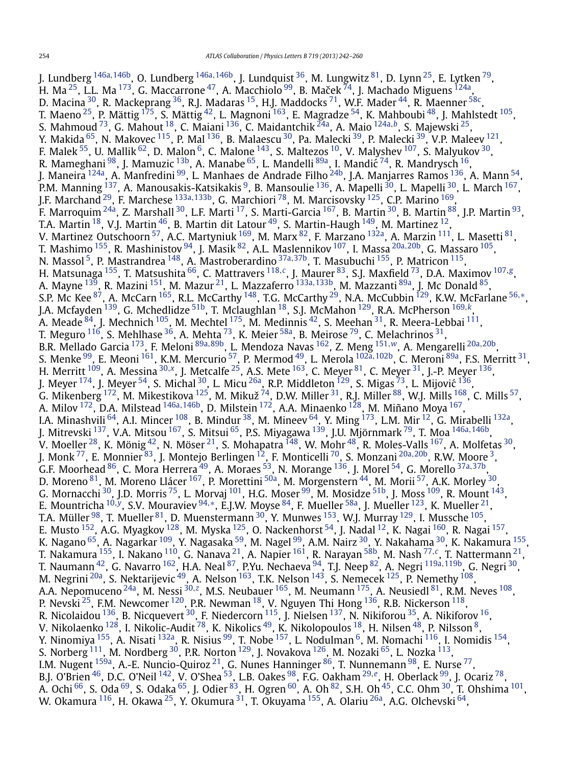J. Lundberg [146a](#page-18-0)*,*[146b,](#page-18-0) O. Lundberg [146a](#page-18-0)*,*[146b,](#page-18-0) J. Lundquist [36,](#page-16-0) M. Lungwitz [81,](#page-17-0) D. Lynn [25,](#page-16-0) E. Lytken [79,](#page-17-0) H. Ma  $^{25}$  $^{25}$  $^{25}$ , L.L. Ma  $^{173}$ , G. Maccarrone  $^{47}$ , A. Macchiolo  $^{99}$ , B. Maček  $^{74}$ , J. Machado Miguens  $^{124}$ , D. Macina  $^{30}$ , R. Mackeprang  $^{36}$ , R.J. Madaras  $^{15}$ , H.J. Maddocks  $^{71}$ , W.F. Mader  $^{44}$ , R. Maenner  $^{58\circ}$ , T. Maeno  $^{25}$ , P. Mättig  $^{175}$ , S. Mättig  $^{42}$ , L. Magnoni  $^{163}$ , E. Magradze  $^{54}$ , K. Mahboubi  $^{48}$ , J. Mahlstedt  $^{105}$ , S. Mahmoud [73,](#page-17-0) G. Mahout [18,](#page-16-0) C. Maiani [136,](#page-17-0) C. Maidantchik [24a,](#page-16-0) A. Maio [124a](#page-17-0)*,[b](#page-18-0)*, S. Majewski [25,](#page-16-0) Y. Makida <sup>65</sup>, N. Makovec <sup>115</sup>, P. Mal <sup>[136](#page-17-0)</sup>, B. Malaescu <sup>30</sup>, Pa. Malecki <sup>[39](#page-16-0)</sup>, P. Malecki <sup>39</sup>, V.P. Maleev <sup>121</sup>, F. Malek  $^{55}$ , U. Mallik  $^{62}$ , D. Malon  $^6$ , C. Malone  $^{143}$ , S. Maltezos  $^{10}$ , V. Malyshev  $^{107}$ , S. Malyukov  $^{30}$ , R. Mameghani <sup>98</sup>, J. Mamuzic <sup>13b</sup>, A. Manabe <sup>[65](#page-16-0)</sup>, L. Mandelli <sup>89a</sup>, I. Mandić <sup>74</sup>, R. Mandrysch <sup>16</sup>, J. Maneira <sup>124a</sup>, A. Manfredini <sup>99</sup>, L. Manhaes de Andrade Filho <sup>24b</sup>, J.A. Manjarres Ramos <sup>136</sup>, A. Mann <sup>54</sup>, P.M. Manning <sup>137</sup>, A. Manousakis-Katsikakis <sup>9</sup>, B. Mansoulie <sup>136</sup>, A. Mapelli <sup>30</sup>, L. Mapelli <sup>30</sup>, L. March <sup>167</sup>, J.F. Marchand [29,](#page-16-0) F. Marchese [133a](#page-17-0)*,*[133b,](#page-17-0) G. Marchiori [78,](#page-17-0) M. Marcisovsky [125,](#page-17-0) C.P. Marino [169,](#page-18-0) F. Marroquim <sup>24a</sup>, Z. Marshall <sup>30</sup>, L.F. Marti <sup>17</sup>, S. Marti-Garcia <sup>167</sup>, B. Martin <sup>30</sup>, B. Martin <sup>88</sup>, J.P. Martin <sup>[93](#page-17-0)</sup>, T.A. Martin <sup>18</sup>, V.J. Martin  $^{46}$ , B. Martin dit Latour  $^{49}$ , S. Martin-Haugh  $^{149}$ , M. Martinez  $^{12}$ , V. Martinez Outschoorn <sup>57</sup>, A.C. Martyniuk <sup>169</sup>, M. Marx <sup>82</sup>, F. Marzano <sup>[132a](#page-17-0)</sup>, A. Marzin <sup>111</sup>, L. Masetti <sup>[81](#page-17-0)</sup>, T. Mashimo [155](#page-18-0), R. Mashinistov [94,](#page-17-0) J. Masik [82,](#page-17-0) A.L. Maslennikov [107,](#page-17-0) I. Massa [20a](#page-16-0)*,*[20b,](#page-16-0) G. Massaro [105,](#page-17-0) N. Massol [5,](#page-16-0) P. Mastrandrea [148,](#page-18-0) A. Mastroberardino [37a](#page-16-0)*,*[37b,](#page-16-0) T. Masubuchi [155](#page-18-0), P. Matricon [115,](#page-17-0) H. Matsunaga [155,](#page-18-0) T. Matsushita [66](#page-16-0), C. Mattravers [118](#page-17-0)*,[c](#page-18-0)*, J. Maurer [83,](#page-17-0) S.J. Maxfield [73,](#page-17-0) D.A. Maximov [107](#page-17-0)*,[g](#page-18-0)*, A. Mayne [139,](#page-17-0) R. Mazini [151,](#page-18-0) M. Mazur [21,](#page-16-0) L. Mazzaferro [133a](#page-17-0)*,*[133b,](#page-17-0) M. Mazzanti [89a](#page-17-0), J. Mc Donald [85,](#page-17-0) S.P. Mc Kee [87,](#page-17-0) A. McCarn [165,](#page-18-0) R.L. McCarthy [148,](#page-18-0) T.G. McCarthy [29,](#page-16-0) N.A. McCubbin [129,](#page-17-0) K.W. McFarlane [56](#page-16-0)*,*[∗](#page-18-0), J.A. Mcfayden [139](#page-17-0), G. Mchedlidze [51b,](#page-16-0) T. Mclaughlan [18,](#page-16-0) S.J. McMahon [129,](#page-17-0) R.A. McPherson [169](#page-18-0)*,[k](#page-18-0)*, A. Meade  $^{84}$ , J. Mechnich  $^{105}$ , M. Mechtel  $^{175}$ , M. Medinnis  $^{42}$ , S. Meehan  $^{31}$ , R. Meera-Lebbai  $^{111}$ , T. Meguro  $^{116}$ , S. Mehlhase  $^{36}$ , A. Mehta  $^{73}$ , K. Meier  $^{58\mathrm{a}}$ , B. Meirose  $^{79}$ , C. Melachrinos  $^{31}$ , B.R. Mellado Garcia [173,](#page-18-0) F. Meloni [89a](#page-17-0)*,*[89b,](#page-17-0) L. Mendoza Navas [162,](#page-18-0) Z. Meng [151](#page-18-0)*,[w](#page-18-0)*, A. Mengarelli [20a](#page-16-0)*,*[20b,](#page-16-0) S. Menke [99,](#page-17-0) E. Meoni [161,](#page-18-0) K.M. Mercurio [57,](#page-16-0) P. Mermod [49,](#page-16-0) L. Merola [102a](#page-17-0)*,*[102b,](#page-17-0) C. Meroni [89a,](#page-17-0) F.S. Merritt [31,](#page-16-0) H. Merritt [109,](#page-17-0) A. Messina [30](#page-16-0)*,[x](#page-18-0)*, J. Metcalfe [25,](#page-16-0) A.S. Mete [163,](#page-18-0) C. Meyer [81,](#page-17-0) C. Meyer [31,](#page-16-0) J.-P. Meyer [136](#page-17-0), J. Meyer  $^{174}$ , J. Meyer  $^{54}$ , S. Michal  $^{30}$ , L. Micu  $^{26a}$  $^{26a}$  $^{26a}$ , R.P. Middleton  $^{129}$ , S. Migas  $^{73}$ , L. Mijović  $^{136}$ , G. Mikenberg  $^{172}$ , M. Mikestikova  $^{125}$ , M. Mikuž  $^{74}$ , D.W. Miller  $^{31}$ , R.J. Miller  $^{88}$ , W.J. Mills  $^{168}$ , C. Mills  $^{57}$ , A. Milov [172,](#page-18-0) D.A. Milstead [146a](#page-18-0)*,*[146b,](#page-18-0) D. Milstein [172,](#page-18-0) A.A. Minaenko [128](#page-17-0), M. Miñano Moya [167,](#page-18-0) I.A. Minashvili <sup>64</sup>, A.I. Mincer <sup>108</sup>, B. Mindur <sup>38</sup>, M. Mineev <sup>64</sup>, Y. Ming <sup>173</sup>, L.M. Mir <sup>12</sup>, G. Mirabelli <sup>132a</sup>, J. Mitrevski [137,](#page-17-0) V.A. Mitsou [167,](#page-18-0) S. Mitsui [65,](#page-16-0) P.S. Miyagawa [139,](#page-17-0) J.U. Mjörnmark [79,](#page-17-0) T. Moa [146a](#page-18-0)*,*[146b,](#page-18-0) V. Moeller $^{28}$ , K. Mönig $^{42}$ , N. Möser $^{21}$ , S. Mohapatra  $^{148}$  $^{148}$  $^{148}$ , W. Mohr $^{48}$ , R. Moles-Valls  $^{167}$ , A. Molfetas  $^{30}$ , J. Monk [77,](#page-17-0) E. Monnier [83,](#page-17-0) J. Montejo Berlingen [12,](#page-16-0) F. Monticelli [70,](#page-16-0) S. Monzani [20a](#page-16-0)*,*[20b](#page-16-0), R.W. Moore [3,](#page-16-0) G.F. Moorhead [86,](#page-17-0) C. Mora Herrera [49,](#page-16-0) A. Moraes [53,](#page-16-0) N. Morange [136,](#page-17-0) J. Morel [54,](#page-16-0) G. Morello [37a](#page-16-0)*,*[37b,](#page-16-0) D. Moreno $^{\rm 81}$ , M. Moreno Llácer  $^{167}$ , P. Morettini  $^{50\text{a}}$ , M. Morgenstern  $^{44}$ , M. Morii  $^{57}$ , A.K. Morley  $^{30}$ , G. Mornacchi  $^{30}$ , J.D. Morris  $^{75}$  $^{75}$  $^{75}$ , L. Morvaj  $^{101}$ , H.G. Moser  $^{99}$ , M. Mosidze  $^{51\mathrm{b}}$ , J. Moss  $^{109}$ , R. Mount  $^{143}$ , E. Mountricha [10](#page-16-0)*,[y](#page-18-0)*, S.V. Mouraviev [94](#page-17-0)*,*[∗](#page-18-0), E.J.W. Moyse [84,](#page-17-0) F. Mueller [58a,](#page-16-0) J. Mueller [123,](#page-17-0) K. Mueller [21,](#page-16-0) T.A. Müller  $98$ , T. Mueller  $81$ , D. Muenstermann  $30$ , Y. Munwes  $153$ , W.J. Murray  $129$ , I. Mussche  $105$ , E. Musto  $^{152}$  $^{152}$  $^{152}$ , A.G. Myagkov  $^{128}$  $^{128}$  $^{128}$ , M. Myska  $^{125}$  $^{125}$  $^{125}$ , O. Nackenhorst  $^{54}$ , J. Nadal  $^{12}$ , K. Nagai  $^{160}$ , R. Nagai  $^{157},$ K. Nagano <sup>65</sup>, A. Nagarkar <sup>109</sup>, Y. Nagasaka <sup>59</sup>, M. Nagel <sup>99</sup>, A.M. Nairz <sup>30</sup>, Y. Nakahama <sup>30</sup>, K. Nakamura <sup>155</sup>, T. Nakamura [155,](#page-18-0) I. Nakano [110,](#page-17-0) G. Nanava [21,](#page-16-0) A. Napier [161](#page-18-0), R. Narayan [58b,](#page-16-0) M. Nash [77](#page-17-0)*,[c](#page-18-0)*, T. Nattermann [21](#page-16-0), T. Naumann [42,](#page-16-0) G. Navarro [162,](#page-18-0) H.A. Neal [87,](#page-17-0) P.Yu. Nechaeva [94,](#page-17-0) T.J. Neep [82,](#page-17-0) A. Negri [119a](#page-17-0)*,*[119b,](#page-17-0) G. Negri [30,](#page-16-0) M. Negrini <sup>20a</sup>, S. Nektarijevic <sup>49</sup>, A. Nelson <sup>163</sup>, T.K. Nelson <sup>143</sup>, S. Nemecek <sup>125</sup>, P. Nemethy <sup>108</sup>, A.A. Nepomuceno <sup>24a</sup>, M. Nessi <sup>[30](#page-16-0),[z](#page-18-0)</sup>, M.S. Neubauer <sup>165</sup>, M. Neumann <sup>175</sup>, A. Neusiedl <sup>81</sup>, R.M. Neves <sup>108</sup>, P. Nevski <sup>25</sup>, F.M. Newcomer <sup>120</sup>, P.R. Newman <sup>[18](#page-16-0)</sup>, V. Nguyen Thi Hong <sup>136</sup>, R.B. Nickerson <sup>118</sup>, R. Nicolaidou  $^{136}$ , B. Nicquevert  $^{30}$ , F. Niedercorn  $^{115}$ , J. Nielsen  $^{137}$ , N. Nikiforou  $^{35}$ , A. Nikiforov  $^{16}$ , V. Nikolaenko  $^{128}$ , I. Nikolic-Audit  $^{78}$ , K. Nikolics  $^{49}$ , K. Nikolopoulos  $^{18}$ , H. Nilsen  $^{48}$ , P. Nilsson  $^{8}$ , Y. Ninomiya <sup>155</sup>, A. Nisati <sup>132a</sup>, R. Nisius <sup>99</sup>, T. Nobe <sup>157</sup>, L. Nodulman <sup>6</sup>, M. Nomachi <sup>116</sup>, I. Nomidis <sup>[154](#page-18-0)</sup>, S. Norberg  $^{111}$ , M. Nordberg  $^{30}$ , P.R. Norton  $^{129}$  $^{129}$  $^{129}$ , J. Novakova  $^{126}$ , M. Nozaki  $^{65}$ , L. Nozka  $^{113}$ , I.M. Nugent <sup>159a</sup>, A.-E. Nuncio-Quiroz <sup>21</sup>, G. Nunes Hanninger <sup>86</sup>, T. Nunnemann <sup>98</sup>, E. Nurse <sup>77</sup>, B.J. O'Brien [46,](#page-16-0) D.C. O'Neil [142,](#page-17-0) V. O'Shea [53,](#page-16-0) L.B. Oakes [98,](#page-17-0) F.G. Oakham [29](#page-16-0)*,[e](#page-18-0)*, H. Oberlack [99,](#page-17-0) J. Ocariz [78,](#page-17-0) A. Ochi  $^{66}$  $^{66}$  $^{66}$ , S. Oda $^{69}$ , S. Odaka $^{65}$ , J. Odier  $^{83}$ , H. Ogren  $^{60}$ , A. Oh  $^{82}$ , S.H. Oh  $^{45}$ , C.C. Ohm  $^{30}$ , T. Ohshima  $^{101}$ , W. Okamura <sup>116</sup>, H. Okawa <sup>25</sup>, Y. Okumura <sup>31</sup>, T. Okuyama <sup>155</sup>, A. Olariu <sup>26a</sup>, A.G. Olchevski <sup>64</sup>,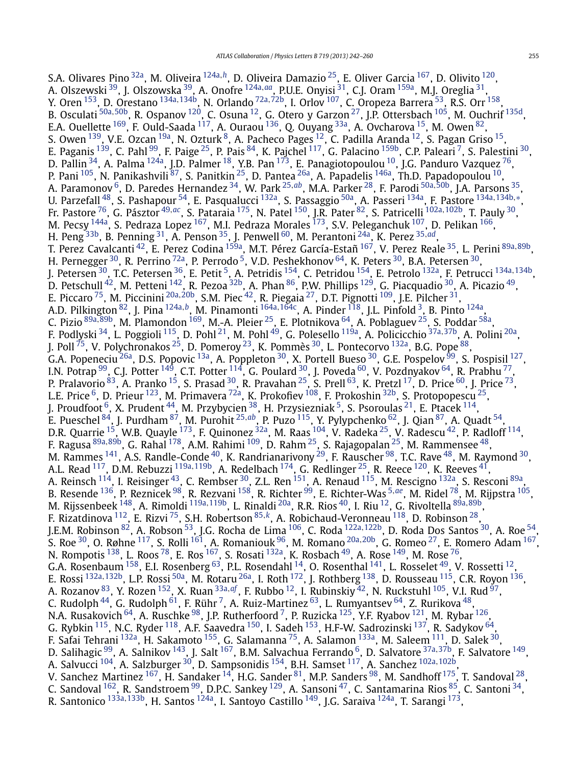S.A. Olivares Pino [32a,](#page-16-0) M. Oliveira [124a](#page-17-0)*,[h](#page-18-0)*, D. Oliveira Damazio [25,](#page-16-0) E. Oliver Garcia [167,](#page-18-0) D. Olivito [120,](#page-17-0) A. Olszewski [39,](#page-16-0) J. Olszowska [39,](#page-16-0) A. Onofre [124a](#page-17-0)*,[aa](#page-18-0)*, P.U.E. Onyisi [31,](#page-16-0) C.J. Oram [159a,](#page-18-0) M.J. Oreglia [31,](#page-16-0) Y. Oren [153,](#page-18-0) D. Orestano [134a](#page-17-0)*,*[134b,](#page-17-0) N. Orlando [72a](#page-17-0)*,*[72b,](#page-17-0) I. Orlov [107,](#page-17-0) C. Oropeza Barrera [53,](#page-16-0) R.S. Orr [158](#page-18-0), B. Osculati [50a](#page-16-0)*,*[50b,](#page-16-0) R. Ospanov [120,](#page-17-0) C. Osuna [12,](#page-16-0) G. Otero y Garzon [27,](#page-16-0) J.P. Ottersbach [105](#page-17-0), M. Ouchrif [135d](#page-17-0), E.A. Ouellette <sup>169</sup>, F. Ould-Saada <sup>117</sup>, A. Ouraou <sup>136</sup>, Q. Ouyang <sup>33a</sup>, A. Ovcharova <sup>15</sup>, M. Owen <sup>82</sup>, S. Owen  $^{139}$ , V.E. Ozcan  $^{19a}$ , N. Ozturk  $^8$ , A. Pacheco Pages  $^{12}$ , C. Padilla Aranda  $^{12}$ , S. Pagan Griso  $^{15}$ , E. Paganis <sup>139</sup>, C. Pahl <sup>99</sup>, F. Paige <sup>25</sup>, P. Pais <sup>84</sup>, K. Pajchel <sup>11[7](#page-16-0)</sup>, G. Palacino <sup>159b</sup>, C.P. Paleari <sup>7</sup>, S. Palestini <sup>30</sup>, D. Pallin  $^{34}$ , A. Palma  $^{124}$ , J.D. Palmer  $^{18}$ , Y.B. Pan  $^{173}$ , E. Panagiotopoulou  $^{10}$ , J.G. Panduro Vazquez  $^{76}$ , P. Pani <sup>[105](#page-17-0)</sup>, N. Panikashvili <sup>87</sup>, S. Panitkin <sup>25</sup>, D. Pantea <sup>26a</sup>, A. Papadelis <sup>146a</sup>, Th.D. Papadopoulou <sup>10</sup>, A. Paramonov [6,](#page-16-0) D. Paredes Hernandez [34,](#page-16-0) W. Park [25](#page-16-0)*,[ab](#page-18-0)*, M.A. Parker [28,](#page-16-0) F. Parodi [50a](#page-16-0)*,*[50b,](#page-16-0) J.A. Parsons [35](#page-16-0), U. Parzefall [48,](#page-16-0) S. Pashapour [54,](#page-16-0) E. Pasqualucci [132a](#page-17-0), S. Passaggio [50a,](#page-16-0) A. Passeri [134a](#page-17-0), F. Pastore [134a](#page-17-0)*,*[134b](#page-17-0)*,*[∗](#page-18-0), Fr. Pastore [76,](#page-17-0) G. Pásztor [49](#page-16-0)*,[ac](#page-18-0)*, S. Pataraia [175,](#page-18-0) N. Patel [150,](#page-18-0) J.R. Pater [82](#page-17-0), S. Patricelli [102a](#page-17-0)*,*[102b,](#page-17-0) T. Pauly [30,](#page-16-0) M. Pecsy <sup>144a</sup>, S. Pedraza Lopez <sup>167</sup>, M.I. Pedraza Morales <sup>173</sup>, S.V. Peleganchuk <sup>[107](#page-17-0)</sup>, D. Pelikan <sup>166</sup>, H. Peng [33b,](#page-16-0) B. Penning [31,](#page-16-0) A. Penson [35,](#page-16-0) J. Penwell [60,](#page-16-0) M. Perantoni [24a,](#page-16-0) K. Perez [35](#page-16-0)*,[ad](#page-18-0)*, T. Perez Cavalcanti [42,](#page-16-0) E. Perez Codina [159a,](#page-18-0) M.T. Pérez García-Estañ [167,](#page-18-0) V. Perez Reale [35](#page-16-0), L. Perini [89a](#page-17-0)*,*[89b,](#page-17-0) H. Pernegger  $^{30}$ , R. Perrino  $^{72}$ a, P. Perrodo  $^5$  $^5$ , V.D. Peshekhonov  $^{64}$ , K. Peters  $^{30}$ , B.A. Petersen  $^{30}$ , J. Petersen [30,](#page-16-0) T.C. Petersen [36,](#page-16-0) E. Petit [5,](#page-16-0) A. Petridis [154,](#page-18-0) C. Petridou [154,](#page-18-0) E. Petrolo [132a,](#page-17-0) F. Petrucci [134a](#page-17-0)*,*[134b,](#page-17-0) D. Petschull  $^{42}$ , M. Petteni  $^{142}$ , R. Pezoa  $^{32\text{b}}$ , A. Phan  $^{86}$ , P.W. Phillips  $^{129}$ , G. Piacquadio  $^{30}$ , A. Picazio  $^{49}$ , E. Piccaro [75,](#page-17-0) M. Piccinini [20a](#page-16-0)*,*[20b,](#page-16-0) S.M. Piec [42,](#page-16-0) R. Piegaia [27,](#page-16-0) D.T. Pignotti [109](#page-17-0), J.E. Pilcher [31,](#page-16-0) A.D. Pilkington [82,](#page-17-0) J. Pina [124a](#page-17-0)*,[b](#page-18-0)*, M. Pinamonti [164a](#page-18-0)*,*[164c,](#page-18-0) A. Pinder [118,](#page-17-0) J.L. Pinfold [3,](#page-16-0) B. Pinto [124a,](#page-17-0) C. Pizio [89a](#page-17-0)*,*[89b,](#page-17-0) M. Plamondon [169,](#page-18-0) M.-A. Pleier [25,](#page-16-0) E. Plotnikova [64,](#page-16-0) A. Poblaguev [25,](#page-16-0) S. Poddar [58a,](#page-16-0) F. Podlyski [34,](#page-16-0) L. Poggioli [115,](#page-17-0) D. Pohl [21,](#page-16-0) M. Pohl [49,](#page-16-0) G. Polesello [119a,](#page-17-0) A. Policicchio [37a](#page-16-0)*,*[37b,](#page-16-0) A. Polini [20a,](#page-16-0) J. Poll  $^{75}$  $^{75}$  $^{75}$ , V. Polychronakos  $^{25}$ , D. Pomeroy  $^{23}$ , K. Pommès  $^{30}$ , L. Pontecorvo  $^{132}$ a, B.G. Pope  $^{88},$ G.A. Popeneciu <sup>26a</sup>, D.S. Popovic <sup>13a</sup>, A. Poppleton <sup>[30](#page-16-0)</sup>, X. Portell Bueso <sup>30</sup>, G.E. Pospelov <sup>99</sup>, S. Pospisil <sup>127</sup>, I.N. Potrap <sup>99</sup>, C.J. Potter <sup>149</sup>, C.T. Potter <sup>114</sup>, G. Poulard <sup>30</sup>, J. Poveda <sup>[60](#page-16-0)</sup>, V. Pozdnyakov <sup>64</sup>, R. Prabhu <sup>77</sup>, P. Pralavorio <sup>83</sup>, A. Pranko <sup>15</sup>, S. Prasad <sup>30</sup>, R. Pravahan <sup>25</sup>, S. Prell <sup>63</sup>, K. Pretzl <sup>17</sup>, D. Price <sup>60</sup>, J. Price <sup>73</sup>, L.E. Price  $^6$ , D. Prieur  $^{123}$  $^{123}$  $^{123}$ , M. Primavera  $^{72a}$ , K. Prokofiev  $^{108}$ , F. Prokoshin  $^{32b}$ , S. Protopopescu  $^{25}$ , J. Proudfoot  $^6$ , X. Prudent  $^{44}$ , M. Przybycien  $^{38}$ , H. Przysiezniak  $^5$ , S. Psoroulas  $^{21}$ , E. Ptacek  $^{114},$ E. Pueschel [84,](#page-17-0) J. Purdham [87,](#page-17-0) M. Purohit [25](#page-16-0)*,[ab](#page-18-0)*, P. Puzo [115,](#page-17-0) Y. Pylypchenko [62,](#page-16-0) J. Qian [87,](#page-17-0) A. Quadt [54](#page-16-0), D.R. Quarrie <sup>[15](#page-16-0)</sup>, W.B. Quayle <sup>173</sup>, F. Quinonez <sup>32a</sup>, M. Raas <sup>104</sup>, V. Radeka <sup>25</sup>, V. Radescu <sup>42</sup>, P. Radloff <sup>114</sup>, F. Ragusa [89a](#page-17-0)*,*[89b,](#page-17-0) G. Rahal [178,](#page-18-0) A.M. Rahimi [109,](#page-17-0) D. Rahm [25,](#page-16-0) S. Rajagopalan [25,](#page-16-0) M. Rammensee [48,](#page-16-0) M. Rammes  $^{141}$  $^{141}$  $^{141}$ , A.S. Randle-Conde  $^{40}$  $^{40}$  $^{40}$ , K. Randrianarivony  $^{29}$ , F. Rauscher  $^{98}$ , T.C. Rave  $^{48}$ , M. Raymond  $^{30}$ , A.L. Read [117,](#page-17-0) D.M. Rebuzzi [119a](#page-17-0)*,*[119b,](#page-17-0) A. Redelbach [174,](#page-18-0) G. Redlinger [25,](#page-16-0) R. Reece [120,](#page-17-0) K. Reeves [41,](#page-16-0) A. Reinsch <sup>114</sup>, I. Reisinger <sup>43</sup>, C. Rembser <sup>30</sup>, Z.L. Ren <sup>151</sup>, A. Renaud <sup>115</sup>, M. Rescigno <sup>132a</sup>, S. Resconi <sup>89a</sup>, B. Resende [136,](#page-17-0) P. Reznicek [98,](#page-17-0) R. Rezvani [158,](#page-18-0) R. Richter [99,](#page-17-0) E. Richter-Was [5](#page-16-0)*,[ae](#page-18-0)*, M. Ridel [78,](#page-17-0) M. Rijpstra [105,](#page-17-0) M. Rijssenbeek [148,](#page-18-0) A. Rimoldi [119a](#page-17-0)*,*[119b,](#page-17-0) L. Rinaldi [20a,](#page-16-0) R.R. Rios [40,](#page-16-0) I. Riu [12,](#page-16-0) G. Rivoltella [89a](#page-17-0)*,*[89b,](#page-17-0) F. Rizatdinova [112,](#page-17-0) E. Rizvi [75,](#page-17-0) S.H. Robertson [85](#page-17-0)*,[k](#page-18-0)*, A. Robichaud-Veronneau [118,](#page-17-0) D. Robinson [28,](#page-16-0) J.E.M. Robinson [82,](#page-17-0) A. Robson [53,](#page-16-0) J.G. Rocha de Lima [106,](#page-17-0) C. Roda [122a](#page-17-0)*,*[122b,](#page-17-0) D. Roda Dos Santos [30,](#page-16-0) A. Roe [54,](#page-16-0) S. Roe [30,](#page-16-0) O. Røhne [117,](#page-17-0) S. Rolli [161,](#page-18-0) A. Romaniouk [96,](#page-17-0) M. Romano [20a](#page-16-0)*,*[20b,](#page-16-0) G. Romeo [27,](#page-16-0) E. Romero Adam [167,](#page-18-0) N. Rompotis  $^{138}$  $^{138}$  $^{138}$ , L. Roos  $^{78}$ , E. Ros  $^{167}$ , S. Rosati  $^{132}$ , K. Rosbach  $^{49}$  $^{49}$  $^{49}$ , A. Rose  $^{149}$ , M. Rose  $^{76}$ , G.A. Rosenbaum  $^{158}$ , E.I. Rosenberg  $^{63}$ , P.L. Rosendahl  $^{14}$  $^{14}$  $^{14}$ , O. Rosenthal  $^{141}$ , L. Rosselet  $^{49}$  $^{49}$  $^{49}$ , V. Rossetti  $^{12}$ , E. Rossi [132a](#page-17-0)*,*[132b,](#page-17-0) L.P. Rossi [50a,](#page-16-0) M. Rotaru [26a,](#page-16-0) I. Roth [172,](#page-18-0) J. Rothberg [138,](#page-17-0) D. Rousseau [115,](#page-17-0) C.R. Royon [136,](#page-17-0) A. Rozanov [83,](#page-17-0) Y. Rozen [152](#page-18-0), X. Ruan [33a](#page-16-0)*,[af](#page-18-0)* , F. Rubbo [12,](#page-16-0) I. Rubinskiy [42,](#page-16-0) N. Ruckstuhl [105,](#page-17-0) V.I. Rud [97,](#page-17-0) C. Rudolph  $^{44}$ , G. Rudolph  $^{61}$ , F. Rühr  $^7$ , A. Ruiz-Martinez  $^{63}$ , L. Rumyantsev  $^{64}$ , Z. Rurikova  $^{48}$ , N.A. Rusakovich  $^{64}$ , A. Ruschke  $^{98}$ , J.P. Rutherfoord  $^7$ , P. Ruzicka  $^{125}$  $^{125}$  $^{125}$ , Y.F. Ryabov  $^{121}$ , M. Rybar  $^{126}$ , G. Rybkin  $^{115}$ , N.C. Ryder  $^{118}$ , A.F. Saavedra  $^{150}$ , I. Sadeh  $^{153}$ , H.F-W. Sadrozinski  $^{137}$ , R. Sadykov  $^{64}$ , F. Safai Tehrani [132a,](#page-17-0) H. Sakamoto [155,](#page-18-0) G. Salamanna [75,](#page-17-0) A. Salamon [133a,](#page-17-0) M. Saleem [111,](#page-17-0) D. Salek [30,](#page-16-0) D. Salihagic [99,](#page-17-0) A. Salnikov [143,](#page-17-0) J. Salt [167](#page-18-0), B.M. Salvachua Ferrando [6](#page-16-0), D. Salvatore [37a](#page-16-0)*,*[37b,](#page-16-0) F. Salvatore [149,](#page-18-0) A. Salvucci [104,](#page-17-0) A. Salzburger [30](#page-16-0), D. Sampsonidis [154,](#page-18-0) B.H. Samset [117,](#page-17-0) A. Sanchez [102a](#page-17-0)*,*[102b,](#page-17-0) V. Sanchez Martinez  $^{167}$ , H. Sandaker  $^{14}$ , H.G. Sander  $^{81}$ , M.P. Sanders  $^{98}$ , M. Sandhoff  $^{175}$ , T. Sandoval  $^{28}$ , C. Sandoval  $^{162}$ , R. Sandstroem  $^{99}$ , D.P.C. Sankey  $^{129}$ , A. Sansoni  $^{47}$ , C. Santamarina Rios  $^{85}$ , C. Santoni  $^{34}$ , R. Santonico [133a](#page-17-0)*,*[133b,](#page-17-0) H. Santos [124a,](#page-17-0) I. Santoyo Castillo [149,](#page-18-0) J.G. Saraiva [124a,](#page-17-0) T. Sarangi [173](#page-18-0),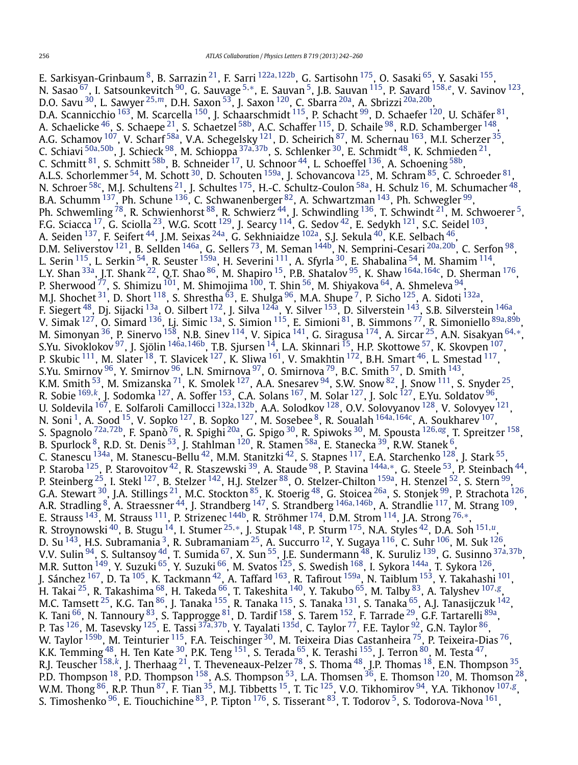E. Sarkisyan-Grinbaum [8,](#page-16-0) B. Sarrazin [21,](#page-16-0) F. Sarri [122a](#page-17-0)*,*[122b,](#page-17-0) G. Sartisohn [175,](#page-18-0) O. Sasaki [65,](#page-16-0) Y. Sasaki [155,](#page-18-0) N. Sasao [67,](#page-16-0) I. Satsounkevitch [90,](#page-17-0) G. Sauvage [5](#page-16-0)*,*[∗](#page-18-0), E. Sauvan [5,](#page-16-0) J.B. Sauvan [115,](#page-17-0) P. Savard [158](#page-18-0)*,[e](#page-18-0)*, V. Savinov [123](#page-17-0), D.O. Savu [30,](#page-16-0) L. Sawyer [25](#page-16-0)*,[m](#page-18-0)*, D.H. Saxon [53,](#page-16-0) J. Saxon [120,](#page-17-0) C. Sbarra [20a,](#page-16-0) A. Sbrizzi [20a](#page-16-0)*,*[20b,](#page-16-0) D.A. Scannicchio <sup>163</sup>, M. Scarcella <sup>150</sup>, J. Schaarschmidt <sup>115</sup>, P. Schacht <sup>99</sup>, D. Schaefer <sup>120</sup>, U. Schäfer <sup>81</sup>, A. Schaelicke  $^{46}$ , S. Schaepe  $^{21}$ , S. Schaetzel  $^{58\mathrm{b}}$ , A.C. Schaffer  $^{115}$ , D. Schaile  $^{98}$ , R.D. Schamberger  $^{148}$ , A.G. Schamov <sup>107</sup>, V. Scharf <sup>[58a](#page-16-0)</sup>, V.A. Schegelsky <sup>121</sup>, D. Scheirich <sup>87</sup>, M. Schernau <sup>[163](#page-18-0)</sup>, M.I. Scherzer <sup>[35](#page-16-0)</sup>, C. Schiavi [50a](#page-16-0)*,*[50b,](#page-16-0) J. Schieck [98,](#page-17-0) M. Schioppa [37a](#page-16-0)*,*[37b,](#page-16-0) S. Schlenker [30,](#page-16-0) E. Schmidt [48,](#page-16-0) K. Schmieden [21,](#page-16-0) C. Schmitt  $^{81}$ , S. Schmitt  $^{58\mathrm{b}}$ , B. Schneider  $^{17}$ , U. Schnoor  $^{44}$ , L. Schoeffel  $^{136}$ , A. Schoening  $^{58\mathrm{b}}$ , A.L.S. Schorlemmer  $^{54}$  $^{54}$  $^{54}$ , M. Schott  $^{30}$ , D. Schouten  $^{159a}$ , J. Schovancova  $^{125}$ , M. Schram  $^{85}$ , C. Schroeder  $^{81}$  $^{81}$  $^{81}$ , N. Schroer <sup>58c</sup>, M.J. Schultens <sup>21</sup>, J. Schultes <sup>[175](#page-18-0)</sup>, H.-C. Schultz-Coulon <sup>58a</sup>, H. Schulz <sup>16</sup>, M. Schumacher <sup>48</sup>, B.A. Schumm  $^{137}$ , Ph. Schune  $^{136}$ , C. Schwanenberger  $^{82}$ , A. Schwartzman  $^{143}$ , Ph. Schwegler  $^{99}$ , Ph. Schwemling  $^{78}$ , R. Schwienhorst  $^{88}$  $^{88}$  $^{88}$ , R. Schwierz  $^{44}$ , J. Schwindling  $^{136}$ , T. Schwindt  $^{21}$ , M. Schwoerer  $^5$ , F.G. Sciacca  $^{17}$ , G. Sciolla  $^{23}$ , W.G. Scott  $^{129}$ , J. Searcy  $^{114}$ , G. Sedov  $^{42}$  $^{42}$  $^{42}$ , E. Sedykh  $^{121}$ , S.C. Seidel  $^{103}$ , A. Seiden <sup>137</sup>, F. Seifert <sup>44</sup>, J.M. Seixas <sup>24a</sup>, G. Sekhniaidze <sup>102a</sup>, S.J. Sekula <sup>40</sup>, K.E. Selbach <sup>46</sup>, D.M. Seliverstov [121](#page-17-0), B. Sellden [146a,](#page-18-0) G. Sellers [73](#page-17-0), M. Seman [144b,](#page-17-0) N. Semprini-Cesari [20a](#page-16-0)*,*[20b,](#page-16-0) C. Serfon [98,](#page-17-0) L. Serin <sup>115</sup>, L. Serkin <sup>54</sup>, R. Seuster <sup>159a</sup>, H. Severini <sup>111</sup>, A. Sfyrla <sup>30</sup>, E. Shabalina <sup>54</sup>, M. Shamim <sup>114</sup>, L.Y. Shan [33a,](#page-16-0) J.T. Shank [22,](#page-16-0) Q.T. Shao [86,](#page-17-0) M. Shapiro [15,](#page-16-0) P.B. Shatalov [95,](#page-17-0) K. Shaw [164a](#page-18-0)*,*[164c,](#page-18-0) D. Sherman [176,](#page-18-0) P. Sherwood <sup>77</sup>, S. Shimizu <sup>[101](#page-17-0)</sup>, M. Shimojima <sup>100</sup>, T. Shin <sup>56</sup>, M. Shiyakova <sup>64</sup>, A. Shmeleva <sup>94</sup>, M.J. Shochet  $^{31}$ , D. Short  $^{118}$ , S. Shrestha  $^{63}$  $^{63}$  $^{63}$ , E. Shulga  $^{96}$ , M.A. Shupe  $^7$ , P. Sicho  $^{125}$ , A. Sidoti  $^{132}$ , F. Siegert <sup>48</sup>, Dj. Sijacki <sup>13a</sup>, O. Silbert <sup>[172](#page-18-0)</sup>, J. Silva <sup>124a</sup>, Y. Silver <sup>153</sup>, D. Silverstein <sup>143</sup>, S.B. Silverstein <sup>146a</sup>, V. Simak [127,](#page-17-0) O. Simard [136,](#page-17-0) Lj. Simic [13a,](#page-16-0) S. Simion [115,](#page-17-0) E. Simioni [81,](#page-17-0) B. Simmons [77,](#page-17-0) R. Simoniello [89a](#page-17-0)*,*[89b,](#page-17-0) M. Simonyan [36,](#page-16-0) P. Sinervo [158,](#page-18-0) N.B. Sinev [114,](#page-17-0) V. Sipica [141,](#page-17-0) G. Siragusa [174,](#page-18-0) A. Sircar [25,](#page-16-0) A.N. Sisakyan [64](#page-16-0)*,*[∗](#page-18-0), S.Yu. Sivoklokov [97,](#page-17-0) J. Sjölin [146a](#page-18-0)*,*[146b,](#page-18-0) T.B. Sjursen [14,](#page-16-0) L.A. Skinnari [15,](#page-16-0) H.P. Skottowe [57,](#page-16-0) K. Skovpen [107,](#page-17-0) P. Skubic  $^{111}$ , M. Slater  $^{18}$ , T. Slavicek  $^{127}$ , K. Sliwa  $^{161}$ , V. Smakhtin  $^{172}$ , B.H. Smart  $^{46}$ , L. Smestad  $^{117}$ , S.Yu. Smirnov  $^{96}$  $^{96}$  $^{96}$ , Y. Smirnov  $^{96}$ , L.N. Smirnova  $^{97}$ , O. Smirnova  $^{79}$ , B.C. Smith  $^{57}$ , D. Smith  $^{143}$ , K.M. Smith  $^{53}$ , M. Smizanska  $^{71}$ , K. Smolek  $^{127}$ , A.A. Snesarev  $^{94}$ , S.W. Snow  $^{82}$ , J. Snow  $^{111}$ , S. Snyder  $^{25}$  $^{25}$  $^{25}$ , R. Sobie [169](#page-18-0)*,[k](#page-18-0)*, J. Sodomka [127,](#page-17-0) A. Soffer [153,](#page-18-0) C.A. Solans [167,](#page-18-0) M. Solar [127,](#page-17-0) J. Solc [127,](#page-17-0) E.Yu. Soldatov [96,](#page-17-0) U. Soldevila [167,](#page-18-0) E. Solfaroli Camillocci [132a](#page-17-0)*,*[132b,](#page-17-0) A.A. Solodkov [128,](#page-17-0) O.V. Solovyanov [128,](#page-17-0) V. Solovyev [121,](#page-17-0) N. Soni [1](#page-16-0), A. Sood [15,](#page-16-0) V. Sopko [127](#page-17-0), B. Sopko [127](#page-17-0), M. Sosebee [8,](#page-16-0) R. Soualah [164a](#page-18-0)*,*[164c,](#page-18-0) A. Soukharev [107,](#page-17-0) S. Spagnolo [72a](#page-17-0)*,*[72b](#page-17-0), F. Spanò [76,](#page-17-0) R. Spighi [20a,](#page-16-0) G. Spigo [30,](#page-16-0) R. Spiwoks [30,](#page-16-0) M. Spousta [126](#page-17-0)*,[ag](#page-18-0)*, T. Spreitzer [158,](#page-18-0) B. Spurlock  $^8$ , R.D. St. Denis  $^{53}$ , J. Stahlman  $^{120}$  $^{120}$  $^{120}$ , R. Stamen  $^{58\mathrm{a}}$ , E. Stanecka  $^{39}$ , R.W. Stanek  $^6$ , C. Stanescu  $^{134}$ a, M. Stanescu-Bellu $^{42}$ , M.M. Stanitzki $^{42}$ , S. Stapnes  $^{117}$ , E.A. Starchenko  $^{128}$ , J. Stark $^{55}$ , P. Staroba [125,](#page-17-0) P. Starovoitov [42,](#page-16-0) R. Staszewski [39,](#page-16-0) A. Staude [98,](#page-17-0) P. Stavina [144a](#page-17-0)*,*[∗](#page-18-0), G. Steele [53,](#page-16-0) P. Steinbach [44,](#page-16-0) P. Steinberg  $^{25}$ , I. Stekl  $^{127}$ , B. Stelzer  $^{142}$ , H.J. Stelzer  $^{88}$ , O. Stelzer-Chilton  $^{159a}$ , H. Stenzel  $^{52}$ , S. Stern  $^{99}$ , P. Steinberg  $^{25}$ , I. Stekl  $^{127}$ , B. Stelzer  $^{142}$ , H.J. Stelzer  $^{88$ G.A. Stewart  $^{30}$  $^{30}$  $^{30}$ , J.A. Stillings  $^{21}$  $^{21}$  $^{21}$ , M.C. Stockton  $^{85}$ , K. Stoerig  $^{48}$ , G. Stoicea  $^{26\mathrm{a}}$ , S. Stonjek  $^{99}$ , P. Strachota  $^{126}$ , A.R. Stradling [8,](#page-16-0) A. Straessner [44,](#page-16-0) J. Strandberg [147,](#page-18-0) S. Strandberg [146a](#page-18-0)*,*[146b](#page-18-0), A. Strandlie [117,](#page-17-0) M. Strang [109,](#page-17-0) E. Strauss [143,](#page-17-0) M. Strauss [111,](#page-17-0) P. Strizenec [144b,](#page-17-0) R. Ströhmer [174,](#page-18-0) D.M. Strom [114](#page-17-0), J.A. Strong [76](#page-17-0)*,*[∗](#page-18-0), R. Stroynowski [40,](#page-16-0) B. Stugu [14,](#page-16-0) I. Stumer [25](#page-16-0)*,*[∗](#page-18-0), J. Stupak [148,](#page-18-0) P. Sturm [175,](#page-18-0) N.A. Styles [42,](#page-16-0) D.A. Soh [151](#page-18-0)*,[u](#page-18-0)*, D. Su  $^{143}$ , H.S. Subramania  $^3$ , R. Subramaniam  $^{25}$ , A. Succurro  $^{12}$ , Y. Sugaya  $^{116}$ , C. Suhr  $^{106}$ , M. Suk  $^{126}$ , V.V. Sulin [94,](#page-17-0) S. Sultansoy [4d,](#page-16-0) T. Sumida [67,](#page-16-0) X. Sun [55](#page-16-0), J.E. Sundermann [48,](#page-16-0) K. Suruliz [139,](#page-17-0) G. Susinno [37a](#page-16-0)*,*[37b,](#page-16-0) M.R. Sutton <sup>149</sup>, Y. Suzuki <sup>[65](#page-16-0)</sup>, Y. Suzuki <sup>66</sup>, M. Svatos <sup>125</sup>, S. Swedish <sup>168</sup>, I. Sykora <sup>[144a](#page-17-0)</sup>, T. Sykora <sup>[126](#page-17-0)</sup>, J. Sánchez <sup>167</sup>, D. Ta <sup>105</sup>, K. Tackmann <sup>42</sup>, A. Taffard <sup>163</sup>, R. Tafirout <sup>[159a](#page-18-0)</sup>, N. Taiblum <sup>153</sup>, Y. Takahashi <sup>101</sup>, H. Takai [25,](#page-16-0) R. Takashima [68,](#page-16-0) H. Takeda [66,](#page-16-0) T. Takeshita [140,](#page-17-0) Y. Takubo [65,](#page-16-0) M. Talby [83,](#page-17-0) A. Talyshev [107](#page-17-0)*,[g](#page-18-0)*, M.C. Tamsett  $^{25}$ , K.G. Tan  $^{86}$ , J. Tanaka  $^{155}$ , R. Tanaka  $^{115}$ , S. Tanaka  $^{131}$ , S. Tanaka  $^{65}$ , A.J. Tanasijczuk  $^{142}$ , K. Tani <sup>66</sup>, N. Tannoury <sup>83</sup>, S. Tapprogge <sup>81</sup>, D. Tardif <sup>158</sup>, S. Tarem <sup>152</sup>, F. Tarrade <sup>29</sup>, G.F. Tartarelli <sup>89a</sup>, P. Tas [126,](#page-17-0) M. Tasevsky [125,](#page-17-0) E. Tassi [37a](#page-16-0)*,*[37b,](#page-16-0) Y. Tayalati [135d,](#page-17-0) C. Taylor [77,](#page-17-0) F.E. Taylor [92](#page-17-0), G.N. Taylor [86,](#page-17-0) W. Taylor <sup>159b</sup>, M. Teinturier <sup>115</sup>, F.A. Teischinger <sup>30</sup>, M. Teixeira Dias Castanheira <sup>75</sup>, P. Teixeira-Dias <sup>76</sup>, K.K. Temming  $^{48}$ , H. Ten Kate  $^{30}$ , P.K. Teng  $^{151}$ , S. Terada  $^{65}$ , K. Terashi  $^{155}$ , J. Terron  $^{80}$ , M. Testa  $^{47}$ , R.J. Teuscher [158](#page-18-0)*,[k](#page-18-0)*, J. Therhaag [21,](#page-16-0) T. Theveneaux-Pelzer [78,](#page-17-0) S. Thoma [48,](#page-16-0) J.P. Thomas [18,](#page-16-0) E.N. Thompson [35,](#page-16-0) P.D. Thompson  $^{18}$ , P.D. Thompson  $^{158}$ , A.S. Thompson  $^{53}$ , L.A. Thomsen  $^{36}$ , E. Thomson  $^{120}$ , M. Thomson  $^{28}$ , W.M. Thong [86,](#page-17-0) R.P. Thun [87,](#page-17-0) F. Tian [35,](#page-16-0) M.J. Tibbetts [15,](#page-16-0) T. Tic [125,](#page-17-0) V.O. Tikhomirov [94,](#page-17-0) Y.A. Tikhonov [107](#page-17-0)*,[g](#page-18-0)*, S. Timoshenko<sup>96</sup>, E. Tiouchichine  $83$ , P. Tipton  $176$ , S. Tisserant  $83$ , T. Todorov <sup>[5](#page-16-0)</sup>, S. Todorova-Nova  $161$ ,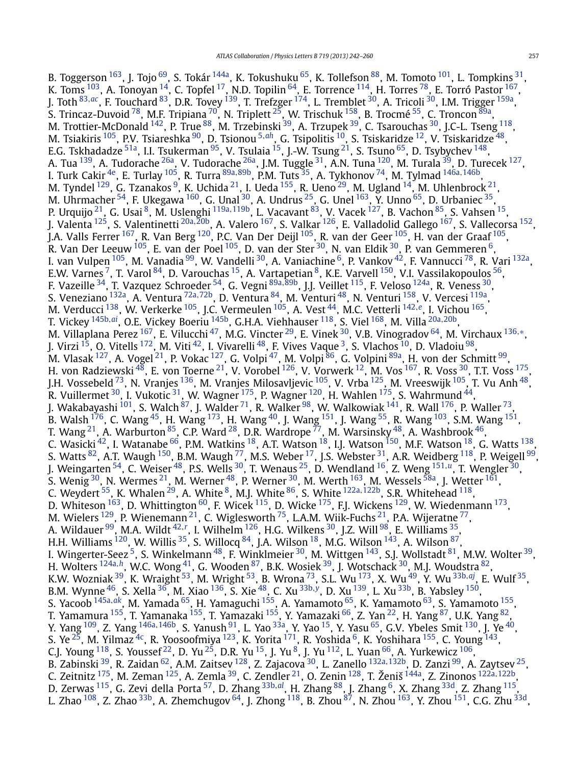B. Toggerson <sup>163</sup>, J. Tojo <sup>69</sup>, S. Tokár <sup>144a</sup>, K. Tokushuku <sup>65</sup>, K. Tollefson <sup>88</sup>, M. Tomoto <sup>101</sup>, L. Tompkins <sup>31</sup>, K. Toms  $^{103}$ , A. Tonoyan  $^{14}$ , C. Topfel  $^{17}$ , N.D. Topilin  $^{64}$ , E. Torrence  $^{114}$ , H. Torres  $^{78}$ , E. Torró Pastor  $^{167},$ J. Toth [83](#page-17-0)*,[ac](#page-18-0)*, F. Touchard [83,](#page-17-0) D.R. Tovey [139,](#page-17-0) T. Trefzger [174,](#page-18-0) L. Tremblet [30](#page-16-0), A. Tricoli [30,](#page-16-0) I.M. Trigger [159a,](#page-18-0) S. Trincaz-Duvoid  $^{78}$ , M.F. Tripiana  $^{70}$ , N. Triplett  $^{25}$ , W. Trischuk  $^{158}$ , B. Trocmé  $^{55}$ , C. Troncon  $^{89\mathrm{a}},$ M. Trottier-McDonald  $^{142}$ , P. True  $^{88}$ , M. Trzebinski  $^{39}$  $^{39}$  $^{39}$ , A. Trzupek  $^{39}$ , C. Tsarouchas  $^{30}$ , J.C-L. Tseng  $^{118},$ M. Tsiakiris [105,](#page-17-0) P.V. Tsiareshka [90,](#page-17-0) D. Tsionou [5](#page-16-0)*,[ah](#page-18-0)*, G. Tsipolitis [10,](#page-16-0) S. Tsiskaridze [12,](#page-16-0) V. Tsiskaridze [48,](#page-16-0) E.G. Tskhadadze <sup>51a</sup>, I.I. Tsukerman <sup>95</sup>, V. Tsulaia <sup>15</sup>, J.-W. Tsung <sup>21</sup>, S. Tsuno <sup>65</sup>, D. Tsybychev <sup>[148](#page-18-0)</sup>, A. Tua <sup>139</sup>, A. Tudorache <sup>26a</sup>, V. Tudorache <sup>26a</sup>, J.M. Tuggle <sup>31</sup>, A.N. Tuna <sup>120</sup>, M. Turala <sup>39</sup>, D. Turecek <sup>127</sup>, I. Turk Cakir [4e,](#page-16-0) E. Turlay [105](#page-17-0), R. Turra [89a](#page-17-0)*,*[89b](#page-17-0), P.M. Tuts [35,](#page-16-0) A. Tykhonov [74,](#page-17-0) M. Tylmad [146a](#page-18-0)*,*[146b,](#page-18-0) M. Tyndel  $^{129}$ , G. Tzanakos  $^9$ , K. Uchida  $^{21}$ , I. Ueda  $^{155}$ , R. Ueno  $^{29}$ , M. Ugland  $^{14}$ , M. Uhlenbrock  $^{21}$ , M. Uhrmacher  $^{54}$ , F. Ukegawa  $^{160}$ , G. Unal  $^{30}$  $^{30}$  $^{30}$ , A. Undrus  $^{25}$  $^{25}$  $^{25}$ , G. Unel  $^{163}$ , Y. Unno  $^{65}$ , D. Urbaniec  $^{35}$ , P. Urquijo [21,](#page-16-0) G. Usai [8,](#page-16-0) M. Uslenghi [119a](#page-17-0)*,*[119b,](#page-17-0) L. Vacavant [83,](#page-17-0) V. Vacek [127,](#page-17-0) B. Vachon [85,](#page-17-0) S. Vahsen [15,](#page-16-0) J. Valenta [125,](#page-17-0) S. Valentinetti [20a](#page-16-0)*,*[20b](#page-16-0), A. Valero [167,](#page-18-0) S. Valkar [126,](#page-17-0) E. Valladolid Gallego [167,](#page-18-0) S. Vallecorsa [152,](#page-18-0) J.A. Valls Ferrer [167,](#page-18-0) R. Van Berg [120,](#page-17-0) P.C. Van Der Deijl [105,](#page-17-0) R. van der Geer [105,](#page-17-0) H. van der Graaf [105,](#page-17-0) R. Van Der Leeuw  $^{105}$ , E. van der Poel  $^{105}$ , D. van der Ster<sup>30</sup>, N. van Eldik<sup>30</sup>, P. van Gemmeren  $^6$ , I. van Vulpen <sup>105</sup>, M. Vanadia <sup>[99](#page-17-0)</sup>, W. Vandelli <sup>30</sup>, A. Vaniachine <sup>6</sup>, P. Vankov <sup>42</sup>, F. Vannucci <sup>78</sup>, R. Vari <sup>[132a](#page-17-0)</sup>, E.W. Varnes <sup>7</sup>, T. Varol  $^{84}$  $^{84}$  $^{84}$ , D. Varouchas  $^{15}$ , A. Vartapetian  $^8$ , K.E. Varvell  $^{150}$ , V.I. Vassilakopoulos  $^{56}$ , F. Vazeille [34,](#page-16-0) T. Vazquez Schroeder [54,](#page-16-0) G. Vegni [89a](#page-17-0)*,*[89b,](#page-17-0) J.J. Veillet [115,](#page-17-0) F. Veloso [124a,](#page-17-0) R. Veness [30,](#page-16-0) S. Veneziano [132a,](#page-17-0) A. Ventura [72a](#page-17-0)*,*[72b,](#page-17-0) D. Ventura [84,](#page-17-0) M. Venturi [48,](#page-16-0) N. Venturi [158,](#page-18-0) V. Vercesi [119a](#page-17-0), M. Verducci [138,](#page-17-0) W. Verkerke [105,](#page-17-0) J.C. Vermeulen [105,](#page-17-0) A. Vest [44,](#page-16-0) M.C. Vetterli [142](#page-17-0)*,[e](#page-18-0)*, I. Vichou [165,](#page-18-0) T. Vickey [145b](#page-18-0)*,[ai](#page-18-0)*, O.E. Vickey Boeriu [145b](#page-18-0), G.H.A. Viehhauser [118,](#page-17-0) S. Viel [168,](#page-18-0) M. Villa [20a](#page-16-0)*,*[20b](#page-16-0), M. Villaplana Perez [167,](#page-18-0) E. Vilucchi <sup>47</sup>, M.G. Vincter <sup>29</sup>, E. Vinek <sup>30</sup>, V.B. Vinogradov <sup>64</sup>, M. Virchaux <sup>[136](#page-17-0),[∗](#page-18-0)</sup>, M. Virchaux <sup>136,</sup>∗, J. Virzi  $^{15}$ , O. Vitells  $^{172}$  $^{172}$  $^{172}$ , M. Viti  $^{42}$ , I. Vivarelli  $^{48}$ , F. Vives Vaque  $^3$ , S. Vlachos  $^{10}$ , D. Vladoiu  $^{98}$ , M. Vlasak <sup>[127](#page-17-0)</sup>, A. Vogel <sup>21</sup>, P. Vokac <sup>127</sup>, G. Volpi <sup>47</sup>, M. Volpi <sup>86</sup>, G. Volpini <sup>89a</sup>, H. von der Schmitt <sup>99</sup>, H. von Radziewski $^{48}$ , E. von Toerne $^{21}$ , V. Vorobel  $^{126}$ , V. Vorwerk  $^{12}$ , M. Vos  $^{167}$ , R. Voss  $^{30}$ , T.T. Voss  $^{175}$  $^{175}$  $^{175}$ , J.H. Vossebeld <sup>73</sup>, N. Vranjes <sup>136</sup>, M. Vranjes Milosavljevic <sup>105</sup>, V. Vrba <sup>125</sup>, M. Vreeswijk <sup>105</sup>, T. Vu Anh <sup>48</sup>, R. Vuillermet  $^{30}$  $^{30}$  $^{30}$ , I. Vukotic  $^{31}$ , W. Wagner  $^{175}$ , P. Wagner  $^{120}$  $^{120}$  $^{120}$ , H. Wahlen  $^{175}$ , S. Wahrmund  $^{44}$ , J. Wakabayashi  $^{101}$ , S. Walch  $^{87}$ , J. Walder  $^{71}$ , R. Walker  $^{98}$ , W. Walkowiak  $^{141}$  $^{141}$  $^{141}$ , R. Wall  $^{176}$ , P. Waller  $^{73}$ , B. Walsh  $^{176}$ , C. Wang  $^{45}$ , H. Wang  $^{173}$ , H. Wang  $^{40}$ , J. Wang  $^{151}$ , J. Wang  $^{55}$  $^{55}$  $^{55}$ , R. Wang  $^{103}$ , S.M. Wang  $^{151}$ , T. Wang  $^{21}$ , A. Warburton  $^{85}$ , C.P. Ward  $^{28}$ , D.R. Wardrope  $^{77}$ , M. Warsinsky  $^{48}$ , A. Washbrook  $^{46},$ C. Wasicki  $^{42}$ , I. Watanabe  $^{66}$ , P.M. Watkins  $^{18}$  $^{18}$  $^{18}$ , A.T. Watson  $^{18}$ , I.J. Watson  $^{150}$ , M.F. Watson  $^{18}$ , G. Watts  $^{138}$ , S. Watts  $^{82}$ , A.T. Waugh  $^{150}$ , B.M. Waugh  $^{77}$ , M.S. Weber  $^{17}$ , J.S. Webster  $^{31}$ , A.R. Weidberg  $^{118}$ , P. Weigell  $^{99}$ , J. Weingarten [54,](#page-16-0) C. Weiser [48,](#page-16-0) P.S. Wells [30,](#page-16-0) T. Wenaus [25,](#page-16-0) D. Wendland [16,](#page-16-0) Z. Weng [151](#page-18-0)*,[u](#page-18-0)*, T. Wengler [30,](#page-16-0) S. Wenig  $^{30}$  $^{30}$  $^{30}$ , N. Wermes  $^{21}$  $^{21}$  $^{21}$ , M. Werner  $^{48}$  $^{48}$  $^{48}$ , P. Werner  $^{30}$ , M. Werth  $^{163}$ , M. Wessels  $^{58\mathrm{a}}$ , J. Wetter  $^{161}$ , C. Weydert <sup>55</sup>, K. Whalen <sup>[29](#page-16-0)</sup>, A. White <sup>8</sup>, M.J. White <sup>86</sup>, S. White <sup>[122a](#page-17-0), [122b](#page-17-0)</sup>, S.R. Whitehead <sup>118</sup>, D. Whiteson  $^{163}$ , D. Whittington  $^{60}$ , F. Wicek  $^{115}$  $^{115}$  $^{115}$ , D. Wicke  $^{175}$  $^{175}$  $^{175}$ , F.J. Wickens  $^{129}$  $^{129}$  $^{129}$ , W. Wiedenmann  $^{173}$ , M. Wielers  $^{129}$ , P. Wienemann  $^{21}$ , C. Wiglesworth  $^{75}$ , L.A.M. Wiik-Fuchs  $^{21}$ , P.A. Wijeratne  $^{77}$ , A. Wildauer <sup>99</sup>, M.A. Wildt <sup>[42](#page-16-0),[r](#page-18-0)</sup>, I. Wilhelm <sup>126</sup>, H.G. Wilkens <sup>30</sup>, J.Z. Will <sup>98</sup>, E. Williams <sup>35</sup>, H.H. Williams  $^{120}$  $^{120}$  $^{120}$ , W. Willis  $^{35}$ , S. Willocq  $^{84}$ , J.A. Wilson  $^{18}$ , M.G. Wilson  $^{143}$ , A. Wilson  $^{87}$ , I. Wingerter-Seez<sup>5</sup>, S. Winkelmann<sup>48</sup>, F. Winklmeier<sup>30</sup>, M. Wittgen<sup>143</sup>, S.J. Wollstadt <sup>81</sup>, M.W. Wolter <sup>39</sup>, H. Wolters [124a](#page-17-0)*,[h](#page-18-0)*, W.C. Wong [41](#page-16-0), G. Wooden [87,](#page-17-0) B.K. Wosiek [39,](#page-16-0) J. Wotschack [30,](#page-16-0) M.J. Woudstra [82,](#page-17-0) K.W. Wozniak [39,](#page-16-0) K. Wraight [53,](#page-16-0) M. Wright [53,](#page-16-0) B. Wrona [73,](#page-17-0) S.L. Wu [173,](#page-18-0) X. Wu [49,](#page-16-0) Y. Wu [33b](#page-16-0)*,[aj](#page-18-0)*, E. Wulf [35,](#page-16-0) B.M. Wynne [46,](#page-16-0) S. Xella [36,](#page-16-0) M. Xiao [136](#page-17-0), S. Xie [48,](#page-16-0) C. Xu [33b](#page-16-0)*,[y](#page-18-0)*, D. Xu [139,](#page-17-0) L. Xu [33b,](#page-16-0) B. Yabsley [150,](#page-18-0) S. Yacoob [145a](#page-17-0)*,[ak](#page-18-0)*, M. Yamada [65,](#page-16-0) H. Yamaguchi [155,](#page-18-0) A. Yamamoto [65,](#page-16-0) K. Yamamoto [63,](#page-16-0) S. Yamamoto [155,](#page-18-0) T. Yamamura <sup>155</sup>, T. Yamanaka <sup>155</sup>, T. Yamazaki <sup>155</sup>, Y. Yamazaki <sup>66</sup>, Z. Yan <sup>22</sup>, H. Yang <sup>87</sup>, U.K. Yang <sup>82</sup>, Y. Yang [109,](#page-17-0) Z. Yang [146a](#page-18-0)*,*[146b,](#page-18-0) S. Yanush [91,](#page-17-0) L. Yao [33a,](#page-16-0) Y. Yao [15,](#page-16-0) Y. Yasu [65,](#page-16-0) G.V. Ybeles Smit [130](#page-17-0), J. Ye [40](#page-16-0), S. Ye $^{25}$ , M. Yilmaz $^{4c}$ , R. Yoosoofmiya  $^{123}$ , K. Yorita  $^{171}$ , R. Yoshida  $^6$ , K. Yoshihara  $^{155}$ , C. Young  $^{143}$ , C.J. Young  $^{118}$ , S. Youssef  $^{22}$ , D. Yu  $^{25}$ , D.R. Yu  $^{15}$ , J. Yu  $^8$ , J. Yu  $^{112}$ , L. Yuan  $^{66}$ , A. Yurkewicz  $^{106}$ , B. Zabinski [39,](#page-16-0) R. Zaidan [62,](#page-16-0) A.M. Zaitsev [128,](#page-17-0) Z. Zajacova [30,](#page-16-0) L. Zanello [132a](#page-17-0)*,*[132b](#page-17-0), D. Zanzi [99,](#page-17-0) A. Zaytsev [25,](#page-16-0) C. Zeitnitz [175](#page-18-0), M. Zeman [125](#page-17-0), A. Zemla [39,](#page-16-0) C. Zendler [21,](#page-16-0) O. Zenin [128,](#page-17-0) T. Ženiš [144a,](#page-17-0) Z. Zinonos [122a](#page-17-0)*,*[122b](#page-17-0), D. Zerwas [115,](#page-17-0) G. Zevi della Porta [57,](#page-16-0) D. Zhang [33b](#page-16-0)*,[al](#page-18-0)*, H. Zhang [88,](#page-17-0) J. Zhang [6,](#page-16-0) X. Zhang [33d,](#page-16-0) Z. Zhang [115](#page-17-0), L. Zhao  $^{108}$ , Z. Zhao  $^{33b}$ , A. Zhemchugov  $^{64}$ , J. Zhong  $^{118}$  $^{118}$  $^{118}$ , B. Zhou  $^{87}$ , N. Zhou  $^{163}$ , Y. Zhou  $^{151}$ , C.G. Zhu  $^{33d}$ ,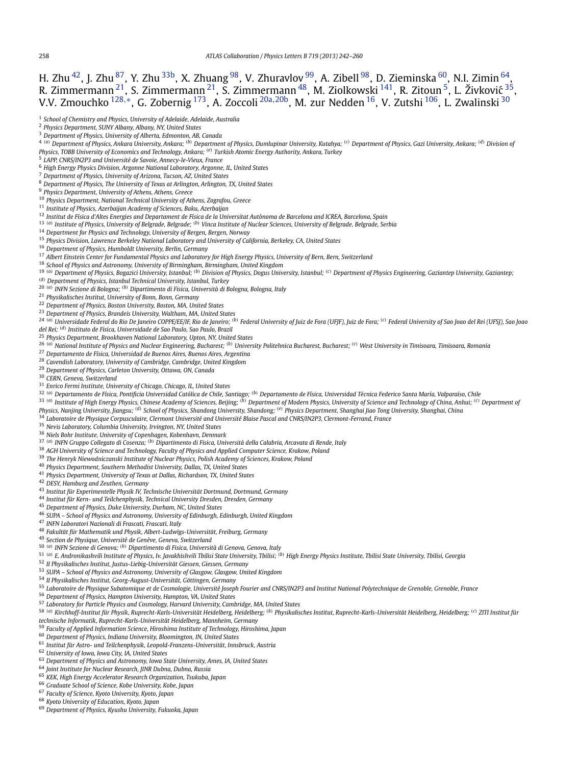<span id="page-16-0"></span>H. Zhu $^{42}$ , J. Zhu $^{87}$ , Y. Zhu $^{33\mathrm{b}}$ , X. Zhuang $^{98}$  $^{98}$  $^{98}$ , V. Zhuravlov $^{99}$ , A. Zibell $^{98}$ , D. Zieminska $^{60}$ , N.I. Zimin $^{64}$ , R. Zimmermann $^{21}$ , S. Zimmermann $^{21}$ , S. Zimmermann $^{48}$ , M. Ziolkowski  $^{141}$ , R. Zitoun $^5$ , L. Živković  $^{35}$ , V.V. Zmouchko [128](#page-17-0)*,*[∗](#page-18-0), G. Zobernig [173,](#page-18-0) A. Zoccoli 20a*,*20b, M. zur Nedden 16, V. Zutshi [106,](#page-17-0) L. Zwalinski <sup>30</sup> *School of Chemistry and Physics, University of Adelaide, Adelaide, Australia Physics Department, SUNY Albany, Albany, NY, United States Department of Physics, University of Alberta, Edmonton, AB, Canada* 4 (a) Department of Physics. Ankara University. Ankara: (b) Department of Physics. Dumlupinar University. Kutahya: (c) Department of Physics. Gazi University. Ankara: (d) Division of *Physics, TOBB University of Economics and Technology, Ankara; (e) Turkish Atomic Energy Authority, Ankara, Turkey LAPP, CNRS/IN2P3 and Université de Savoie, Annecy-le-Vieux, France High Energy Physics Division, Argonne National Laboratory, Argonne, IL, United States Department of Physics, University of Arizona, Tucson, AZ, United States Department of Physics, The University of Texas at Arlington, Arlington, TX, United States Physics Department, University of Athens, Athens, Greece Physics Department, National Technical University of Athens, Zografou, Greece Institute of Physics, Azerbaijan Academy of Sciences, Baku, Azerbaijan Institut de Física d'Altes Energies and Departament de Física de la Universitat Autònoma de Barcelona and ICREA, Barcelona, Spain (a) Institute of Physics, University of Belgrade, Belgrade; (b) Vinca Institute of Nuclear Sciences, University of Belgrade, Belgrade, Serbia Department for Physics and Technology, University of Bergen, Bergen, Norway Physics Division, Lawrence Berkeley National Laboratory and University of California, Berkeley, CA, United States Department of Physics, Humboldt University, Berlin, Germany Albert Einstein Center for Fundamental Physics and Laboratory for High Energy Physics, University of Bern, Bern, Switzerland School of Physics and Astronomy, University of Birmingham, Birmingham, United Kingdom* <sup>19 (a)</sup> Department of Physics, Bogazici University, Istanbul; <sup>(b)</sup> Division of Physics, Dogus University, Istanbul; <sup>(c)</sup> Department of Physics Engineering, Gaziantep University, Gaziantep; *(d) Department of Physics, Istanbul Technical University, Istanbul, Turkey (a) INFN Sezione di Bologna; (b) Dipartimento di Fisica, Università di Bologna, Bologna, Italy Physikalisches Institut, University of Bonn, Bonn, Germany Department of Physics, Boston University, Boston, MA, United States Department of Physics, Brandeis University, Waltham, MA, United States* <sup>24</sup> (a) Universidade Federal do Rio De Janeiro COPPE/EE/IF, Rio de Janeiro; (b) Federal University of Juiz de Fora (UFJF), Juiz de Fora; (c) Federal University of Sao Joao del Rei (UFSJ), Sao Joao *del Rei; (d) Instituto de Fisica, Universidade de Sao Paulo, Sao Paulo, Brazil Physics Department, Brookhaven National Laboratory, Upton, NY, United States* <sup>26 (a)</sup> National Institute of Physics and Nuclear Engineering, Bucharest; <sup>(b)</sup> University Politehnica Bucharest, Bucharest; <sup>(c)</sup> West University in Timisoara, Timisoara, Romania *Departamento de Física, Universidad de Buenos Aires, Buenos Aires, Argentina Cavendish Laboratory, University of Cambridge, Cambridge, United Kingdom Department of Physics, Carleton University, Ottawa, ON, Canada CERN, Geneva, Switzerland Enrico Fermi Institute, University of Chicago, Chicago, IL, United States* <sup>32 (a)</sup> Departamento de Física, Pontificia Universidad Católica de Chile, Santiago; <sup>(b)</sup> Departamento de Física, Universidad Técnica Federico Santa María, Valparaíso, Chile 33 (a) Institute of High Energy Physics, Chinese Academy of Sciences, Beijing; (b) Department of Modern Physics, University of Science and Technology of China, Anhui; (c) Department of Physics, Nanjing University, Jiangsu; (d) School of Physics, Shandong University, Shandong; (e) Physics Department, Shanghai Jiao Tong University, Shanghai, China *Laboratoire de Physique Corpusculaire, Clermont Université and Université Blaise Pascal and CNRS/IN2P3, Clermont-Ferrand, France Nevis Laboratory, Columbia University, Irvington, NY, United States Niels Bohr Institute, University of Copenhagen, Kobenhavn, Denmark (a) INFN Gruppo Collegato di Cosenza; (b) Dipartimento di Fisica, Università della Calabria, Arcavata di Rende, Italy AGH University of Science and Technology, Faculty of Physics and Applied Computer Science, Krakow, Poland The Henryk Niewodniczanski Institute of Nuclear Physics, Polish Academy of Sciences, Krakow, Poland Physics Department, Southern Methodist University, Dallas, TX, United States Physics Department, University of Texas at Dallas, Richardson, TX, United States DESY, Hamburg and Zeuthen, Germany Institut für Experimentelle Physik IV, Technische Universität Dortmund, Dortmund, Germany Institut für Kern- und Teilchenphysik, Technical University Dresden, Dresden, Germany Department of Physics, Duke University, Durham, NC, United States SUPA – School of Physics and Astronomy, University of Edinburgh, Edinburgh, United Kingdom INFN Laboratori Nazionali di Frascati, Frascati, Italy Fakultät für Mathematik und Physik, Albert-Ludwigs-Universität, Freiburg, Germany Section de Physique, Université de Genève, Geneva, Switzerland (a) INFN Sezione di Genova; (b) Dipartimento di Fisica, Università di Genova, Genova, Italy* 51 (a) E. Andronikashvili Institute of Physics, Iv. Javakhishvili Tbilisi State University, Tbilisi; (b) High Energy Physics Institute, Tbilisi State University, Tbilisi, Georgia *II Physikalisches Institut, Justus-Liebig-Universität Giessen, Giessen, Germany SUPA – School of Physics and Astronomy, University of Glasgow, Glasgow, United Kingdom II Physikalisches Institut, Georg-August-Universität, Göttingen, Germany Laboratoire de Physique Subatomique et de Cosmologie, Université Joseph Fourier and CNRS/IN2P3 and Institut National Polytechnique de Grenoble, Grenoble, France*

*Department of Physics, Hampton University, Hampton, VA, United States*

*Laboratory for Particle Physics and Cosmology, Harvard University, Cambridge, MA, United States*

<sup>58 (a)</sup> Kirchhoff-Institut für Physik, Ruprecht-Karls-Universität Heidelberg, Heidelberg; <sup>(b)</sup> Physikalisches Institut, Ruprecht-Karls-Universität Heidelberg, Heidelberg; <sup>(c)</sup> ZITI Institut für

*technische Informatik, Ruprecht-Karls-Universität Heidelberg, Mannheim, Germany*

- *Faculty of Applied Information Science, Hiroshima Institute of Technology, Hiroshima, Japan*
- *Department of Physics, Indiana University, Bloomington, IN, United States*
- *Institut für Astro- und Teilchenphysik, Leopold-Franzens-Universität, Innsbruck, Austria*
- *University of Iowa, Iowa City, IA, United States*
- *Department of Physics and Astronomy, Iowa State University, Ames, IA, United States*
- *Joint Institute for Nuclear Research, JINR Dubna, Dubna, Russia*
- *KEK, High Energy Accelerator Research Organization, Tsukuba, Japan*
- *Graduate School of Science, Kobe University, Kobe, Japan*
- *Faculty of Science, Kyoto University, Kyoto, Japan*
- *Kyoto University of Education, Kyoto, Japan*
- *Department of Physics, Kyushu University, Fukuoka, Japan*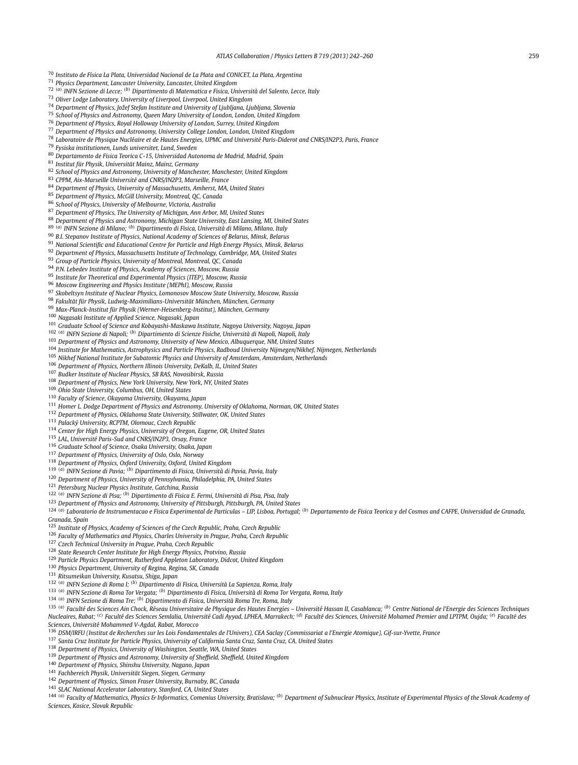<span id="page-17-0"></span>*Instituto de Física La Plata, Universidad Nacional de La Plata and CONICET, La Plata, Argentina*

*Physics Department, Lancaster University, Lancaster, United Kingdom*

*(a) INFN Sezione di Lecce; (b) Dipartimento di Matematica e Fisica, Università del Salento, Lecce, Italy*

*Oliver Lodge Laboratory, University of Liverpool, Liverpool, United Kingdom*

*Department of Physics, Jožef Stefan Institute and University of Ljubljana, Ljubljana, Slovenia*

*School of Physics and Astronomy, Queen Mary University of London, London, United Kingdom*

*Department of Physics, Royal Holloway University of London, Surrey, United Kingdom*

*Department of Physics and Astronomy, University College London, London, United Kingdom*

*Laboratoire de Physique Nucléaire et de Hautes Energies, UPMC and Université Paris-Diderot and CNRS/IN2P3, Paris, France*

*Fysiska institutionen, Lunds universitet, Lund, Sweden*

*Departamento de Fisica Teorica C-15, Universidad Autonoma de Madrid, Madrid, Spain*

*Institut für Physik, Universität Mainz, Mainz, Germany*

*School of Physics and Astronomy, University of Manchester, Manchester, United Kingdom*

*CPPM, Aix-Marseille Université and CNRS/IN2P3, Marseille, France*

*Department of Physics, University of Massachusetts, Amherst, MA, United States*

*Department of Physics, McGill University, Montreal, QC, Canada*

*School of Physics, University of Melbourne, Victoria, Australia*

*Department of Physics, The University of Michigan, Ann Arbor, MI, United States*

*Department of Physics and Astronomy, Michigan State University, East Lansing, MI, United States*

*(a) INFN Sezione di Milano; (b) Dipartimento di Fisica, Università di Milano, Milano, Italy*

*B.I. Stepanov Institute of Physics, National Academy of Sciences of Belarus, Minsk, Belarus*

*National Scientific and Educational Centre for Particle and High Energy Physics, Minsk, Belarus*

*Department of Physics, Massachusetts Institute of Technology, Cambridge, MA, United States*

*Group of Particle Physics, University of Montreal, Montreal, QC, Canada*

*P.N. Lebedev Institute of Physics, Academy of Sciences, Moscow, Russia*

*Institute for Theoretical and Experimental Physics (ITEP), Moscow, Russia*

*Moscow Engineering and Physics Institute (MEPhI), Moscow, Russia*

*Skobeltsyn Institute of Nuclear Physics, Lomonosov Moscow State University, Moscow, Russia*

*Fakultät für Physik, Ludwig-Maximilians-Universität München, München, Germany*

*Max-Planck-Institut für Physik (Werner-Heisenberg-Institut), München, Germany*

*Nagasaki Institute of Applied Science, Nagasaki, Japan*

*Graduate School of Science and Kobayashi-Maskawa Institute, Nagoya University, Nagoya, Japan*

*(a) INFN Sezione di Napoli; (b) Dipartimento di Scienze Fisiche, Università di Napoli, Napoli, Italy*

*Department of Physics and Astronomy, University of New Mexico, Albuquerque, NM, United States*

*Institute for Mathematics, Astrophysics and Particle Physics, Radboud University Nijmegen/Nikhef, Nijmegen, Netherlands*

*Nikhef National Institute for Subatomic Physics and University of Amsterdam, Amsterdam, Netherlands*

*Department of Physics, Northern Illinois University, DeKalb, IL, United States*

*Budker Institute of Nuclear Physics, SB RAS, Novosibirsk, Russia*

*Department of Physics, New York University, New York, NY, United States*

*Ohio State University, Columbus, OH, United States*

*Faculty of Science, Okayama University, Okayama, Japan*

*Homer L. Dodge Department of Physics and Astronomy, University of Oklahoma, Norman, OK, United States*

*Department of Physics, Oklahoma State University, Stillwater, OK, United States*

*Palacký University, RCPTM, Olomouc, Czech Republic*

*Center for High Energy Physics, University of Oregon, Eugene, OR, United States*

*LAL, Université Paris-Sud and CNRS/IN2P3, Orsay, France*

*Graduate School of Science, Osaka University, Osaka, Japan*

*Department of Physics, University of Oslo, Oslo, Norway*

*Department of Physics, Oxford University, Oxford, United Kingdom*

*(a) INFN Sezione di Pavia; (b) Dipartimento di Fisica, Università di Pavia, Pavia, Italy*

*Department of Physics, University of Pennsylvania, Philadelphia, PA, United States*

*Petersburg Nuclear Physics Institute, Gatchina, Russia*

*(a) INFN Sezione di Pisa; (b) Dipartimento di Fisica E. Fermi, Università di Pisa, Pisa, Italy*

*Department of Physics and Astronomy, University of Pittsburgh, Pittsburgh, PA, United States*

<sup>124 (a)</sup> Laboratorio de Instrumentacao e Física Experimental de Particulas – LIP, Lisboa, Portugal; <sup>(b)</sup> Departamento de Física Teorica y del Cosmos and CAFPE, Universidad de Granada, *Granada, Spain*

*Institute of Physics, Academy of Sciences of the Czech Republic, Praha, Czech Republic*

*Faculty of Mathematics and Physics, Charles University in Prague, Praha, Czech Republic*

*Czech Technical University in Prague, Praha, Czech Republic*

*State Research Center Institute for High Energy Physics, Protvino, Russia*

*Particle Physics Department, Rutherford Appleton Laboratory, Didcot, United Kingdom*

*Physics Department, University of Regina, Regina, SK, Canada*

*Ritsumeikan University, Kusatsu, Shiga, Japan*

*(a) INFN Sezione di Roma I; (b) Dipartimento di Fisica, Università La Sapienza, Roma, Italy*

*(a) INFN Sezione di Roma Tor Vergata; (b) Dipartimento di Fisica, Università di Roma Tor Vergata, Roma, Italy*

*(a) INFN Sezione di Roma Tre; (b) Dipartimento di Fisica, Università Roma Tre, Roma, Italy*

135 (a) Faculté des Sciences Ain Chock, Réseau Universitaire de Physique des Hautes Energies - Université Hassan II, Casablanca; (b) Centre National de l'Energie des Sciences Techniques Nucleaires, Rabat; <sup>(c)</sup> Faculté des Sciences Semlalia, Université Cadi Ayyad, LPHEA, Marrakech; <sup>(d)</sup> Faculté des Sciences, Université Mohamed Premier and LPTPM, Oujda; <sup>(e)</sup> Faculté des *Sciences, Université Mohammed V-Agdal, Rabat, Morocco*

*DSM/IRFU (Institut de Recherches sur les Lois Fondamentales de l'Univers), CEA Saclay (Commissariat a l'Energie Atomique), Gif-sur-Yvette, France*

*Santa Cruz Institute for Particle Physics, University of California Santa Cruz, Santa Cruz, CA, United States*

*Department of Physics, University of Washington, Seattle, WA, United States*

*Department of Physics and Astronomy, University of Sheffield, Sheffield, United Kingdom*

*Department of Physics, Shinshu University, Nagano, Japan*

*Fachbereich Physik, Universität Siegen, Siegen, Germany*

*Department of Physics, Simon Fraser University, Burnaby, BC, Canada*

*SLAC National Accelerator Laboratory, Stanford, CA, United States*

144 (a) Faculty of Mathematics, Physics & Informatics, Comenius University, Bratislava; (b) Department of Subnuclear Physics, Institute of Experimental Physics of the Slovak Academy of *Sciences, Kosice, Slovak Republic*